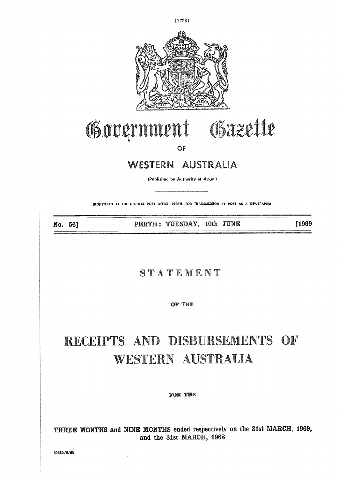

# Government Gazette

OF

## WESTERN AUSTRALIA

(Published by Authority at 4 p.m.)

(REGISTERED AT THE GENERAL POST OFFICE, PERTH, FOR TRANSMISSION BY POST AS A NEWSPAPERS

No. 56]

PERTH: TUESDAY, 10th JUNE

[1969

### STATEMENT

OF THE

# RECEIPTS AND DISBURSEMENTS OF WESTERN AUSTRALIA

#### FOR THE

THREE MONTHS and NINE MONTHS ended respectively on the 31st MARCH, 1969, and the 31st MARCH, 1968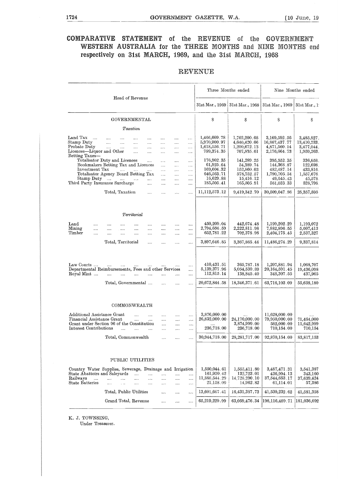# 1724 GOVERNMENT GAZETTE, W.A. [10 June, 19 **COMPARATIVE STATEMENT of the REVENUE of the GOVERNMENT** WESTERN AUSTRALIA for the THREE MONTHS and NINE MONTHS end respectively on **31st MARCH, 1969, and** the Zist MARCH, 1968

#### REVENUE

|                                                                                                                                                                                                       |                        |                                     |                                                               |                                                               |                                                                                  |                                                                                  |                                                                    |                                                                                                     | Three Months ended                                                                                  |                                                                                                         | Nine Months ended                                                                       |
|-------------------------------------------------------------------------------------------------------------------------------------------------------------------------------------------------------|------------------------|-------------------------------------|---------------------------------------------------------------|---------------------------------------------------------------|----------------------------------------------------------------------------------|----------------------------------------------------------------------------------|--------------------------------------------------------------------|-----------------------------------------------------------------------------------------------------|-----------------------------------------------------------------------------------------------------|---------------------------------------------------------------------------------------------------------|-----------------------------------------------------------------------------------------|
|                                                                                                                                                                                                       |                        |                                     | Head of Revenue                                               |                                                               |                                                                                  |                                                                                  |                                                                    |                                                                                                     | 31st Mar., 1969   31st Mar., 1968   31st Mar., 1969   31st Mar., 19                                 |                                                                                                         |                                                                                         |
|                                                                                                                                                                                                       |                        |                                     | GOVERNMENTAL                                                  |                                                               |                                                                                  |                                                                                  |                                                                    | \$                                                                                                  | S                                                                                                   | $\mathbf S$                                                                                             | S                                                                                       |
|                                                                                                                                                                                                       |                        |                                     | Taxation                                                      |                                                               |                                                                                  |                                                                                  |                                                                    |                                                                                                     |                                                                                                     |                                                                                                         |                                                                                         |
| Land Tax<br>$\sim$ 1000 $\sim$<br>Stamp Duty<br>Probate Duty<br>Licences-Liquor and Other<br>Betting Taxes-<br>Totalisator Duty and Licences<br>Bookmakers Betting Tax and Licences<br>Investment Tax | and the<br>$\cdots$    | $\cdots$<br>$\cdots$<br>and the man | $\cdots$<br>$\cdots$<br>$\cdots$<br>$\sim$<br>and the same of | $\cdots$<br>$\cdots$<br>$\cdots$<br>$\cdots$<br>$\sim$ $\sim$ | $\cdots$<br>$\cdots$<br>$\cdots$<br>$\cdots$<br>$\ldots$<br>$\cdots$<br>$\cdots$ | $\cdots$<br>$\cdots$<br>$\cdots$<br>$\cdots$<br>$\cdots$<br>$\ldots$<br>$\cdots$ | $\cdots$<br><br><br><br>$\sim$<br>$\ldots$<br>$\cdots$<br>$\cdots$ | 1,466,609.78<br>5,970,900.97<br>1,618,556.71<br>799,374.35<br>176,902.35<br>61,925.64<br>169,604.32 | 1,762,200.68<br>4,640,420.66<br>1,200,672.13<br>707,835.61<br>141,289.25<br>54,389.74<br>152,860.03 | 3,169,592.56<br>16,867,437.77<br>4,871,560.14<br>2,176,664.73<br>395,552.35<br>144,368.87<br>482,487.14 | 3,485,827.<br>13,410,233.<br>3,477,044.<br>1,959,263.<br>336,658.<br>122,698<br>433,816 |
| Totalisator Agency Board Betting Tax                                                                                                                                                                  |                        |                                     |                                                               |                                                               |                                                                                  | $\cdots$                                                                         | $\ldots$                                                           | 646,563.71                                                                                          | 578,752.57                                                                                          | 1,790,705.54                                                                                            | 1,557,676                                                                               |
| Stamp Duty<br>Third Party Insurance Surcharge                                                                                                                                                         |                        |                                     |                                                               | $\cdots$                                                      | $\cdots$<br>$\cdots$                                                             | $\cdots$<br>$\cdots$                                                             | $\cdots$<br>                                                       | 16,629.88<br>185,505.41                                                                             | 15,416.12<br>165,505.91                                                                             | 49,645.43<br>561,033.33                                                                                 | 45,578<br>528,798                                                                       |
|                                                                                                                                                                                                       |                        | Total, Taxation                     |                                                               | $\cdots$                                                      | $\cdots$                                                                         | $\ldots$                                                                         |                                                                    | 11,112,573.12                                                                                       | 9,419,342.70                                                                                        | 30,509,047.86                                                                                           | 25,357,595                                                                              |
| Land<br><br>Mining<br>$\cdots$<br>Timber<br>$\cdots$                                                                                                                                                  | $\cdots$<br>$\cdots$   | $\cdots$<br>$\cdots$                | Territorial<br>$\cdots$<br>in a<br>aaaa                       | $\cdots$<br><br>$\cdots$                                      | $\cdots$<br>$\sim$<br>$\cdots$                                                   | $\cdots$<br>$\sim$<br>                                                           | <br>$\cdots$<br>                                                   | 450,209.04<br>2,794,656.59<br>652,781.22                                                            | 442,674.48<br>2,222,811.98<br>702,378.98                                                            | 1,199,202.29<br>7,882,896.55<br>2,404,175.45                                                            | 1,193,072<br>5,607,413<br>2,537,327                                                     |
|                                                                                                                                                                                                       |                        | Total, Territorial                  |                                                               | $\cdots$                                                      | $\sim 100$                                                                       | $\cdots$                                                                         | $\cdots$                                                           | 3,897,646.85                                                                                        | 3,367,865.44                                                                                        | 11,486,274.29                                                                                           | 9,337,814                                                                               |
| Law Courts<br>Departmental Reimbursements, Fees and other Services<br>Royal Mint                                                                                                                      | المساري السداري السدار |                                     | Total, Governmental                                           | $\cdots$                                                      | $\cdots$<br>$\mathbf{1}$                                                         | $\cdots$<br>$\cdots$                                                             | <br><br><br>                                                       | 410,431 51<br>5,139,377.96<br>112,815.14<br>20,672,844.58                                           | 365,787.18<br>5,054,530.89<br>138,845.40<br>18,346,371.61                                           | 1,207,881.94<br>20,164,591.45<br>348,307.55<br>63,716,103.09                                            | 1,068,707<br>19,436,098<br>437,965<br>55,638,180                                        |
| Additional Assistance Grant<br>Financial Assistance Grant<br>Grant under Section 96 of the Constitution<br>Interest Contributions                                                                     |                        | $\ddotsc$                           | COMMONWEALTH<br>$\cdots$<br><b>Service</b><br>and the         | $\cdots$<br>$\sim 10^{-11}$<br>$\cdots$                       | $\cdots$<br>$\sim 10^{-11}$<br>$\cdots$<br>$\cdots$                              | $\cdots$<br>$\cdots$<br>$\cdots$<br>$\cdots$                                     | $\cdots$<br>$\ldots$<br><br>                                       | 3,876,000.00<br>26,832,000.00<br>236,718.00                                                         | $\cdots$<br>24,170,000.00<br>3,874,999.00<br>236,718.00                                             | 11,628,000.00<br>79,950,000.00<br>582,000.00<br>710,154.00                                              | 71,464,000<br>11,642,999<br>710,154                                                     |
|                                                                                                                                                                                                       |                        |                                     | Total, Commonwealth                                           |                                                               |                                                                                  |                                                                                  |                                                                    | 30,944,718.00                                                                                       | 28,281,717.00                                                                                       | 92,870,154.00                                                                                           | 83,817,153                                                                              |
| Country Water Supplies, Sewerage, Drainage and Irrigation<br>State Abattoirs and Saleyards<br>Railways<br>$\cdots$<br><b>State Batteries</b>                                                          | $\sim$<br>a a ca       | $\mathbf{1}$<br>$\ddotsc$           | PUBLIC UTILITIES<br>$\cdots$<br><br>$\cdots$                  | <br><br>$\cdots$                                              | $\sim$<br><br>$\cdots$                                                           | $\cdots$<br>$\cdots$<br>                                                         | <br><br>$\cdots$                                                   | 1,550,044.61<br>161,920.42<br>11,868,544.29<br>21,158.09                                            | 1,555,411.80<br>132,723.01<br>14,728,290.10<br>14,962.82                                            | 3,487,471.31<br>436,994.13<br>37,544,653.17<br>61,114.01                                                | 3,541,387<br>343,160<br>37,639,424<br>57,386                                            |
|                                                                                                                                                                                                       |                        |                                     | Total, Public Utilities                                       |                                                               |                                                                                  |                                                                                  |                                                                    | 13,601,667.41                                                                                       | 16,431,387.73                                                                                       | 41,530,232.62                                                                                           | 41,581,358                                                                              |
|                                                                                                                                                                                                       |                        |                                     | Grand Total, Revenue                                          |                                                               |                                                                                  |                                                                                  |                                                                    | 65,219,229.99                                                                                       | 63,059,476.34                                                                                       | 198,116,489.71                                                                                          | 181,036,692                                                                             |

K. J. TOWNSING,

Under Treasurer.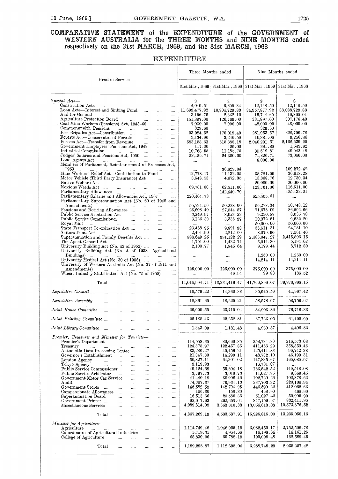# EXTERN ALL THE GOVERNMENT GAZETTE, W.A. 1725<br> **PARATIVE STATEMENT** of the EXPENDITURE of the GOVERNMENT of<br>
WESTERN AUSTRALIA for the THREE MONTHS and NINE MONTHS ended<br>
respectively on the 34st MARCH 1969 and the 34st MAR **COMPARATIVE STATEMENT of the EXPENDITURE of the GOVERNMENT of**

#### EXPENDITURE

| Three Months ended<br>Nine Months ended<br>Head of Service<br>31st Mar., 1969   31st Mar., 1968   31st Mar., 1969   31st Mar., 1968<br>Special Acts—<br>S<br>S<br>S<br>s<br>Constitution Acts<br>4,049.51<br>5,399.34<br>12,148.50<br>المستحدث السباب السبا<br>$\cdots$<br>$\cdots$<br>$\cdots$<br>Loan Acts—Interest and Sinking Fund<br>33,088,729.83<br>11,699,477.92<br>10,904,729.83<br>34,957,877.92<br>$\cdots$<br><br>Auditor General<br>3,156.75<br>2,832.10<br>16,744.69<br>المنتقل المتنب التنبي<br>$\sim$<br>$\ldots$<br>$\cdots$<br>Agriculture Protection Board<br>331,897.00<br>151,897.00<br>126,769.00<br>$\sim$<br>$\cdots$<br>$\cdots$<br>Coal Mine Workers (Pensions) Act, 1943–60<br>48,000.00<br>7,000.00<br>7,000.00<br>$\cdots$<br>$\cdots$<br>Commonwealth Pensions<br>329.60<br>329.60<br>$\ldots$<br>$\cdots$<br>$\cdots$<br>Fire Brigades Act-Contribution<br>93,984.52<br>281,953.57<br>170,019.49<br>$\sim$ $\sim$<br>$\cdots$<br>Forests Act—Conservator of Forests<br>3,134.96<br>10,381.08<br>$\sim$<br>3,240.58<br>$\cdots$<br>$\cdots$<br>Forests Act—Transfer from Revenue<br>2,166,239.25<br>2,040,291.51<br>583,158.63<br>615,388.18<br>$\ldots$ .<br>$\cdots$<br>Government Employees' Pensions Act, 1948<br>117.00<br>381.88<br>429.00<br>$\sim$ 1000 $\mu$<br>$\cdots$<br>Industrial Commission<br>10.768.55<br>11.185.76<br>35,619.81<br>$\cdots$<br>Judges' Salaries and Pensions Act, 1950<br>23,126.71<br>71,826.71<br>24,350.00<br>$\ddotsc$<br>$\cdots$<br>Land Agents Act<br>8,000.00<br>المستحدث المتناء المتناء المتناء<br>$\cdots$<br>$\ldots$<br>$\cdots$<br>$\sim$ $\sim$<br>Members of Parliament, Reimbursement of Expenses Act,<br>1953<br>36,629.04<br>المنتاب المنتاب المنتاب المنتاب المنتاب المنتاب<br>$\cdots$<br>Mine Workers' Relief Act-Contribution to Fund<br>12,778.17<br>36,618.28<br>11,132.05<br>38,781.90<br>$\cdots$<br>Motor Vehicle (Third Party Insurance) Act<br>3,548.53<br>4,672.35<br>13,368.76<br>$\cdots$<br>Native Welfare Act<br>20,000.00<br>$\cdots$<br><br>$\cdots$<br>Noxious Weeds Act<br>69,761.00<br>123,761.00<br>62,511.00<br>$\mathbf{1}$<br>$\cdots$<br>$\cdots$<br>Parliamentary Allowances<br>425, 432. 21<br>142,440.79<br><b>Section</b><br>$\cdots$<br>$\cdots$<br>Parliamentary Salaries and Allowances Act, 1967<br>220,404.73<br>625,565.61<br>$\cdots$<br>$\cdots$<br>$\sim 100$<br>Parliamentary Superannuation Act (No. 60 of 1948 and<br>Amendments)<br>55,794.50<br>50,228.00<br>56,278.34<br>المتناد المتداد المتداد المتداد المتداد<br>$\cdots$<br>Pensions and Retiring Allowances<br>23,608.40<br>27,544.57<br>71,678.09<br>$\ddotsc$<br>$\sim$<br>9,230.88<br>Public Service Arbitration Act<br>3,249.97<br>3,023.23<br>$\sim$<br>$\ldots$<br>$\cdots$<br>Public Service Commissioner<br>10,372.51<br>3,126.39<br>3,336.97<br>$\sim$<br>$\cdots$<br>$\cdots$<br>50,000.00<br>Royal Mint<br>50,000.00<br>المتدار المتداري المتداري المتداري المتداري المتدار<br>$\cdots$<br>State Transport Co-ordination Act<br>23,488.95<br>36,511.31<br>9,891.98<br>$\ldots$<br>$\cdots$<br>Suitors Fund Act<br>2,491.90<br>2,212.60<br>8,079.90<br>المستحدث المتناء المتناء المتناء<br>$\sim$<br>$\cdots$<br>Superannuation and Family Benefits Act<br>888,649.25<br>981,122.29<br>2,486,047.27<br>$\sim$<br>1,432.74<br>5,194.02<br>The Agent General Act<br>1,791.00<br>5,014.80<br>$\overline{\phantom{a}}$<br>and and an an<br>$\ldots$<br>University Building Act (No. 43 of 1952)<br>2,100.77<br>1,845.64<br>9,179.44<br>$\cdots$<br>University Building Act (No. 4 of 1938-Agricultural<br>Buildings)<br>1,260.00<br>$\cdots$<br>$\cdots$<br>$\cdots$<br>University Medical Act (No. 30 of 1955)<br>14,214.11<br>14,214.11<br>$\cdots$<br>$\ldots$<br>$\cdots$<br>University of Western Australia Act (No. 37 of 1911 and<br>125,000.00<br>Amendments)<br>125,000.00<br>375,000.00<br>$\cdots$<br>$\cdots$<br>Wheat Industry Stabilisation Act (No. 75 of 1958)<br>99.88<br>49.94<br>$\cdots$<br>$\ldots$<br>13,334,416.47<br>41,769,896.07<br>Total<br>14,015,994.71<br>$\ldots$<br>Legislative Council<br>10,579.22<br>14,362 33<br>39,949 59<br>$\cdots$<br>$\cdots$<br>$\cdots$<br>$\cdots$<br>$\cdots$<br>$\cdots$<br>18,361.65<br>18,229.21<br>58,578.97<br>Legislative Assembly<br><br><br><br><br>$\cdots$<br><br>Joint House Committee<br>26,990.55<br>23,715.04<br>84,903.86<br>$\ldots$<br>$\ldots$<br><br>$\cdots$<br>$\ldots$ .<br><br>25,188 43<br>22,252.81<br>67,723.05<br>Joint Printing Committee<br><br>$\cdots$<br><br>.<br>$\cdots$<br>Joint Library Committee<br>1,343.09<br>1,181.48<br>4,930 57<br>$\sim$<br><br><br><br><br><br>Premier, Treasurer and Minister for Tourists-<br>216,573.08<br>Premier's Department<br>114,558.35<br>80,660.35<br>258,784.80<br>$\cdots$<br><br>$\cdots$<br><br><br>124,375.97<br>122,457.85<br>411,466.29<br>Treasury<br>$\ldots$<br>$\cdots$<br><br>$\cdots$<br>$\cdots$<br><br>Automatic Data Processing Centre<br>33,286,27<br>45,456.21<br>125,411.83<br>$\cdots$<br>$\ldots$<br>$\ldots$<br>21,347.33<br>14,299.11<br>48,732.10<br>Governor's Establishment<br>$\sim$<br>$\ldots$<br><br><br><br>50,827.11<br>165,085.97<br>64,301.02<br>147,835.67<br>London Agency<br>$\ddotsc$<br><br>$\cdots$<br>$\ldots$<br>$\cdots$<br><br>Tokyo Agency<br>9,119.93<br>16,731.07<br>$\cdots$<br>$\sim$<br>$\ldots$<br>$\ldots$<br>$\ldots$<br>$\ldots$<br>$\ldots$<br><br>Public Service Commissioner<br>49,124.68<br>55,604.18<br>163,542.52<br>$\cdots$<br>$\cdots$<br>$\ldots$<br><br>3,797.73<br>3,010.73<br>Public Service Arbitrator<br>11,027.85<br>$\cdots$<br>$\cdots$<br><br>$\cdots$<br>$\ldots$<br>30,906.46<br>102,720.26<br>102,878.62<br>Government Motor Car Service<br>41,440.18<br>$\cdots$<br>$\ldots$<br>$\ldots$<br>$\ldots$<br>74,307.37<br>76,934.13<br>237,703.32<br>Audit<br>$\sim 10^{-1}$<br>$\cdots$<br><br>$\cdots$<br>$\cdots$<br>$\ldots$<br><br>146,582.59<br>142,704.95<br>446,590.22<br>Government Stores<br>$\ldots$<br>$\cdots$<br>$\cdots$<br><br><br>$\cdots$<br>156.30<br>156.30<br>468.90<br>Compassionate Allowances<br>$\cdots$<br>$\cdots$<br>$\cdots$<br>$\cdots$<br><br>51,027.42<br>16,513.66<br>20,580.65<br>Superannuation Board<br>$\cdots$<br>$\ldots$<br><br><br><br>Government Printer<br>92,017.63<br>262,655.64<br>847,159.67<br>$\cdots$<br>$\cdots$<br><br>$\cdots$<br><br>Miscellaneous Services<br>4,089,814.09<br>3,663,810.33<br>13,056,613.08<br>$\cdots$<br><br><br><br>$\cdots$<br>4,867,269.19<br>4,583,537.91<br>15,925,815.00<br>Total<br>$\cdots$<br><br><br><br>$\cdots$<br>Minister for Agriculture-<br>Agriculture<br>1,114,749.46<br>1,046,955.19<br>3,082,450.17<br>$\ldots$<br><br><br><br><br>4,954.66<br>Co-ordinator of Agricultural Industries<br>5,719.35<br>16,198.64<br>$\cdots$<br>$\cdots$<br>$\cdots$<br>60,788.19<br>190,099.48<br>College of Agriculture<br>68,830.06<br>$\cdots$<br>$\cdots$<br><br><br>$\cdots$ |  |  | <b>EXPENDITURE</b> |  |                        |
|-----------------------------------------------------------------------------------------------------------------------------------------------------------------------------------------------------------------------------------------------------------------------------------------------------------------------------------------------------------------------------------------------------------------------------------------------------------------------------------------------------------------------------------------------------------------------------------------------------------------------------------------------------------------------------------------------------------------------------------------------------------------------------------------------------------------------------------------------------------------------------------------------------------------------------------------------------------------------------------------------------------------------------------------------------------------------------------------------------------------------------------------------------------------------------------------------------------------------------------------------------------------------------------------------------------------------------------------------------------------------------------------------------------------------------------------------------------------------------------------------------------------------------------------------------------------------------------------------------------------------------------------------------------------------------------------------------------------------------------------------------------------------------------------------------------------------------------------------------------------------------------------------------------------------------------------------------------------------------------------------------------------------------------------------------------------------------------------------------------------------------------------------------------------------------------------------------------------------------------------------------------------------------------------------------------------------------------------------------------------------------------------------------------------------------------------------------------------------------------------------------------------------------------------------------------------------------------------------------------------------------------------------------------------------------------------------------------------------------------------------------------------------------------------------------------------------------------------------------------------------------------------------------------------------------------------------------------------------------------------------------------------------------------------------------------------------------------------------------------------------------------------------------------------------------------------------------------------------------------------------------------------------------------------------------------------------------------------------------------------------------------------------------------------------------------------------------------------------------------------------------------------------------------------------------------------------------------------------------------------------------------------------------------------------------------------------------------------------------------------------------------------------------------------------------------------------------------------------------------------------------------------------------------------------------------------------------------------------------------------------------------------------------------------------------------------------------------------------------------------------------------------------------------------------------------------------------------------------------------------------------------------------------------------------------------------------------------------------------------------------------------------------------------------------------------------------------------------------------------------------------------------------------------------------------------------------------------------------------------------------------------------------------------------------------------------------------------------------------------------------------------------------------------------------------------------------------------------------------------------------------------------------------------------------------------------------------------------------------------------------------------------------------------------------------------------------------------------------------------------------------------------------------------------------------------------------------------------------------------------------------------------------------------------------------------------------------------------------------------------------------------------------------------------------------------------------------------------------------------------------------------------------------------------------------------------------------------------------------------------------------------------------------------------------------------------------------------------------------------------------------------------------------------------------------------------------------------------------------------------------------------------------------------------------------------------------------------------------------------------------------------------------------------------------------------------------------------------------------------------------------------------------------------------------------------------------------------------------------------------------------------------------------------------------------------------------------------------------------------------------------------------------------------------------------------------------------------------------------------------------------------------------------------------------------------------------------------------------------------------------------------------------------------------------------------------------------------------------------------------------------------------------------------------------------------------------------------------------------------------------------------------------------------------------------------------------------------------------|--|--|--------------------|--|------------------------|
|                                                                                                                                                                                                                                                                                                                                                                                                                                                                                                                                                                                                                                                                                                                                                                                                                                                                                                                                                                                                                                                                                                                                                                                                                                                                                                                                                                                                                                                                                                                                                                                                                                                                                                                                                                                                                                                                                                                                                                                                                                                                                                                                                                                                                                                                                                                                                                                                                                                                                                                                                                                                                                                                                                                                                                                                                                                                                                                                                                                                                                                                                                                                                                                                                                                                                                                                                                                                                                                                                                                                                                                                                                                                                                                                                                                                                                                                                                                                                                                                                                                                                                                                                                                                                                                                                                                                                                                                                                                                                                                                                                                                                                                                                                                                                                                                                                                                                                                                                                                                                                                                                                                                                                                                                                                                                                                                                                                                                                                                                                                                                                                                                                                                                                                                                                                                                                                                                                                                                                                                                                                                                                                                                                                                                                                                                                                                                                                                                                                                                                                                                                                                                                                                                                                                                                                                                                                                                                                                                                       |  |  |                    |  |                        |
|                                                                                                                                                                                                                                                                                                                                                                                                                                                                                                                                                                                                                                                                                                                                                                                                                                                                                                                                                                                                                                                                                                                                                                                                                                                                                                                                                                                                                                                                                                                                                                                                                                                                                                                                                                                                                                                                                                                                                                                                                                                                                                                                                                                                                                                                                                                                                                                                                                                                                                                                                                                                                                                                                                                                                                                                                                                                                                                                                                                                                                                                                                                                                                                                                                                                                                                                                                                                                                                                                                                                                                                                                                                                                                                                                                                                                                                                                                                                                                                                                                                                                                                                                                                                                                                                                                                                                                                                                                                                                                                                                                                                                                                                                                                                                                                                                                                                                                                                                                                                                                                                                                                                                                                                                                                                                                                                                                                                                                                                                                                                                                                                                                                                                                                                                                                                                                                                                                                                                                                                                                                                                                                                                                                                                                                                                                                                                                                                                                                                                                                                                                                                                                                                                                                                                                                                                                                                                                                                                                       |  |  |                    |  |                        |
|                                                                                                                                                                                                                                                                                                                                                                                                                                                                                                                                                                                                                                                                                                                                                                                                                                                                                                                                                                                                                                                                                                                                                                                                                                                                                                                                                                                                                                                                                                                                                                                                                                                                                                                                                                                                                                                                                                                                                                                                                                                                                                                                                                                                                                                                                                                                                                                                                                                                                                                                                                                                                                                                                                                                                                                                                                                                                                                                                                                                                                                                                                                                                                                                                                                                                                                                                                                                                                                                                                                                                                                                                                                                                                                                                                                                                                                                                                                                                                                                                                                                                                                                                                                                                                                                                                                                                                                                                                                                                                                                                                                                                                                                                                                                                                                                                                                                                                                                                                                                                                                                                                                                                                                                                                                                                                                                                                                                                                                                                                                                                                                                                                                                                                                                                                                                                                                                                                                                                                                                                                                                                                                                                                                                                                                                                                                                                                                                                                                                                                                                                                                                                                                                                                                                                                                                                                                                                                                                                                       |  |  |                    |  |                        |
|                                                                                                                                                                                                                                                                                                                                                                                                                                                                                                                                                                                                                                                                                                                                                                                                                                                                                                                                                                                                                                                                                                                                                                                                                                                                                                                                                                                                                                                                                                                                                                                                                                                                                                                                                                                                                                                                                                                                                                                                                                                                                                                                                                                                                                                                                                                                                                                                                                                                                                                                                                                                                                                                                                                                                                                                                                                                                                                                                                                                                                                                                                                                                                                                                                                                                                                                                                                                                                                                                                                                                                                                                                                                                                                                                                                                                                                                                                                                                                                                                                                                                                                                                                                                                                                                                                                                                                                                                                                                                                                                                                                                                                                                                                                                                                                                                                                                                                                                                                                                                                                                                                                                                                                                                                                                                                                                                                                                                                                                                                                                                                                                                                                                                                                                                                                                                                                                                                                                                                                                                                                                                                                                                                                                                                                                                                                                                                                                                                                                                                                                                                                                                                                                                                                                                                                                                                                                                                                                                                       |  |  |                    |  | 12,148.50              |
|                                                                                                                                                                                                                                                                                                                                                                                                                                                                                                                                                                                                                                                                                                                                                                                                                                                                                                                                                                                                                                                                                                                                                                                                                                                                                                                                                                                                                                                                                                                                                                                                                                                                                                                                                                                                                                                                                                                                                                                                                                                                                                                                                                                                                                                                                                                                                                                                                                                                                                                                                                                                                                                                                                                                                                                                                                                                                                                                                                                                                                                                                                                                                                                                                                                                                                                                                                                                                                                                                                                                                                                                                                                                                                                                                                                                                                                                                                                                                                                                                                                                                                                                                                                                                                                                                                                                                                                                                                                                                                                                                                                                                                                                                                                                                                                                                                                                                                                                                                                                                                                                                                                                                                                                                                                                                                                                                                                                                                                                                                                                                                                                                                                                                                                                                                                                                                                                                                                                                                                                                                                                                                                                                                                                                                                                                                                                                                                                                                                                                                                                                                                                                                                                                                                                                                                                                                                                                                                                                                       |  |  |                    |  | 16,865.01              |
|                                                                                                                                                                                                                                                                                                                                                                                                                                                                                                                                                                                                                                                                                                                                                                                                                                                                                                                                                                                                                                                                                                                                                                                                                                                                                                                                                                                                                                                                                                                                                                                                                                                                                                                                                                                                                                                                                                                                                                                                                                                                                                                                                                                                                                                                                                                                                                                                                                                                                                                                                                                                                                                                                                                                                                                                                                                                                                                                                                                                                                                                                                                                                                                                                                                                                                                                                                                                                                                                                                                                                                                                                                                                                                                                                                                                                                                                                                                                                                                                                                                                                                                                                                                                                                                                                                                                                                                                                                                                                                                                                                                                                                                                                                                                                                                                                                                                                                                                                                                                                                                                                                                                                                                                                                                                                                                                                                                                                                                                                                                                                                                                                                                                                                                                                                                                                                                                                                                                                                                                                                                                                                                                                                                                                                                                                                                                                                                                                                                                                                                                                                                                                                                                                                                                                                                                                                                                                                                                                                       |  |  |                    |  | 307,176.40             |
|                                                                                                                                                                                                                                                                                                                                                                                                                                                                                                                                                                                                                                                                                                                                                                                                                                                                                                                                                                                                                                                                                                                                                                                                                                                                                                                                                                                                                                                                                                                                                                                                                                                                                                                                                                                                                                                                                                                                                                                                                                                                                                                                                                                                                                                                                                                                                                                                                                                                                                                                                                                                                                                                                                                                                                                                                                                                                                                                                                                                                                                                                                                                                                                                                                                                                                                                                                                                                                                                                                                                                                                                                                                                                                                                                                                                                                                                                                                                                                                                                                                                                                                                                                                                                                                                                                                                                                                                                                                                                                                                                                                                                                                                                                                                                                                                                                                                                                                                                                                                                                                                                                                                                                                                                                                                                                                                                                                                                                                                                                                                                                                                                                                                                                                                                                                                                                                                                                                                                                                                                                                                                                                                                                                                                                                                                                                                                                                                                                                                                                                                                                                                                                                                                                                                                                                                                                                                                                                                                                       |  |  |                    |  | 48,000.00              |
|                                                                                                                                                                                                                                                                                                                                                                                                                                                                                                                                                                                                                                                                                                                                                                                                                                                                                                                                                                                                                                                                                                                                                                                                                                                                                                                                                                                                                                                                                                                                                                                                                                                                                                                                                                                                                                                                                                                                                                                                                                                                                                                                                                                                                                                                                                                                                                                                                                                                                                                                                                                                                                                                                                                                                                                                                                                                                                                                                                                                                                                                                                                                                                                                                                                                                                                                                                                                                                                                                                                                                                                                                                                                                                                                                                                                                                                                                                                                                                                                                                                                                                                                                                                                                                                                                                                                                                                                                                                                                                                                                                                                                                                                                                                                                                                                                                                                                                                                                                                                                                                                                                                                                                                                                                                                                                                                                                                                                                                                                                                                                                                                                                                                                                                                                                                                                                                                                                                                                                                                                                                                                                                                                                                                                                                                                                                                                                                                                                                                                                                                                                                                                                                                                                                                                                                                                                                                                                                                                                       |  |  |                    |  | 328,799.78             |
|                                                                                                                                                                                                                                                                                                                                                                                                                                                                                                                                                                                                                                                                                                                                                                                                                                                                                                                                                                                                                                                                                                                                                                                                                                                                                                                                                                                                                                                                                                                                                                                                                                                                                                                                                                                                                                                                                                                                                                                                                                                                                                                                                                                                                                                                                                                                                                                                                                                                                                                                                                                                                                                                                                                                                                                                                                                                                                                                                                                                                                                                                                                                                                                                                                                                                                                                                                                                                                                                                                                                                                                                                                                                                                                                                                                                                                                                                                                                                                                                                                                                                                                                                                                                                                                                                                                                                                                                                                                                                                                                                                                                                                                                                                                                                                                                                                                                                                                                                                                                                                                                                                                                                                                                                                                                                                                                                                                                                                                                                                                                                                                                                                                                                                                                                                                                                                                                                                                                                                                                                                                                                                                                                                                                                                                                                                                                                                                                                                                                                                                                                                                                                                                                                                                                                                                                                                                                                                                                                                       |  |  |                    |  | 9,256.86               |
|                                                                                                                                                                                                                                                                                                                                                                                                                                                                                                                                                                                                                                                                                                                                                                                                                                                                                                                                                                                                                                                                                                                                                                                                                                                                                                                                                                                                                                                                                                                                                                                                                                                                                                                                                                                                                                                                                                                                                                                                                                                                                                                                                                                                                                                                                                                                                                                                                                                                                                                                                                                                                                                                                                                                                                                                                                                                                                                                                                                                                                                                                                                                                                                                                                                                                                                                                                                                                                                                                                                                                                                                                                                                                                                                                                                                                                                                                                                                                                                                                                                                                                                                                                                                                                                                                                                                                                                                                                                                                                                                                                                                                                                                                                                                                                                                                                                                                                                                                                                                                                                                                                                                                                                                                                                                                                                                                                                                                                                                                                                                                                                                                                                                                                                                                                                                                                                                                                                                                                                                                                                                                                                                                                                                                                                                                                                                                                                                                                                                                                                                                                                                                                                                                                                                                                                                                                                                                                                                                                       |  |  |                    |  | 1,549.92               |
|                                                                                                                                                                                                                                                                                                                                                                                                                                                                                                                                                                                                                                                                                                                                                                                                                                                                                                                                                                                                                                                                                                                                                                                                                                                                                                                                                                                                                                                                                                                                                                                                                                                                                                                                                                                                                                                                                                                                                                                                                                                                                                                                                                                                                                                                                                                                                                                                                                                                                                                                                                                                                                                                                                                                                                                                                                                                                                                                                                                                                                                                                                                                                                                                                                                                                                                                                                                                                                                                                                                                                                                                                                                                                                                                                                                                                                                                                                                                                                                                                                                                                                                                                                                                                                                                                                                                                                                                                                                                                                                                                                                                                                                                                                                                                                                                                                                                                                                                                                                                                                                                                                                                                                                                                                                                                                                                                                                                                                                                                                                                                                                                                                                                                                                                                                                                                                                                                                                                                                                                                                                                                                                                                                                                                                                                                                                                                                                                                                                                                                                                                                                                                                                                                                                                                                                                                                                                                                                                                                       |  |  |                    |  | 40,943.49              |
|                                                                                                                                                                                                                                                                                                                                                                                                                                                                                                                                                                                                                                                                                                                                                                                                                                                                                                                                                                                                                                                                                                                                                                                                                                                                                                                                                                                                                                                                                                                                                                                                                                                                                                                                                                                                                                                                                                                                                                                                                                                                                                                                                                                                                                                                                                                                                                                                                                                                                                                                                                                                                                                                                                                                                                                                                                                                                                                                                                                                                                                                                                                                                                                                                                                                                                                                                                                                                                                                                                                                                                                                                                                                                                                                                                                                                                                                                                                                                                                                                                                                                                                                                                                                                                                                                                                                                                                                                                                                                                                                                                                                                                                                                                                                                                                                                                                                                                                                                                                                                                                                                                                                                                                                                                                                                                                                                                                                                                                                                                                                                                                                                                                                                                                                                                                                                                                                                                                                                                                                                                                                                                                                                                                                                                                                                                                                                                                                                                                                                                                                                                                                                                                                                                                                                                                                                                                                                                                                                                       |  |  |                    |  | 73,050.00              |
|                                                                                                                                                                                                                                                                                                                                                                                                                                                                                                                                                                                                                                                                                                                                                                                                                                                                                                                                                                                                                                                                                                                                                                                                                                                                                                                                                                                                                                                                                                                                                                                                                                                                                                                                                                                                                                                                                                                                                                                                                                                                                                                                                                                                                                                                                                                                                                                                                                                                                                                                                                                                                                                                                                                                                                                                                                                                                                                                                                                                                                                                                                                                                                                                                                                                                                                                                                                                                                                                                                                                                                                                                                                                                                                                                                                                                                                                                                                                                                                                                                                                                                                                                                                                                                                                                                                                                                                                                                                                                                                                                                                                                                                                                                                                                                                                                                                                                                                                                                                                                                                                                                                                                                                                                                                                                                                                                                                                                                                                                                                                                                                                                                                                                                                                                                                                                                                                                                                                                                                                                                                                                                                                                                                                                                                                                                                                                                                                                                                                                                                                                                                                                                                                                                                                                                                                                                                                                                                                                                       |  |  |                    |  |                        |
|                                                                                                                                                                                                                                                                                                                                                                                                                                                                                                                                                                                                                                                                                                                                                                                                                                                                                                                                                                                                                                                                                                                                                                                                                                                                                                                                                                                                                                                                                                                                                                                                                                                                                                                                                                                                                                                                                                                                                                                                                                                                                                                                                                                                                                                                                                                                                                                                                                                                                                                                                                                                                                                                                                                                                                                                                                                                                                                                                                                                                                                                                                                                                                                                                                                                                                                                                                                                                                                                                                                                                                                                                                                                                                                                                                                                                                                                                                                                                                                                                                                                                                                                                                                                                                                                                                                                                                                                                                                                                                                                                                                                                                                                                                                                                                                                                                                                                                                                                                                                                                                                                                                                                                                                                                                                                                                                                                                                                                                                                                                                                                                                                                                                                                                                                                                                                                                                                                                                                                                                                                                                                                                                                                                                                                                                                                                                                                                                                                                                                                                                                                                                                                                                                                                                                                                                                                                                                                                                                                       |  |  |                    |  | 109,272.42             |
|                                                                                                                                                                                                                                                                                                                                                                                                                                                                                                                                                                                                                                                                                                                                                                                                                                                                                                                                                                                                                                                                                                                                                                                                                                                                                                                                                                                                                                                                                                                                                                                                                                                                                                                                                                                                                                                                                                                                                                                                                                                                                                                                                                                                                                                                                                                                                                                                                                                                                                                                                                                                                                                                                                                                                                                                                                                                                                                                                                                                                                                                                                                                                                                                                                                                                                                                                                                                                                                                                                                                                                                                                                                                                                                                                                                                                                                                                                                                                                                                                                                                                                                                                                                                                                                                                                                                                                                                                                                                                                                                                                                                                                                                                                                                                                                                                                                                                                                                                                                                                                                                                                                                                                                                                                                                                                                                                                                                                                                                                                                                                                                                                                                                                                                                                                                                                                                                                                                                                                                                                                                                                                                                                                                                                                                                                                                                                                                                                                                                                                                                                                                                                                                                                                                                                                                                                                                                                                                                                                       |  |  |                    |  | 12,730.34              |
|                                                                                                                                                                                                                                                                                                                                                                                                                                                                                                                                                                                                                                                                                                                                                                                                                                                                                                                                                                                                                                                                                                                                                                                                                                                                                                                                                                                                                                                                                                                                                                                                                                                                                                                                                                                                                                                                                                                                                                                                                                                                                                                                                                                                                                                                                                                                                                                                                                                                                                                                                                                                                                                                                                                                                                                                                                                                                                                                                                                                                                                                                                                                                                                                                                                                                                                                                                                                                                                                                                                                                                                                                                                                                                                                                                                                                                                                                                                                                                                                                                                                                                                                                                                                                                                                                                                                                                                                                                                                                                                                                                                                                                                                                                                                                                                                                                                                                                                                                                                                                                                                                                                                                                                                                                                                                                                                                                                                                                                                                                                                                                                                                                                                                                                                                                                                                                                                                                                                                                                                                                                                                                                                                                                                                                                                                                                                                                                                                                                                                                                                                                                                                                                                                                                                                                                                                                                                                                                                                                       |  |  |                    |  | 20,000.00              |
|                                                                                                                                                                                                                                                                                                                                                                                                                                                                                                                                                                                                                                                                                                                                                                                                                                                                                                                                                                                                                                                                                                                                                                                                                                                                                                                                                                                                                                                                                                                                                                                                                                                                                                                                                                                                                                                                                                                                                                                                                                                                                                                                                                                                                                                                                                                                                                                                                                                                                                                                                                                                                                                                                                                                                                                                                                                                                                                                                                                                                                                                                                                                                                                                                                                                                                                                                                                                                                                                                                                                                                                                                                                                                                                                                                                                                                                                                                                                                                                                                                                                                                                                                                                                                                                                                                                                                                                                                                                                                                                                                                                                                                                                                                                                                                                                                                                                                                                                                                                                                                                                                                                                                                                                                                                                                                                                                                                                                                                                                                                                                                                                                                                                                                                                                                                                                                                                                                                                                                                                                                                                                                                                                                                                                                                                                                                                                                                                                                                                                                                                                                                                                                                                                                                                                                                                                                                                                                                                                                       |  |  |                    |  | 116,511.00             |
|                                                                                                                                                                                                                                                                                                                                                                                                                                                                                                                                                                                                                                                                                                                                                                                                                                                                                                                                                                                                                                                                                                                                                                                                                                                                                                                                                                                                                                                                                                                                                                                                                                                                                                                                                                                                                                                                                                                                                                                                                                                                                                                                                                                                                                                                                                                                                                                                                                                                                                                                                                                                                                                                                                                                                                                                                                                                                                                                                                                                                                                                                                                                                                                                                                                                                                                                                                                                                                                                                                                                                                                                                                                                                                                                                                                                                                                                                                                                                                                                                                                                                                                                                                                                                                                                                                                                                                                                                                                                                                                                                                                                                                                                                                                                                                                                                                                                                                                                                                                                                                                                                                                                                                                                                                                                                                                                                                                                                                                                                                                                                                                                                                                                                                                                                                                                                                                                                                                                                                                                                                                                                                                                                                                                                                                                                                                                                                                                                                                                                                                                                                                                                                                                                                                                                                                                                                                                                                                                                                       |  |  |                    |  |                        |
|                                                                                                                                                                                                                                                                                                                                                                                                                                                                                                                                                                                                                                                                                                                                                                                                                                                                                                                                                                                                                                                                                                                                                                                                                                                                                                                                                                                                                                                                                                                                                                                                                                                                                                                                                                                                                                                                                                                                                                                                                                                                                                                                                                                                                                                                                                                                                                                                                                                                                                                                                                                                                                                                                                                                                                                                                                                                                                                                                                                                                                                                                                                                                                                                                                                                                                                                                                                                                                                                                                                                                                                                                                                                                                                                                                                                                                                                                                                                                                                                                                                                                                                                                                                                                                                                                                                                                                                                                                                                                                                                                                                                                                                                                                                                                                                                                                                                                                                                                                                                                                                                                                                                                                                                                                                                                                                                                                                                                                                                                                                                                                                                                                                                                                                                                                                                                                                                                                                                                                                                                                                                                                                                                                                                                                                                                                                                                                                                                                                                                                                                                                                                                                                                                                                                                                                                                                                                                                                                                                       |  |  |                    |  |                        |
|                                                                                                                                                                                                                                                                                                                                                                                                                                                                                                                                                                                                                                                                                                                                                                                                                                                                                                                                                                                                                                                                                                                                                                                                                                                                                                                                                                                                                                                                                                                                                                                                                                                                                                                                                                                                                                                                                                                                                                                                                                                                                                                                                                                                                                                                                                                                                                                                                                                                                                                                                                                                                                                                                                                                                                                                                                                                                                                                                                                                                                                                                                                                                                                                                                                                                                                                                                                                                                                                                                                                                                                                                                                                                                                                                                                                                                                                                                                                                                                                                                                                                                                                                                                                                                                                                                                                                                                                                                                                                                                                                                                                                                                                                                                                                                                                                                                                                                                                                                                                                                                                                                                                                                                                                                                                                                                                                                                                                                                                                                                                                                                                                                                                                                                                                                                                                                                                                                                                                                                                                                                                                                                                                                                                                                                                                                                                                                                                                                                                                                                                                                                                                                                                                                                                                                                                                                                                                                                                                                       |  |  |                    |  | 50,748.12<br>86,592.66 |
|                                                                                                                                                                                                                                                                                                                                                                                                                                                                                                                                                                                                                                                                                                                                                                                                                                                                                                                                                                                                                                                                                                                                                                                                                                                                                                                                                                                                                                                                                                                                                                                                                                                                                                                                                                                                                                                                                                                                                                                                                                                                                                                                                                                                                                                                                                                                                                                                                                                                                                                                                                                                                                                                                                                                                                                                                                                                                                                                                                                                                                                                                                                                                                                                                                                                                                                                                                                                                                                                                                                                                                                                                                                                                                                                                                                                                                                                                                                                                                                                                                                                                                                                                                                                                                                                                                                                                                                                                                                                                                                                                                                                                                                                                                                                                                                                                                                                                                                                                                                                                                                                                                                                                                                                                                                                                                                                                                                                                                                                                                                                                                                                                                                                                                                                                                                                                                                                                                                                                                                                                                                                                                                                                                                                                                                                                                                                                                                                                                                                                                                                                                                                                                                                                                                                                                                                                                                                                                                                                                       |  |  |                    |  | 8,635.78               |
|                                                                                                                                                                                                                                                                                                                                                                                                                                                                                                                                                                                                                                                                                                                                                                                                                                                                                                                                                                                                                                                                                                                                                                                                                                                                                                                                                                                                                                                                                                                                                                                                                                                                                                                                                                                                                                                                                                                                                                                                                                                                                                                                                                                                                                                                                                                                                                                                                                                                                                                                                                                                                                                                                                                                                                                                                                                                                                                                                                                                                                                                                                                                                                                                                                                                                                                                                                                                                                                                                                                                                                                                                                                                                                                                                                                                                                                                                                                                                                                                                                                                                                                                                                                                                                                                                                                                                                                                                                                                                                                                                                                                                                                                                                                                                                                                                                                                                                                                                                                                                                                                                                                                                                                                                                                                                                                                                                                                                                                                                                                                                                                                                                                                                                                                                                                                                                                                                                                                                                                                                                                                                                                                                                                                                                                                                                                                                                                                                                                                                                                                                                                                                                                                                                                                                                                                                                                                                                                                                                       |  |  |                    |  | 9,532.20               |
|                                                                                                                                                                                                                                                                                                                                                                                                                                                                                                                                                                                                                                                                                                                                                                                                                                                                                                                                                                                                                                                                                                                                                                                                                                                                                                                                                                                                                                                                                                                                                                                                                                                                                                                                                                                                                                                                                                                                                                                                                                                                                                                                                                                                                                                                                                                                                                                                                                                                                                                                                                                                                                                                                                                                                                                                                                                                                                                                                                                                                                                                                                                                                                                                                                                                                                                                                                                                                                                                                                                                                                                                                                                                                                                                                                                                                                                                                                                                                                                                                                                                                                                                                                                                                                                                                                                                                                                                                                                                                                                                                                                                                                                                                                                                                                                                                                                                                                                                                                                                                                                                                                                                                                                                                                                                                                                                                                                                                                                                                                                                                                                                                                                                                                                                                                                                                                                                                                                                                                                                                                                                                                                                                                                                                                                                                                                                                                                                                                                                                                                                                                                                                                                                                                                                                                                                                                                                                                                                                                       |  |  |                    |  | 24,181.10              |
|                                                                                                                                                                                                                                                                                                                                                                                                                                                                                                                                                                                                                                                                                                                                                                                                                                                                                                                                                                                                                                                                                                                                                                                                                                                                                                                                                                                                                                                                                                                                                                                                                                                                                                                                                                                                                                                                                                                                                                                                                                                                                                                                                                                                                                                                                                                                                                                                                                                                                                                                                                                                                                                                                                                                                                                                                                                                                                                                                                                                                                                                                                                                                                                                                                                                                                                                                                                                                                                                                                                                                                                                                                                                                                                                                                                                                                                                                                                                                                                                                                                                                                                                                                                                                                                                                                                                                                                                                                                                                                                                                                                                                                                                                                                                                                                                                                                                                                                                                                                                                                                                                                                                                                                                                                                                                                                                                                                                                                                                                                                                                                                                                                                                                                                                                                                                                                                                                                                                                                                                                                                                                                                                                                                                                                                                                                                                                                                                                                                                                                                                                                                                                                                                                                                                                                                                                                                                                                                                                                       |  |  |                    |  | 7,561.40               |
|                                                                                                                                                                                                                                                                                                                                                                                                                                                                                                                                                                                                                                                                                                                                                                                                                                                                                                                                                                                                                                                                                                                                                                                                                                                                                                                                                                                                                                                                                                                                                                                                                                                                                                                                                                                                                                                                                                                                                                                                                                                                                                                                                                                                                                                                                                                                                                                                                                                                                                                                                                                                                                                                                                                                                                                                                                                                                                                                                                                                                                                                                                                                                                                                                                                                                                                                                                                                                                                                                                                                                                                                                                                                                                                                                                                                                                                                                                                                                                                                                                                                                                                                                                                                                                                                                                                                                                                                                                                                                                                                                                                                                                                                                                                                                                                                                                                                                                                                                                                                                                                                                                                                                                                                                                                                                                                                                                                                                                                                                                                                                                                                                                                                                                                                                                                                                                                                                                                                                                                                                                                                                                                                                                                                                                                                                                                                                                                                                                                                                                                                                                                                                                                                                                                                                                                                                                                                                                                                                                       |  |  |                    |  | 2,415,806.15           |
|                                                                                                                                                                                                                                                                                                                                                                                                                                                                                                                                                                                                                                                                                                                                                                                                                                                                                                                                                                                                                                                                                                                                                                                                                                                                                                                                                                                                                                                                                                                                                                                                                                                                                                                                                                                                                                                                                                                                                                                                                                                                                                                                                                                                                                                                                                                                                                                                                                                                                                                                                                                                                                                                                                                                                                                                                                                                                                                                                                                                                                                                                                                                                                                                                                                                                                                                                                                                                                                                                                                                                                                                                                                                                                                                                                                                                                                                                                                                                                                                                                                                                                                                                                                                                                                                                                                                                                                                                                                                                                                                                                                                                                                                                                                                                                                                                                                                                                                                                                                                                                                                                                                                                                                                                                                                                                                                                                                                                                                                                                                                                                                                                                                                                                                                                                                                                                                                                                                                                                                                                                                                                                                                                                                                                                                                                                                                                                                                                                                                                                                                                                                                                                                                                                                                                                                                                                                                                                                                                                       |  |  |                    |  | 8,712.80               |
|                                                                                                                                                                                                                                                                                                                                                                                                                                                                                                                                                                                                                                                                                                                                                                                                                                                                                                                                                                                                                                                                                                                                                                                                                                                                                                                                                                                                                                                                                                                                                                                                                                                                                                                                                                                                                                                                                                                                                                                                                                                                                                                                                                                                                                                                                                                                                                                                                                                                                                                                                                                                                                                                                                                                                                                                                                                                                                                                                                                                                                                                                                                                                                                                                                                                                                                                                                                                                                                                                                                                                                                                                                                                                                                                                                                                                                                                                                                                                                                                                                                                                                                                                                                                                                                                                                                                                                                                                                                                                                                                                                                                                                                                                                                                                                                                                                                                                                                                                                                                                                                                                                                                                                                                                                                                                                                                                                                                                                                                                                                                                                                                                                                                                                                                                                                                                                                                                                                                                                                                                                                                                                                                                                                                                                                                                                                                                                                                                                                                                                                                                                                                                                                                                                                                                                                                                                                                                                                                                                       |  |  |                    |  | 1,260.00               |
|                                                                                                                                                                                                                                                                                                                                                                                                                                                                                                                                                                                                                                                                                                                                                                                                                                                                                                                                                                                                                                                                                                                                                                                                                                                                                                                                                                                                                                                                                                                                                                                                                                                                                                                                                                                                                                                                                                                                                                                                                                                                                                                                                                                                                                                                                                                                                                                                                                                                                                                                                                                                                                                                                                                                                                                                                                                                                                                                                                                                                                                                                                                                                                                                                                                                                                                                                                                                                                                                                                                                                                                                                                                                                                                                                                                                                                                                                                                                                                                                                                                                                                                                                                                                                                                                                                                                                                                                                                                                                                                                                                                                                                                                                                                                                                                                                                                                                                                                                                                                                                                                                                                                                                                                                                                                                                                                                                                                                                                                                                                                                                                                                                                                                                                                                                                                                                                                                                                                                                                                                                                                                                                                                                                                                                                                                                                                                                                                                                                                                                                                                                                                                                                                                                                                                                                                                                                                                                                                                                       |  |  |                    |  |                        |
|                                                                                                                                                                                                                                                                                                                                                                                                                                                                                                                                                                                                                                                                                                                                                                                                                                                                                                                                                                                                                                                                                                                                                                                                                                                                                                                                                                                                                                                                                                                                                                                                                                                                                                                                                                                                                                                                                                                                                                                                                                                                                                                                                                                                                                                                                                                                                                                                                                                                                                                                                                                                                                                                                                                                                                                                                                                                                                                                                                                                                                                                                                                                                                                                                                                                                                                                                                                                                                                                                                                                                                                                                                                                                                                                                                                                                                                                                                                                                                                                                                                                                                                                                                                                                                                                                                                                                                                                                                                                                                                                                                                                                                                                                                                                                                                                                                                                                                                                                                                                                                                                                                                                                                                                                                                                                                                                                                                                                                                                                                                                                                                                                                                                                                                                                                                                                                                                                                                                                                                                                                                                                                                                                                                                                                                                                                                                                                                                                                                                                                                                                                                                                                                                                                                                                                                                                                                                                                                                                                       |  |  |                    |  | 375,000.00<br>136.52   |
|                                                                                                                                                                                                                                                                                                                                                                                                                                                                                                                                                                                                                                                                                                                                                                                                                                                                                                                                                                                                                                                                                                                                                                                                                                                                                                                                                                                                                                                                                                                                                                                                                                                                                                                                                                                                                                                                                                                                                                                                                                                                                                                                                                                                                                                                                                                                                                                                                                                                                                                                                                                                                                                                                                                                                                                                                                                                                                                                                                                                                                                                                                                                                                                                                                                                                                                                                                                                                                                                                                                                                                                                                                                                                                                                                                                                                                                                                                                                                                                                                                                                                                                                                                                                                                                                                                                                                                                                                                                                                                                                                                                                                                                                                                                                                                                                                                                                                                                                                                                                                                                                                                                                                                                                                                                                                                                                                                                                                                                                                                                                                                                                                                                                                                                                                                                                                                                                                                                                                                                                                                                                                                                                                                                                                                                                                                                                                                                                                                                                                                                                                                                                                                                                                                                                                                                                                                                                                                                                                                       |  |  |                    |  | 39,870,898.15          |
|                                                                                                                                                                                                                                                                                                                                                                                                                                                                                                                                                                                                                                                                                                                                                                                                                                                                                                                                                                                                                                                                                                                                                                                                                                                                                                                                                                                                                                                                                                                                                                                                                                                                                                                                                                                                                                                                                                                                                                                                                                                                                                                                                                                                                                                                                                                                                                                                                                                                                                                                                                                                                                                                                                                                                                                                                                                                                                                                                                                                                                                                                                                                                                                                                                                                                                                                                                                                                                                                                                                                                                                                                                                                                                                                                                                                                                                                                                                                                                                                                                                                                                                                                                                                                                                                                                                                                                                                                                                                                                                                                                                                                                                                                                                                                                                                                                                                                                                                                                                                                                                                                                                                                                                                                                                                                                                                                                                                                                                                                                                                                                                                                                                                                                                                                                                                                                                                                                                                                                                                                                                                                                                                                                                                                                                                                                                                                                                                                                                                                                                                                                                                                                                                                                                                                                                                                                                                                                                                                                       |  |  |                    |  | 41,967.42              |
|                                                                                                                                                                                                                                                                                                                                                                                                                                                                                                                                                                                                                                                                                                                                                                                                                                                                                                                                                                                                                                                                                                                                                                                                                                                                                                                                                                                                                                                                                                                                                                                                                                                                                                                                                                                                                                                                                                                                                                                                                                                                                                                                                                                                                                                                                                                                                                                                                                                                                                                                                                                                                                                                                                                                                                                                                                                                                                                                                                                                                                                                                                                                                                                                                                                                                                                                                                                                                                                                                                                                                                                                                                                                                                                                                                                                                                                                                                                                                                                                                                                                                                                                                                                                                                                                                                                                                                                                                                                                                                                                                                                                                                                                                                                                                                                                                                                                                                                                                                                                                                                                                                                                                                                                                                                                                                                                                                                                                                                                                                                                                                                                                                                                                                                                                                                                                                                                                                                                                                                                                                                                                                                                                                                                                                                                                                                                                                                                                                                                                                                                                                                                                                                                                                                                                                                                                                                                                                                                                                       |  |  |                    |  | 58,756.67              |
|                                                                                                                                                                                                                                                                                                                                                                                                                                                                                                                                                                                                                                                                                                                                                                                                                                                                                                                                                                                                                                                                                                                                                                                                                                                                                                                                                                                                                                                                                                                                                                                                                                                                                                                                                                                                                                                                                                                                                                                                                                                                                                                                                                                                                                                                                                                                                                                                                                                                                                                                                                                                                                                                                                                                                                                                                                                                                                                                                                                                                                                                                                                                                                                                                                                                                                                                                                                                                                                                                                                                                                                                                                                                                                                                                                                                                                                                                                                                                                                                                                                                                                                                                                                                                                                                                                                                                                                                                                                                                                                                                                                                                                                                                                                                                                                                                                                                                                                                                                                                                                                                                                                                                                                                                                                                                                                                                                                                                                                                                                                                                                                                                                                                                                                                                                                                                                                                                                                                                                                                                                                                                                                                                                                                                                                                                                                                                                                                                                                                                                                                                                                                                                                                                                                                                                                                                                                                                                                                                                       |  |  |                    |  | 76,716.33              |
|                                                                                                                                                                                                                                                                                                                                                                                                                                                                                                                                                                                                                                                                                                                                                                                                                                                                                                                                                                                                                                                                                                                                                                                                                                                                                                                                                                                                                                                                                                                                                                                                                                                                                                                                                                                                                                                                                                                                                                                                                                                                                                                                                                                                                                                                                                                                                                                                                                                                                                                                                                                                                                                                                                                                                                                                                                                                                                                                                                                                                                                                                                                                                                                                                                                                                                                                                                                                                                                                                                                                                                                                                                                                                                                                                                                                                                                                                                                                                                                                                                                                                                                                                                                                                                                                                                                                                                                                                                                                                                                                                                                                                                                                                                                                                                                                                                                                                                                                                                                                                                                                                                                                                                                                                                                                                                                                                                                                                                                                                                                                                                                                                                                                                                                                                                                                                                                                                                                                                                                                                                                                                                                                                                                                                                                                                                                                                                                                                                                                                                                                                                                                                                                                                                                                                                                                                                                                                                                                                                       |  |  |                    |  | 61,495.99              |
|                                                                                                                                                                                                                                                                                                                                                                                                                                                                                                                                                                                                                                                                                                                                                                                                                                                                                                                                                                                                                                                                                                                                                                                                                                                                                                                                                                                                                                                                                                                                                                                                                                                                                                                                                                                                                                                                                                                                                                                                                                                                                                                                                                                                                                                                                                                                                                                                                                                                                                                                                                                                                                                                                                                                                                                                                                                                                                                                                                                                                                                                                                                                                                                                                                                                                                                                                                                                                                                                                                                                                                                                                                                                                                                                                                                                                                                                                                                                                                                                                                                                                                                                                                                                                                                                                                                                                                                                                                                                                                                                                                                                                                                                                                                                                                                                                                                                                                                                                                                                                                                                                                                                                                                                                                                                                                                                                                                                                                                                                                                                                                                                                                                                                                                                                                                                                                                                                                                                                                                                                                                                                                                                                                                                                                                                                                                                                                                                                                                                                                                                                                                                                                                                                                                                                                                                                                                                                                                                                                       |  |  |                    |  | 4,406.82               |
|                                                                                                                                                                                                                                                                                                                                                                                                                                                                                                                                                                                                                                                                                                                                                                                                                                                                                                                                                                                                                                                                                                                                                                                                                                                                                                                                                                                                                                                                                                                                                                                                                                                                                                                                                                                                                                                                                                                                                                                                                                                                                                                                                                                                                                                                                                                                                                                                                                                                                                                                                                                                                                                                                                                                                                                                                                                                                                                                                                                                                                                                                                                                                                                                                                                                                                                                                                                                                                                                                                                                                                                                                                                                                                                                                                                                                                                                                                                                                                                                                                                                                                                                                                                                                                                                                                                                                                                                                                                                                                                                                                                                                                                                                                                                                                                                                                                                                                                                                                                                                                                                                                                                                                                                                                                                                                                                                                                                                                                                                                                                                                                                                                                                                                                                                                                                                                                                                                                                                                                                                                                                                                                                                                                                                                                                                                                                                                                                                                                                                                                                                                                                                                                                                                                                                                                                                                                                                                                                                                       |  |  |                    |  |                        |
|                                                                                                                                                                                                                                                                                                                                                                                                                                                                                                                                                                                                                                                                                                                                                                                                                                                                                                                                                                                                                                                                                                                                                                                                                                                                                                                                                                                                                                                                                                                                                                                                                                                                                                                                                                                                                                                                                                                                                                                                                                                                                                                                                                                                                                                                                                                                                                                                                                                                                                                                                                                                                                                                                                                                                                                                                                                                                                                                                                                                                                                                                                                                                                                                                                                                                                                                                                                                                                                                                                                                                                                                                                                                                                                                                                                                                                                                                                                                                                                                                                                                                                                                                                                                                                                                                                                                                                                                                                                                                                                                                                                                                                                                                                                                                                                                                                                                                                                                                                                                                                                                                                                                                                                                                                                                                                                                                                                                                                                                                                                                                                                                                                                                                                                                                                                                                                                                                                                                                                                                                                                                                                                                                                                                                                                                                                                                                                                                                                                                                                                                                                                                                                                                                                                                                                                                                                                                                                                                                                       |  |  |                    |  | 358,550.43             |
|                                                                                                                                                                                                                                                                                                                                                                                                                                                                                                                                                                                                                                                                                                                                                                                                                                                                                                                                                                                                                                                                                                                                                                                                                                                                                                                                                                                                                                                                                                                                                                                                                                                                                                                                                                                                                                                                                                                                                                                                                                                                                                                                                                                                                                                                                                                                                                                                                                                                                                                                                                                                                                                                                                                                                                                                                                                                                                                                                                                                                                                                                                                                                                                                                                                                                                                                                                                                                                                                                                                                                                                                                                                                                                                                                                                                                                                                                                                                                                                                                                                                                                                                                                                                                                                                                                                                                                                                                                                                                                                                                                                                                                                                                                                                                                                                                                                                                                                                                                                                                                                                                                                                                                                                                                                                                                                                                                                                                                                                                                                                                                                                                                                                                                                                                                                                                                                                                                                                                                                                                                                                                                                                                                                                                                                                                                                                                                                                                                                                                                                                                                                                                                                                                                                                                                                                                                                                                                                                                                       |  |  |                    |  | 96,742.38              |
|                                                                                                                                                                                                                                                                                                                                                                                                                                                                                                                                                                                                                                                                                                                                                                                                                                                                                                                                                                                                                                                                                                                                                                                                                                                                                                                                                                                                                                                                                                                                                                                                                                                                                                                                                                                                                                                                                                                                                                                                                                                                                                                                                                                                                                                                                                                                                                                                                                                                                                                                                                                                                                                                                                                                                                                                                                                                                                                                                                                                                                                                                                                                                                                                                                                                                                                                                                                                                                                                                                                                                                                                                                                                                                                                                                                                                                                                                                                                                                                                                                                                                                                                                                                                                                                                                                                                                                                                                                                                                                                                                                                                                                                                                                                                                                                                                                                                                                                                                                                                                                                                                                                                                                                                                                                                                                                                                                                                                                                                                                                                                                                                                                                                                                                                                                                                                                                                                                                                                                                                                                                                                                                                                                                                                                                                                                                                                                                                                                                                                                                                                                                                                                                                                                                                                                                                                                                                                                                                                                       |  |  |                    |  | 46,199.31              |
|                                                                                                                                                                                                                                                                                                                                                                                                                                                                                                                                                                                                                                                                                                                                                                                                                                                                                                                                                                                                                                                                                                                                                                                                                                                                                                                                                                                                                                                                                                                                                                                                                                                                                                                                                                                                                                                                                                                                                                                                                                                                                                                                                                                                                                                                                                                                                                                                                                                                                                                                                                                                                                                                                                                                                                                                                                                                                                                                                                                                                                                                                                                                                                                                                                                                                                                                                                                                                                                                                                                                                                                                                                                                                                                                                                                                                                                                                                                                                                                                                                                                                                                                                                                                                                                                                                                                                                                                                                                                                                                                                                                                                                                                                                                                                                                                                                                                                                                                                                                                                                                                                                                                                                                                                                                                                                                                                                                                                                                                                                                                                                                                                                                                                                                                                                                                                                                                                                                                                                                                                                                                                                                                                                                                                                                                                                                                                                                                                                                                                                                                                                                                                                                                                                                                                                                                                                                                                                                                                                       |  |  |                    |  |                        |
|                                                                                                                                                                                                                                                                                                                                                                                                                                                                                                                                                                                                                                                                                                                                                                                                                                                                                                                                                                                                                                                                                                                                                                                                                                                                                                                                                                                                                                                                                                                                                                                                                                                                                                                                                                                                                                                                                                                                                                                                                                                                                                                                                                                                                                                                                                                                                                                                                                                                                                                                                                                                                                                                                                                                                                                                                                                                                                                                                                                                                                                                                                                                                                                                                                                                                                                                                                                                                                                                                                                                                                                                                                                                                                                                                                                                                                                                                                                                                                                                                                                                                                                                                                                                                                                                                                                                                                                                                                                                                                                                                                                                                                                                                                                                                                                                                                                                                                                                                                                                                                                                                                                                                                                                                                                                                                                                                                                                                                                                                                                                                                                                                                                                                                                                                                                                                                                                                                                                                                                                                                                                                                                                                                                                                                                                                                                                                                                                                                                                                                                                                                                                                                                                                                                                                                                                                                                                                                                                                                       |  |  |                    |  | 149,518.08             |
|                                                                                                                                                                                                                                                                                                                                                                                                                                                                                                                                                                                                                                                                                                                                                                                                                                                                                                                                                                                                                                                                                                                                                                                                                                                                                                                                                                                                                                                                                                                                                                                                                                                                                                                                                                                                                                                                                                                                                                                                                                                                                                                                                                                                                                                                                                                                                                                                                                                                                                                                                                                                                                                                                                                                                                                                                                                                                                                                                                                                                                                                                                                                                                                                                                                                                                                                                                                                                                                                                                                                                                                                                                                                                                                                                                                                                                                                                                                                                                                                                                                                                                                                                                                                                                                                                                                                                                                                                                                                                                                                                                                                                                                                                                                                                                                                                                                                                                                                                                                                                                                                                                                                                                                                                                                                                                                                                                                                                                                                                                                                                                                                                                                                                                                                                                                                                                                                                                                                                                                                                                                                                                                                                                                                                                                                                                                                                                                                                                                                                                                                                                                                                                                                                                                                                                                                                                                                                                                                                                       |  |  |                    |  | 9,669.45               |
|                                                                                                                                                                                                                                                                                                                                                                                                                                                                                                                                                                                                                                                                                                                                                                                                                                                                                                                                                                                                                                                                                                                                                                                                                                                                                                                                                                                                                                                                                                                                                                                                                                                                                                                                                                                                                                                                                                                                                                                                                                                                                                                                                                                                                                                                                                                                                                                                                                                                                                                                                                                                                                                                                                                                                                                                                                                                                                                                                                                                                                                                                                                                                                                                                                                                                                                                                                                                                                                                                                                                                                                                                                                                                                                                                                                                                                                                                                                                                                                                                                                                                                                                                                                                                                                                                                                                                                                                                                                                                                                                                                                                                                                                                                                                                                                                                                                                                                                                                                                                                                                                                                                                                                                                                                                                                                                                                                                                                                                                                                                                                                                                                                                                                                                                                                                                                                                                                                                                                                                                                                                                                                                                                                                                                                                                                                                                                                                                                                                                                                                                                                                                                                                                                                                                                                                                                                                                                                                                                                       |  |  |                    |  | 220,106.94             |
|                                                                                                                                                                                                                                                                                                                                                                                                                                                                                                                                                                                                                                                                                                                                                                                                                                                                                                                                                                                                                                                                                                                                                                                                                                                                                                                                                                                                                                                                                                                                                                                                                                                                                                                                                                                                                                                                                                                                                                                                                                                                                                                                                                                                                                                                                                                                                                                                                                                                                                                                                                                                                                                                                                                                                                                                                                                                                                                                                                                                                                                                                                                                                                                                                                                                                                                                                                                                                                                                                                                                                                                                                                                                                                                                                                                                                                                                                                                                                                                                                                                                                                                                                                                                                                                                                                                                                                                                                                                                                                                                                                                                                                                                                                                                                                                                                                                                                                                                                                                                                                                                                                                                                                                                                                                                                                                                                                                                                                                                                                                                                                                                                                                                                                                                                                                                                                                                                                                                                                                                                                                                                                                                                                                                                                                                                                                                                                                                                                                                                                                                                                                                                                                                                                                                                                                                                                                                                                                                                                       |  |  |                    |  | 412,062.63             |
|                                                                                                                                                                                                                                                                                                                                                                                                                                                                                                                                                                                                                                                                                                                                                                                                                                                                                                                                                                                                                                                                                                                                                                                                                                                                                                                                                                                                                                                                                                                                                                                                                                                                                                                                                                                                                                                                                                                                                                                                                                                                                                                                                                                                                                                                                                                                                                                                                                                                                                                                                                                                                                                                                                                                                                                                                                                                                                                                                                                                                                                                                                                                                                                                                                                                                                                                                                                                                                                                                                                                                                                                                                                                                                                                                                                                                                                                                                                                                                                                                                                                                                                                                                                                                                                                                                                                                                                                                                                                                                                                                                                                                                                                                                                                                                                                                                                                                                                                                                                                                                                                                                                                                                                                                                                                                                                                                                                                                                                                                                                                                                                                                                                                                                                                                                                                                                                                                                                                                                                                                                                                                                                                                                                                                                                                                                                                                                                                                                                                                                                                                                                                                                                                                                                                                                                                                                                                                                                                                                       |  |  |                    |  | 468.90<br>50,905.90    |
|                                                                                                                                                                                                                                                                                                                                                                                                                                                                                                                                                                                                                                                                                                                                                                                                                                                                                                                                                                                                                                                                                                                                                                                                                                                                                                                                                                                                                                                                                                                                                                                                                                                                                                                                                                                                                                                                                                                                                                                                                                                                                                                                                                                                                                                                                                                                                                                                                                                                                                                                                                                                                                                                                                                                                                                                                                                                                                                                                                                                                                                                                                                                                                                                                                                                                                                                                                                                                                                                                                                                                                                                                                                                                                                                                                                                                                                                                                                                                                                                                                                                                                                                                                                                                                                                                                                                                                                                                                                                                                                                                                                                                                                                                                                                                                                                                                                                                                                                                                                                                                                                                                                                                                                                                                                                                                                                                                                                                                                                                                                                                                                                                                                                                                                                                                                                                                                                                                                                                                                                                                                                                                                                                                                                                                                                                                                                                                                                                                                                                                                                                                                                                                                                                                                                                                                                                                                                                                                                                                       |  |  |                    |  | 832,411.95             |
|                                                                                                                                                                                                                                                                                                                                                                                                                                                                                                                                                                                                                                                                                                                                                                                                                                                                                                                                                                                                                                                                                                                                                                                                                                                                                                                                                                                                                                                                                                                                                                                                                                                                                                                                                                                                                                                                                                                                                                                                                                                                                                                                                                                                                                                                                                                                                                                                                                                                                                                                                                                                                                                                                                                                                                                                                                                                                                                                                                                                                                                                                                                                                                                                                                                                                                                                                                                                                                                                                                                                                                                                                                                                                                                                                                                                                                                                                                                                                                                                                                                                                                                                                                                                                                                                                                                                                                                                                                                                                                                                                                                                                                                                                                                                                                                                                                                                                                                                                                                                                                                                                                                                                                                                                                                                                                                                                                                                                                                                                                                                                                                                                                                                                                                                                                                                                                                                                                                                                                                                                                                                                                                                                                                                                                                                                                                                                                                                                                                                                                                                                                                                                                                                                                                                                                                                                                                                                                                                                                       |  |  |                    |  | 10,573,876.52          |
|                                                                                                                                                                                                                                                                                                                                                                                                                                                                                                                                                                                                                                                                                                                                                                                                                                                                                                                                                                                                                                                                                                                                                                                                                                                                                                                                                                                                                                                                                                                                                                                                                                                                                                                                                                                                                                                                                                                                                                                                                                                                                                                                                                                                                                                                                                                                                                                                                                                                                                                                                                                                                                                                                                                                                                                                                                                                                                                                                                                                                                                                                                                                                                                                                                                                                                                                                                                                                                                                                                                                                                                                                                                                                                                                                                                                                                                                                                                                                                                                                                                                                                                                                                                                                                                                                                                                                                                                                                                                                                                                                                                                                                                                                                                                                                                                                                                                                                                                                                                                                                                                                                                                                                                                                                                                                                                                                                                                                                                                                                                                                                                                                                                                                                                                                                                                                                                                                                                                                                                                                                                                                                                                                                                                                                                                                                                                                                                                                                                                                                                                                                                                                                                                                                                                                                                                                                                                                                                                                                       |  |  |                    |  | 13,235,050.16          |
|                                                                                                                                                                                                                                                                                                                                                                                                                                                                                                                                                                                                                                                                                                                                                                                                                                                                                                                                                                                                                                                                                                                                                                                                                                                                                                                                                                                                                                                                                                                                                                                                                                                                                                                                                                                                                                                                                                                                                                                                                                                                                                                                                                                                                                                                                                                                                                                                                                                                                                                                                                                                                                                                                                                                                                                                                                                                                                                                                                                                                                                                                                                                                                                                                                                                                                                                                                                                                                                                                                                                                                                                                                                                                                                                                                                                                                                                                                                                                                                                                                                                                                                                                                                                                                                                                                                                                                                                                                                                                                                                                                                                                                                                                                                                                                                                                                                                                                                                                                                                                                                                                                                                                                                                                                                                                                                                                                                                                                                                                                                                                                                                                                                                                                                                                                                                                                                                                                                                                                                                                                                                                                                                                                                                                                                                                                                                                                                                                                                                                                                                                                                                                                                                                                                                                                                                                                                                                                                                                                       |  |  |                    |  | 2,752,506.78           |
|                                                                                                                                                                                                                                                                                                                                                                                                                                                                                                                                                                                                                                                                                                                                                                                                                                                                                                                                                                                                                                                                                                                                                                                                                                                                                                                                                                                                                                                                                                                                                                                                                                                                                                                                                                                                                                                                                                                                                                                                                                                                                                                                                                                                                                                                                                                                                                                                                                                                                                                                                                                                                                                                                                                                                                                                                                                                                                                                                                                                                                                                                                                                                                                                                                                                                                                                                                                                                                                                                                                                                                                                                                                                                                                                                                                                                                                                                                                                                                                                                                                                                                                                                                                                                                                                                                                                                                                                                                                                                                                                                                                                                                                                                                                                                                                                                                                                                                                                                                                                                                                                                                                                                                                                                                                                                                                                                                                                                                                                                                                                                                                                                                                                                                                                                                                                                                                                                                                                                                                                                                                                                                                                                                                                                                                                                                                                                                                                                                                                                                                                                                                                                                                                                                                                                                                                                                                                                                                                                                       |  |  |                    |  | 14, 161.25             |
|                                                                                                                                                                                                                                                                                                                                                                                                                                                                                                                                                                                                                                                                                                                                                                                                                                                                                                                                                                                                                                                                                                                                                                                                                                                                                                                                                                                                                                                                                                                                                                                                                                                                                                                                                                                                                                                                                                                                                                                                                                                                                                                                                                                                                                                                                                                                                                                                                                                                                                                                                                                                                                                                                                                                                                                                                                                                                                                                                                                                                                                                                                                                                                                                                                                                                                                                                                                                                                                                                                                                                                                                                                                                                                                                                                                                                                                                                                                                                                                                                                                                                                                                                                                                                                                                                                                                                                                                                                                                                                                                                                                                                                                                                                                                                                                                                                                                                                                                                                                                                                                                                                                                                                                                                                                                                                                                                                                                                                                                                                                                                                                                                                                                                                                                                                                                                                                                                                                                                                                                                                                                                                                                                                                                                                                                                                                                                                                                                                                                                                                                                                                                                                                                                                                                                                                                                                                                                                                                                                       |  |  |                    |  | 168,589.45             |
| 1,189,298.87<br>1,112,698.04<br>3,288,748.29<br>Total<br>$\cdots$<br><br>$\cdots$<br>$\cdots$<br>$\cdots$                                                                                                                                                                                                                                                                                                                                                                                                                                                                                                                                                                                                                                                                                                                                                                                                                                                                                                                                                                                                                                                                                                                                                                                                                                                                                                                                                                                                                                                                                                                                                                                                                                                                                                                                                                                                                                                                                                                                                                                                                                                                                                                                                                                                                                                                                                                                                                                                                                                                                                                                                                                                                                                                                                                                                                                                                                                                                                                                                                                                                                                                                                                                                                                                                                                                                                                                                                                                                                                                                                                                                                                                                                                                                                                                                                                                                                                                                                                                                                                                                                                                                                                                                                                                                                                                                                                                                                                                                                                                                                                                                                                                                                                                                                                                                                                                                                                                                                                                                                                                                                                                                                                                                                                                                                                                                                                                                                                                                                                                                                                                                                                                                                                                                                                                                                                                                                                                                                                                                                                                                                                                                                                                                                                                                                                                                                                                                                                                                                                                                                                                                                                                                                                                                                                                                                                                                                                             |  |  |                    |  | 2,935,257.48           |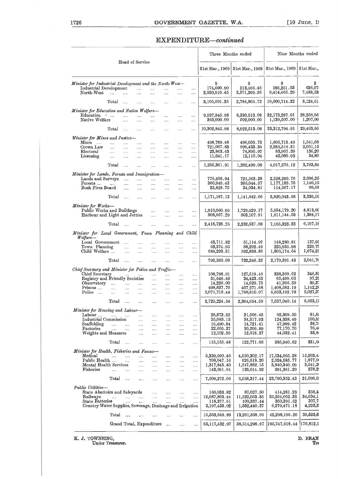### EXPENDITURE—continued

| 1726                                                                                                                                           |                                                                |                                                |                                                                            |                                                                                    |                                                     |                                                   |                                                          | GOVERNMENT GAZETTE, W.A.                                      |                                                               |                                                                  | $\lceil 10 \text{ June}, 19 \rceil$       |
|------------------------------------------------------------------------------------------------------------------------------------------------|----------------------------------------------------------------|------------------------------------------------|----------------------------------------------------------------------------|------------------------------------------------------------------------------------|-----------------------------------------------------|---------------------------------------------------|----------------------------------------------------------|---------------------------------------------------------------|---------------------------------------------------------------|------------------------------------------------------------------|-------------------------------------------|
|                                                                                                                                                |                                                                |                                                |                                                                            |                                                                                    |                                                     |                                                   |                                                          | EXPENDITURE-continued                                         |                                                               |                                                                  |                                           |
|                                                                                                                                                |                                                                | Head of Service                                |                                                                            |                                                                                    |                                                     |                                                   |                                                          | Three Months ended                                            |                                                               |                                                                  | Nine Months ended                         |
|                                                                                                                                                |                                                                |                                                |                                                                            |                                                                                    |                                                     |                                                   |                                                          | 31st Mar., 1969                                               | 31st Mar., 1968                                               | 31st Mar., 1969                                                  | 31st Mar.,                                |
| Minister for Industrial Development and the North-West-<br>Industrial Development<br>North-West                                                | $\sim$                                                         | $\ddotsc$                                      | $\mathbf{r}$<br>.                                                          | $\cdots$<br>as sa                                                                  | $\cdots$<br>$\ldots$                                | $\mathbf{r}$<br>$\cdots$                          | $\cdots$<br>$\cdots$                                     | S<br>174,690.90<br>2,930,910.45                               | Ŝ<br>213,466.46<br>2,571,399.26                               | S<br>586,251.03<br>9,414,463.29                                  | s<br>636,07<br>$^{7,488,539}$             |
|                                                                                                                                                | $_{\rm Total}$                                                 | $\ldots$                                       | $\cdots$                                                                   | $\cdots$                                                                           |                                                     |                                                   |                                                          | 3,105,601.35                                                  | $2{,}784{,}865{,}72$                                          | 10,000,714.32                                                    | 8,124,61                                  |
| Minister for Education and Native Welfare-<br>Education<br>Native Welfare                                                                      | $\sigma_{\rm{max}}$                                            | $\cdots$<br>.                                  | .<br>$\cdots$                                                              | .<br>                                                                              | .<br>                                               | <br>                                              | $\cdots$<br>$\cdots$                                     | 9,937,845.98<br>365,000.00                                    | 8,330,513.08<br>592,000.00                                    | 32,173,287.91<br>1,139,507.00                                    | 28,256,66<br>1,207,00                     |
|                                                                                                                                                | Total                                                          | $\sim$                                         | $\cdots$                                                                   |                                                                                    |                                                     | $\cdots$                                          |                                                          | 10,302,845.98                                                 | 8,922,513.08                                                  | 33, 312, 794. 91                                                 | 29,463,66                                 |
| Minister for Mines and Justice-<br>Mines<br>Crown Law<br>Electoral                                                                             | $\cdots$<br>$\cdots$<br>$\cdots$                               | $\cdots$<br>$\cdots$<br>$\cdots$               | $\cdots$<br>$\cdots$<br>$\cdots$                                           | <br>$\cdots$<br>$\cdots$                                                           | <br>$\cdots$<br>$\cdots$                            | $\cdots$<br>$\cdots$<br>$\cdots$                  | $\cdots$<br>$\cdots$<br>$\cdots$                         | 498,789.48<br>721,067.83<br>23,863.43                         | 496,059.73<br>699,433.34<br>74,895.97                         | 1,605,713.49<br>2,285,514.31<br>83,967.39                        | 1,541,68<br>2,051,15<br>136,20            |
| Licensing                                                                                                                                      | $\ldots$<br>Total                                              | $\cdots$                                       | $\cdots$                                                                   | $\cdots$                                                                           | $\cdots$                                            | $\cdots$                                          |                                                          | 11,641.17<br>1,255,361.91                                     | 12,110.04<br>1,282,499.08                                     | 42,080.93<br>4,017,276.12                                        | 34,80<br>3,763,84                         |
| Minister for Lands, Forests and Immigration-                                                                                                   |                                                                | $\sim$                                         | $\cdots$                                                                   | $\cdots$                                                                           | $\cdots$                                            | $\cdots$                                          | .                                                        |                                                               |                                                               |                                                                  |                                           |
| Lands and Surveys<br>Forests<br>Bush Fires Board                                                                                               | $\cdots$                                                       | <b>Section</b><br>$\cdots$<br>$\cdots$         | and the<br>$\mathbf{r}$<br>$\sim$ . $\sim$                                 | <br>$\cdots$<br>                                                                   | $\cdots$<br>$\mathbf{1}$                            | $\cdots$<br>$\cdots$                              | $\cdots$<br>$\cdots$<br>$\cdots$                         | 776,408.94<br>360,949.43<br>33,828.75                         | 721,563.28<br>386,044.57<br>34,034.81                         | 2,528,290.76<br>1,177,185.75<br>114,567.17                       | 2,096,25<br>1,140,15<br>99,68             |
|                                                                                                                                                | Total                                                          | $\sim 100$                                     | $\cdots$                                                                   |                                                                                    |                                                     |                                                   |                                                          | 1,171,187.12                                                  | 1,141,642.66                                                  | 3,820,043.68                                                     | 3,336,10                                  |
| Minister for Works-<br>Public Works and Buildings<br>Harbour and Light and Jetties                                                             |                                                                |                                                |                                                                            | $\cdots$<br>$\cdots$                                                               | $\sim$<br>$\cdots$                                  | <br>                                              | $\cdots$<br>                                             | 1,910,060.96<br>508,667.29                                    | 1,729,429.17<br>503,107.91                                    | 5,554,179.20<br>1,611,144.03                                     | 4,813,00<br>1,384,17                      |
|                                                                                                                                                | Total                                                          | $\cdots$                                       | $\cdots$                                                                   | $\cdots$                                                                           |                                                     | $\cdots$                                          | $\cdots$                                                 | 2,418,728.25                                                  | 2,232,537.08                                                  | 7,165,323.23                                                     | 6,197,18                                  |
| Minister for Local Government, Town Planning<br>Welfare—                                                                                       |                                                                |                                                |                                                                            |                                                                                    |                                                     |                                                   | and Child                                                |                                                               |                                                               |                                                                  |                                           |
| Local Government<br>Town Planning<br>Child Welfare                                                                                             |                                                                | $\cdots$<br>$\ddotsc$<br>$\cdots$              | $\cdots$<br>$\ldots$<br>$\cdots$                                           | <br><br>                                                                           | <br>.<br>                                           | <br>$\cdots$<br>                                  | <br><br>.                                                | 43,711.82<br>63,374.95<br>688,293.31                          | 51,114.97<br>88,292.49<br>592,838.86                          | 148,280.81<br>225,935.98<br>1,805,174.64                         | 137,65<br>229,79<br>1,674,25              |
|                                                                                                                                                | Total                                                          |                                                | $\cdots$                                                                   |                                                                                    |                                                     |                                                   |                                                          | 795,380.08                                                    | 732,246.32                                                    | 2,179,391.43                                                     | 2,041,70                                  |
| Chief Secretary and Minister for Police and Traffic-<br>Chief Secretary                                                                        |                                                                | and the state of                               |                                                                            | $\cdots$                                                                           | $\cdots$                                            |                                                   |                                                          | 108,798.91                                                    | 127,519.46                                                    | 338,369.62                                                       | 346,82                                    |
| Registry and Friendly Societies<br>Observatory<br>Prisons<br>Police                                                                            | $\Delta \Delta \Delta \Delta \Delta \Delta \Delta$<br>$\cdots$ | المتناء المتناء المتنا<br>$\cdots$<br>$\cdots$ | $\cdots$<br>$\cdots$                                                       | $\cdots$<br>$\cdots$<br>$\cdots$<br>$\cdots$                                       | $\cdots$<br>$\cdots$<br>$\cdots$<br>$\cdots$        | $\cdots$<br>$\cdots$<br>$\cdots$<br>$\cdots$<br>. | $\ldots$<br>$\cdots$<br>$\ldots$<br>$\cdots$<br>$\cdots$ | 31,648.49<br>14,226.00<br>498,837.70<br>2,071,713.44          | 34,423.63<br>14,629.75<br>407.271.68<br>1,780,810.07          | 95,499.05<br>41,396.50<br>1,408,582.19<br>5,653,192.78           | 97,29<br>39,37<br>1,142,26<br>5,027,37    |
|                                                                                                                                                | Total                                                          | $\sim 100$                                     | $\sim$ . $\sim$                                                            | $\cdots$                                                                           | $\cdots$                                            | $\ddotsc$                                         | $\cdots$                                                 | 2,725,224.54                                                  | 2,364,654.59                                                  | 7,537,040.14                                                     | 6,653,1;                                  |
| Minister for Housing and Labour-                                                                                                               |                                                                |                                                |                                                                            |                                                                                    |                                                     |                                                   |                                                          |                                                               |                                                               |                                                                  |                                           |
| Labour<br>Industrial Commission<br>Scaffolding<br>Factories<br>Weights and Measures                                                            | $\mu\mu\mu\tau\to\mu\mu\tau$                                   | التبيدات التبيدات التبيدات<br>المنتقل المنتدا  | $\mathbf{r}_{\mathbf{r},\mathbf{r}}$<br>$\sim$ .<br>$\ldots$ .<br>$\ldots$ | $\sim 100$<br>$\cdots$<br>$\sim$ . $\sim$<br>$\sim 100$                            | $\cdots$<br>$\cdots$<br>$\cdots$<br>$\ldots$ .      | $\ldots$ .<br>$\ldots$<br>$\cdots$<br>$\cdots$    | $\cdots$<br>$\cdots$<br>$\cdots$<br>$\ldots$ .           | 28,873.55<br>35,083.13<br>16,490.84<br>22,605.37<br>12,102.59 | 31,506.45<br>34,317.93<br>14,721.41<br>30,206.89<br>12,018.37 | 92,399.50<br>124,338.49<br>47,999.42<br>77,170.70<br>44,032.41   | 81,8<br>100,82<br>38,76<br>76,40<br>33,86 |
|                                                                                                                                                | Total                                                          |                                                | $\cdots$                                                                   | $\cdots$<br>$\cdots$                                                               | $\cdots$<br>$\cdots$                                | <br>$\cdots$                                      | $\ldots$<br>$\ldots$                                     | 115,155.48                                                    | 122,771.05                                                    | 385,940.52                                                       | 331,6                                     |
| Minister for Health, Fisheries and Fauna-                                                                                                      |                                                                |                                                |                                                                            |                                                                                    |                                                     |                                                   |                                                          |                                                               |                                                               |                                                                  |                                           |
| Medical<br>Public Health<br>Mental Health Services<br>Fisheries                                                                                | and the same                                                   | and the same of the same<br>$\sim 100$         | $\cdots$<br>$\sim$<br>$\sim 100$                                           | $\sim 10^{-11}$<br>$\cdots$<br>$\mathcal{L}_{\mathcal{A}}$ .<br>$\sim 10$          | $\sim 10$<br>$\cdots$<br>$\mathbf{r}$<br>$\ldots$ . | $\ldots$<br>$\ldots$<br>$\cdots$<br>$\cdots$      | $\ldots$<br>$\ldots$<br><br>$\sim$                       | 5,339,690.46<br>708,047.16<br>1,317,843.40<br>143,691.64      | 4,550,302.17<br>626,518.20<br>1,247,882.15<br>133,614.92      | 17,534,065.28<br>2,024,585.77<br>3,840,340.09<br>391,361.29      | 15,293,4<br>1,877,0<br>3,541,20<br>378,2  |
|                                                                                                                                                | Total                                                          | $\sim$                                         | $\ddotsc$                                                                  | $\cdots$                                                                           | $\cdots$                                            |                                                   | $\cdots$                                                 | $7,\!509,\!272.66$                                            | 6,558,317.44                                                  | 23,790,352.43                                                    | 21,090,0                                  |
| Public Utilities-<br>State Abattoirs and Saleyards<br>Railways<br>State Batteries<br>Country Water Supplies, Sewerage, Drainage and Irrigation |                                                                | التبيان المتناد المتنا<br>$\cdots$             | $\cdots$                                                                   | $\mathcal{L}_{\mathbf{z}}$ and $\mathcal{L}_{\mathbf{z}}$<br>and the<br>$\ldots$ . | $\ldots$<br>$\sim$<br>$\cdots$                      | $\cdots$<br>$\sim$<br>$\ldots$                    | $\cdots$<br>$\ldots$                                     | 160,033.82<br>12,087,803.44<br>118,377.61<br>3,197,435.02     | 87,027.50<br>11,522,053.35<br>100,337.44<br>1,552,440.37      | 414,281.23<br>35,254,052.33<br>350, 391.52<br>$6{,}279{,}471.18$ | 358,4<br>34,634,L<br>307,7<br>4,225,3     |
|                                                                                                                                                | Total                                                          | $\dddotsc$                                     | $\cdots$                                                                   | $\cdots$                                                                           | $\cdots$                                            | $\cdots$                                          | $\cdots$                                                 | 15,563,649.89                                                 | 13,261,858.66                                                 | 42,298,196.26                                                    | 39,525,6                                  |
|                                                                                                                                                |                                                                | Grand Total, Expenditure                       |                                                                            |                                                                                    |                                                     | $\cdots$                                          | $\cdots$                                                 | 65,117,432.97                                                 | 58,514,298.97                                                 | 195,747,618.44                                                   | 176,812,1                                 |
|                                                                                                                                                |                                                                |                                                |                                                                            |                                                                                    |                                                     |                                                   |                                                          |                                                               |                                                               |                                                                  |                                           |

K. J. TOWNSING, D. BRAN
Under Treasurer. Tre<sup>asurer.</sup> The contract of the contract of the contract of the contract of the contract of the contract of the contract of the contract of the contract of the contract of the cont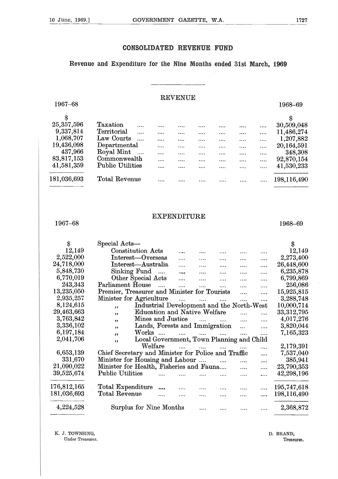#### **CONSOLIDATED REVENUE FUND**

Revenue and Expenditure for the Nine **Months ended 31st March, 1969**

#### REVENUE

| 1967-68      |                          |          |          |          |          |          |          | 1968-69     |
|--------------|--------------------------|----------|----------|----------|----------|----------|----------|-------------|
|              |                          |          |          |          |          |          |          |             |
| 25, 357, 596 | Taxation<br>$\cdots$     |          |          | .        |          |          | $\cdots$ | 30,509,048  |
| 9,337,814    | Territorial<br>$\cdots$  | $\cdots$ |          | $\cdots$ |          |          | $\cdots$ | 11,486,274  |
| 1,068,707    | Law Courts               | $\cdots$ |          | $\cdots$ | $\cdots$ |          | $\cdots$ | 1,207,882   |
| 19,436,098   | Departmental             | $\cdots$ |          |          | .        | $\cdots$ | $\cdots$ | 20,164,591  |
| 437,966      | Royal Mint<br>$\dddotsc$ | $\cdots$ |          |          |          | .        | $\cdots$ | 348,308     |
| 83,817,153   | Commonwealth             | $\cdots$ | $\cdots$ | $\cdots$ | $\cdots$ | .        | $\cdots$ | 92,870,154  |
| 41,581,359   | <b>Public Utilities</b>  |          | .        | $\cdots$ |          | .        |          | 41,530,233  |
| 181,036,693  | Total Revenue            |          | .        |          |          |          |          | 198,116,490 |
|              |                          |          |          |          |          |          |          |             |

#### EXPENDITURE

| \$                | Special Acts-                                                               | \$           |
|-------------------|-----------------------------------------------------------------------------|--------------|
| 12,149            | <b>Constitution Acts</b><br>.<br><br>                                       | 12,149       |
| 2,522,000         | Interest-Overseas<br>$\cdots$<br><br>.<br>.                                 | 2,273,400    |
| 24,718,000        | Interest-Australia<br>$\cdots$<br>.<br>.                                    | 26,448,600   |
| 5,848,730         | Sinking Fund<br>$\overline{\phantom{a}}$<br>$\cdots$<br><br>.<br>.          | 6,235,878    |
| 6,770,019         | Other Special Acts<br>$\cdots$<br>$\cdots$<br>$\cdots$<br>.                 | 6,799,869    |
| 243,343           | Parliament House<br>$\mathbf{1}$<br>$\cdots$<br>$\cdots$<br>$\cdots$        | 256,086      |
| 13,235,050        | Premier, Treasurer and Minister for Tourists<br>$\cdots$                    | 15,925,815   |
| 2,935,257         | Minister for Agriculture<br>$\dddotsc$<br>$\ddotsc$<br>$\cdots$<br>$\cdots$ | 3,288,748    |
| 8,124,615         | Industrial Development and the North-West<br>, ,                            | 10,000,714   |
| 29,463,663        | <b>Education and Native Welfare</b><br>$\ddotsc$<br>$\cdots$<br>,           | 33, 312, 795 |
| 3,763,842         | Mines and Justice<br>$\cdots$<br>.<br>,,                                    | 4,017,276    |
| 3,336,102         | Lands, Forests and Immigration<br>$\ddotsc$<br>$\cdots$<br>, 2              | 3,820,044    |
| 6,197,184         | Works<br>$\sim$<br>$\mathbf{1}$<br>$\cdots$<br>$\cdots$<br>$\cdots$<br>,,   | 7,165,323    |
| 2,041,706         | Local Government, Town Planning and Child<br>,                              |              |
|                   | Welfare<br>$\cdots$<br>.<br>                                                | 2,179,391    |
| 6,653,139         | Chief Secretary and Minister for Police and Traffic<br>                     | 7,537,040    |
| 331,670           | Minister for Housing and Labour<br>$\sim$ $\sim$<br>$\cdots$<br>.           | 385,941      |
| 21,090,022        | Minister for Health, Fisheries and Fauna<br>.                               | 23,790,353   |
| 39,525,674        | <b>Public Utilities</b><br>                                                 | 42,298,196   |
| 176,812,165       | Total Expenditure                                                           | 195,747,618  |
| $181,\!036,\!693$ | Total Revenue<br>.<br>$\cdots$                                              | 198,116,490  |
| 4,224,528         | Surplus for Nine Months                                                     | 2,368,872    |

K. J. TOWNSING,

Under Treasurer.

D. BRAND, Treasurer.

 $1967-68$  1968-69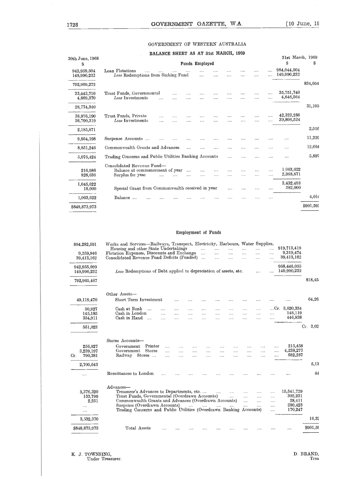#### GOVERNMENT OF WESTERN AUSTRALIA

| $\lceil 10 \text{ June} \rceil$ , 19 |                            |                      |                      |               | W.A.     | GAZETTE, |                |                    |          | <b>GOVERNMENT</b>                    |                                                                                   | .728                       |
|--------------------------------------|----------------------------|----------------------|----------------------|---------------|----------|----------|----------------|--------------------|----------|--------------------------------------|-----------------------------------------------------------------------------------|----------------------------|
|                                      |                            |                      |                      |               |          |          |                |                    |          | GOVERNMENT OF WESTERN AUSTRALIA      |                                                                                   |                            |
|                                      |                            |                      |                      |               |          |          |                |                    |          | BALANCE SHEET AS AT 31st MARCH, 1969 |                                                                                   |                            |
| S                                    | 31st March, 1969<br>S      |                      |                      |               |          |          | Funds Employed |                    |          |                                      |                                                                                   | 30th June, 1968<br>S       |
|                                      | 984,044,504<br>149,990,232 | $\cdots$             | .<br>.               |               |          |          |                |                    |          |                                      | Loan Flotations<br>Less Redemptions from Sinking Fund                             | 942,959,504<br>149,990,232 |
| 834,054                              |                            |                      |                      |               |          |          |                |                    |          |                                      |                                                                                   | 792,969,272                |
|                                      | 35,751,740<br>4,646,564    | .                    | $\cdots$<br>$\cdots$ | $\cdots$<br>  | .<br>.   | $\cdots$ |                | .<br>.             | $\cdots$ | $\cdots$                             | Trust Funds, Governmental<br>Less Investments                                     | 33,443,710<br>4,669,370    |
| 31,105                               |                            |                      |                      |               |          |          |                |                    |          |                                      |                                                                                   | 28,774,340                 |
|                                      | 42,323,286<br>39,806,524   | .                    | $\cdots$<br>.        | .<br>$\cdots$ | .        | .        |                |                    |          | $\sim$<br>$\cdots$                   | Trust Funds, Private<br>Less Investments                                          | 38,976,190<br>36,790,319   |
| 2,516                                |                            |                      |                      |               |          |          |                |                    |          |                                      |                                                                                   | 2,185,871                  |
| 11,339                               |                            |                      | .                    | $\cdots$      | $\cdots$ |          |                |                    |          |                                      | Suspense Accounts                                                                 | 9,954,198                  |
| 12,664                               |                            | .                    |                      | .             |          |          |                |                    |          |                                      | Commonwealth Grants and Advances                                                  | 8,851,246                  |
| 5,897                                | .                          |                      | .                    |               |          |          |                |                    |          |                                      | Trading Concerns and Public Utilities Banking Accounts                            | 5,075,424                  |
|                                      | 1.063,622<br>2,368,871     | $\cdots$<br>$\cdots$ | <br>$\cdots$         | .<br>         | <br>     | .<br>    | .              | $\sim$ $\sim$<br>. |          | $\ddotsc$                            | Consolidated Revenue Fund-<br>Balance at commencement of year<br>Surplus for year | 216,986<br>828,636         |
|                                      | 3,432,493<br>582,000       |                      | $\cdots$             | $\cdots$      | $\cdots$ |          |                |                    |          |                                      | Special Grant from Commonwealth received in year                                  | 1,045,622<br>18,000        |
| 4,014                                |                            |                      | $\cdots$             | .             |          |          |                |                    |          |                                      | Balance                                                                           | 1,063,622                  |
| \$901,592                            |                            |                      |                      |               |          |          |                |                    |          |                                      |                                                                                   | \$848,873,973              |

#### Employment of Funds

|           | 582,000                                               |                                                          |                                                |                                  |                        |                                  |                                  |                                  |                                  |                           |         | Special Grant from Commonwealth received in year                                                                                                                                                                                                                        | 18,000                                                |
|-----------|-------------------------------------------------------|----------------------------------------------------------|------------------------------------------------|----------------------------------|------------------------|----------------------------------|----------------------------------|----------------------------------|----------------------------------|---------------------------|---------|-------------------------------------------------------------------------------------------------------------------------------------------------------------------------------------------------------------------------------------------------------------------------|-------------------------------------------------------|
| 4,014     |                                                       |                                                          |                                                |                                  |                        |                                  |                                  |                                  |                                  |                           |         | Balance                                                                                                                                                                                                                                                                 | 1,063,622                                             |
| \$901,592 |                                                       |                                                          |                                                |                                  |                        |                                  |                                  |                                  |                                  |                           |         |                                                                                                                                                                                                                                                                         | \$848,873,973                                         |
|           |                                                       |                                                          |                                                |                                  |                        |                                  | Employment of Funds              |                                  |                                  |                           |         |                                                                                                                                                                                                                                                                         |                                                       |
|           |                                                       |                                                          |                                                |                                  |                        |                                  |                                  |                                  |                                  |                           |         |                                                                                                                                                                                                                                                                         |                                                       |
|           | 919,713,419                                           | $\ldots$                                                 |                                                | $\ldots$                         | $\cdots$               | $\cdots$                         | $\cdots$                         |                                  |                                  |                           |         | Works and Services-Railways, Transport, Electricity, Harbours, Water Supplies,<br>Housing and other State Undertakings                                                                                                                                                  | 894,282,591                                           |
|           | 9,319,474<br>39,413,162                               | $\cdots$<br>$\cdots$                                     | <br>$\cdots$                                   | $\cdots$<br>$\sim 100$           | $\cdots$<br>$\cdots$   | $\cdots$<br>$\ldots$             | $\sim$ 1.1.1.                    |                                  |                                  |                           |         | Flotation Expenses, Discounts and Exchange<br>Consolidated Revenue Fund Deficits (Funded)                                                                                                                                                                               | 9,259,946<br>39,413,162                               |
|           | 968,446,055<br>149,990,232                            |                                                          | $\sim 100$                                     |                                  |                        |                                  |                                  |                                  |                                  |                           |         | Less Redemptions of Debt applied to depreciation of assets, etc.                                                                                                                                                                                                        | 942,955,699<br>149,990,232                            |
| 818,45    |                                                       |                                                          |                                                |                                  |                        |                                  |                                  |                                  |                                  |                           |         |                                                                                                                                                                                                                                                                         | 792,965,467                                           |
| 64,26     |                                                       |                                                          |                                                |                                  |                        |                                  |                                  |                                  |                                  |                           |         | Other Assets-<br>Short Term Investment                                                                                                                                                                                                                                  |                                                       |
|           |                                                       |                                                          | $\cdots$                                       |                                  |                        |                                  | $\cdots$                         | $\cdots$                         |                                  |                           |         |                                                                                                                                                                                                                                                                         | 49,119,470                                            |
|           | $Cr. 3,620,334$<br>148,119<br>446,838                 | $\cdots$<br>$\cdots$                                     | <br>$\cdots$<br>$\cdots$                       | <br><br>                         | <br>$\cdots$<br>       | $\cdots$<br>$\cdots$<br>$\cdots$ | $\cdots$<br>$\cdots$<br>$\cdots$ | $\ldots$<br>$\cdots$<br>$\cdots$ | $\cdots$<br>$\cdots$<br>$\cdots$ | .<br>$\cdots$<br>$\cdots$ |         | Cash at Bank<br>Cash in London<br>Cash in Hand                                                                                                                                                                                                                          | 50,927<br>145,185<br>354,911                          |
| $Cr$ 3,02 |                                                       |                                                          |                                                |                                  |                        |                                  |                                  |                                  |                                  |                           |         |                                                                                                                                                                                                                                                                         | 551,023                                               |
|           | 215,458<br>4,238,277<br>682,287                       | .<br><br>                                                | $\cdots$<br>$\cdots$                           | $\cdots$<br>$\cdots$             | $\cdots$<br>$\cdots$   | $\cdots$<br>$\cdots$<br>$\cdots$ | $\cdots$<br>$\cdots$             | $\cdots$<br>$\cdots$             | .<br>$\cdots$<br>$\cdots$        | <br>                      | Printer | Stores Accounts-<br>Government<br>Government Stores<br>Railway Stores                                                                                                                                                                                                   | 256,827<br>3,239,197<br>790,381<br>Cr.                |
| 5,13      |                                                       |                                                          |                                                |                                  |                        |                                  |                                  |                                  |                                  |                           |         |                                                                                                                                                                                                                                                                         | 2,705,643                                             |
| 44        |                                                       |                                                          |                                                |                                  |                        |                                  |                                  |                                  |                                  |                           |         | Remittances to London                                                                                                                                                                                                                                                   | $\cdots$                                              |
|           | 15,541,729<br>302,231<br>28,411<br>280,423<br>170,247 | $\cdots$<br>$\cdots$<br>$\cdots$<br>$\cdots$<br>$\cdots$ | $\cdots$<br>$\sim 100$<br>$\ldots$<br>$\ldots$ | $\cdots$<br>$\cdots$<br>$\cdots$ | $\cdots$<br>$\sim 100$ | $\sim 100$                       |                                  |                                  |                                  |                           |         | Advances-<br>Treasurer's Advances to Departments, etc<br>Trust Funds, Governmental (Overdrawn Accounts)<br>Commonwealth Grants and Advances (Overdrawn Accounts)<br>Suspense (Overdrawn Accounts)<br>Trading Concerns and Public Utilities (Overdrawn Banking Accounts) | 3,376,320<br>153,799<br>2,251<br>$\cdots$<br>$\cdots$ |
| 16,32     |                                                       |                                                          |                                                |                                  |                        |                                  |                                  |                                  |                                  |                           |         |                                                                                                                                                                                                                                                                         | 3,532,370                                             |
| \$901,59  | $\cdots$                                              |                                                          |                                                |                                  |                        |                                  |                                  |                                  |                                  | $\cdots$                  |         | Total Assets                                                                                                                                                                                                                                                            | \$848,873,973                                         |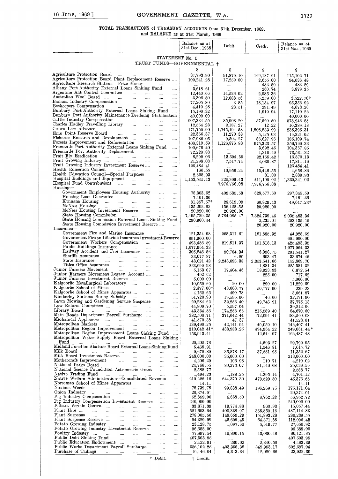#### **TOTAL TRANSACTIONS of TREASURY ACCOUNTS** from 31th December, 1968, and BALANCE as at 31st March, 1969

GOVERNMENT GAZETTE, W.A.<br>
TIONS of TREASURY ACCOUNTS from 31th December, 1968,<br>
and BALANCE as at 31st March, 1969 Balance as at 31st Dec., 1968 Debit Balance as at Credit 31st Mar., 1969 STATEMENT No. 1 TRUST FUNDS—GOVERNMENTAL t S  $\begin{array}{ccc} \text{s} & \text{ } & \text{s} & \text{ } & \text{s} \end{array}$ Agriculture Protection Board .... 37,793.90 91,879.10 169,187.91 115,102.71 Agriculture Protection Board Plant Replacement Reserve .... 109,241.28 17,259.80 2,655.00 94,636.48 Agriculture Research Stations—Prize Money . . . 483.89 483.89 Albany Port Authority External Loans Sinking Fund .... 3,618.61 260.74 3,879.35 Argentine Ant Control Committee .". 12,440.66 14,526.02 2,085.36 .... Australian Wool Board .... 3,306.80 12,088.56 5,259.00 3,522.76\* Banana Industry Compensation 77,205.80 3.85 18,154.97 95,356.92 Beekeepers Compensation 4,410.28 28.51 291.49 4,673.26 Bunbury Port Authority External Loans Sinking Fund 15,190.32 1,919.94 17,110.26 Bunbury Port Authority Maintenance Dredging Stabilisatio <sup>n</sup> 40,000.00 40,000.00 Cattle Industry Compensation .... ..•• 607,334.55 85,908.20 57,520.50 578,946.85 Charles Hadley Travelling Library 12,564.23 2,187.27 12.22 10,389.18 Crown Law Advance. 171,755.90 1,745,194.58 1,808,833.99 235,395.31 Emu Point Reserve Board. 22,366.37 11,270.38 5,125.03 16,221.02 Fisheries Research and Development .... 107,986.05 9,504.27 86,627.96 185,109.74 Forests Improvement and Reforestation .... 408,319.59 1,126,876.83 975,323.57 256,766.33 Fremantle Port Authority External Loans Sinking Fund 100,675.40 3,692.45 104,367.85 Fremantle Port Authority Replacement .... 72,220.83 1,310.49 73,531.32 Fruit Fly Eradication 8,299.06 13,594.35 22,165.42 16,870.13 Fruit Growing Industry .... ".. 21,298.03 7,517.74 4,030.87 17,811.16 Fruit Growing Industry Investment Reserve .... 126,484.4 126,484.41 Health Education Council 166.55 10,956.24 15,448.55 4,658.86 Health Education Council—Special Purposes 2,808.93 31.00 2,839.93 Hospital Buildings and Equipment .... 1,153,545.43 225,309.43 411,105.02 1,339,341.02 Hospital Fund Contributions .... . 7,976,756.08 7,976,756.08 .... Hospital Fund Contributions .... Government Employees Housing Authority 78,303.52 409 535.53 628,577.60 297,345.59 Housing Loan Guarantee .... 7,461.36 .... 7,461.36 Kwinana Housing .... 81,857.57\* 28,619.09 60,829.43 49,647.23\* McNess Housing  $\ldots$   $\ldots$   $\ldots$   $\ldots$   $\ldots$   $\ldots$   $\ldots$   $\frac{135,202.52}{156,122.52}$   $\frac{20,920.00}{20,920.00}$  $\begin{array}{|l|l|} \hline \text{Growing Indusity}\end{array} \begin{array}{|l|l|} \hline \text{Crowing Industry}\end{array} \begin{array}{|l|l|} \hline \text{Crowing Industry}\end{array} \begin{array}{|l|l|} \hline \text{Crowing Industry}\end{array} \begin{array}{|l|l|} \hline \text{Crowing Industry}\end{array} \begin{array}{|l|l|} \hline \text{Crowing Industry}\end{array} \begin{array}{|l|l|} \hline \text{Crowing Industry}\end{array} \begin{array}{|l|l|} \hline \text{Cerving Industry}\end{array} \begin{array$ State Housing Commission 7,495,729.35 5,784,985.47 7,324,739.46 9,035,483.34 State Housing Commission External Loans Sinking Fund 290,900.44 2,235.01 293,135.45 State Housing Commission Investment Reserve 20,920.00 20,920.00 Insurance Government Fire and Marine Insurance 11 metal 121,354.98 258,311.61 181,885.32 44,928.69 44,928.69 31,900.00 Government Fire and Marine Insurance Investment Reserve 691,900.0 691,900.00 Government Workers Compensation .... 493,486.59 219,811.37 151,818.13 425,493.35 Covernment Workers Compensation .... .... .... 493,486.59 219,811.37 151,818.13 425,493.35<br>
Public Buildings Insurance .... .... .... .... 1,077,964.33 .... .... .... 1,077,964.33<br>
Railway Accident and Fire Insurance .... Railway Accident and Fire Insurance 305,846.86 90,704.34 76,398.75 291,541.27<br>
Sheriffs Assurance 30.077.87 83,077.87 6.89 603.47 33,674.45<br>
State Insurance 33,077.87 83,071.87 6.89 603.47 33,674.45<br>
Titles Office Assuranc Sheriffs Assurance 310 Find the Insurance 33,077.87 (33,674.45 State Insurance 33,674.45 State Insurance 33,674.45 State Insurance 33,674.45 State Insurance .... 43,021.42 2,243,693.38 2,353,541.66 152,869.70 Titles Office Assurance .... 223,699.98 1,881.34 225,581.32 Junior Farmers Movement .... .... .... .... .... | 17,404.46 | 18,923.93 | 16,672.54<br>Junior Farmers Movement Legacy Account .... .... .... | 192.62 | .... 225.00 717.62 Junior Farmers Investment Reserve .... 5,000.00 5,000.00 Kalgoorlie Metallurgical Laboratory .... 10,959.69 20.00 290.00 11,229.69 Kalgoorlie School of Mines .... .... .... .... .... | 2,477.00\* 48,060.77 50,777.00 239.23<br>Kalgoorlie School of Mines Apparatus .... .... .... .... | 4.152.65 490.78 .... | 3,661.87 Kimberley Stations Boring Subsidy .... 51,720.90 19,595.00 46.00 32,171.90 Lawn Mowing and Gardening Service Suspense .... .... 20,284.62 32,256.40 49,746.91 37,775.13<br>Law Reform Committee .... .... .... .... .... .... 44,809.70 5,597.64 .... 39,212.06 Library Board .. 43,334.86 174,253.66 215,589.40 84,670.60 Main Roads Department Payroll Surcharge .... 382,508.71 371,642.44 172,694.41 183,560.68 Mechanical Appliances 41,570.38 47.37 41,523.01 Metropolitan Markets .... 139,490.25 42,141.94 49.,059 . 10 146,407.41 Metropolitan Region Improvement 310,042.41\* 433,983.25 494,964.22 249,061.44\* Metropolitan Region Improvement Loans Sinking Fund ... 153,943.41 12,544.07 166,487.48 Metropolitan Water Supply Board External Loans Sinking Fund 25,205.78 4,593.27 29,799.05 Midland Junction Abattoir Board External Loans Sinking Fund 5,468.91 1,546.81 7,015.72 Milk Board 9,678.89 35,878.17 37,551.95 11,352.67 Milk Board Investment Reserve 248,000.00 35,000.0  $110.71$ <br>81,146.08 213,000.00<br>4,210.02 Mothercraft Improvement 4,206.29 106.98 110.71 4,210.02 National Parks Board ... 24,766.55 80,273.07 81,146.08 25,639.56 National Science Foundation Asirometric Grant .... 2,588.77 2,588.77 Native Trading Fund ". 1,494.23 1,188.25 4.395.14 4,701.12 Native Welfare Administration—Consolidated Revenue 210,226.16 644,379.30 479,529.80 45,376.66 Norseman School of Mines Apparatus 14.1 196,269.75  $14.11$ <br>175,171.04 Noxious Weeds .... 78,739.78 99,838.49 196,269 .75 175,171.04 Milk Board Investment Reservent and Junction Abatter Board External Loans Sinking Fund<br>
Milk Board Investment Reservent and and the community of the Sand and the Sand and the Sand and the Sand and and an an an an an an an  $8.762.22$ 20,374.91<br>56,952.72 Pig Industry Compensation .... .... .... .... .... | 52,859.00 | 4,668.50 | 8,762.22 | 56,952.72<br>Pig Industry Compensation Investment Reserve .... .... | 240,000.00 | .... ... | 240,000.00 Pilbara Vermin Control .... 33,871.39 19,7.74.88 960.93 15,057.44 Plant Hire .... 521,603.64 400,338.97 365,850.16 487,114.83 Plant Suspense .... 278,005.56 149,659.29 151,893.28 280,239.55 Plant Suspense Reserve .... 94,329.99 46,605.45 64,371.88 112,096.42 Potato Growing Industry 23,128.75 1,097.60 5,619.77 27,650.92 Potato Growing Industry Investment Reserve 96,688.00 96,688.00 Poultry Industry 77,897.54 10,806.15 13,030.46 80,121.85 Public Debt Sinking Fund 407,503.95 .... .... 407,503.95 Public Education Endowment ..\_ 2,422.91 280.02 2,340.50 4,483.39 Public Works Department Payroll Surcharge 656,102.25 403,358.38 349,953.17 602,697.04 Purchase of Tailings .... 16,146.04 4,313.34 12,089 66 23,922.36  $\begin{array}{cccccccc} \cdot & \dots & \dots & \dots & \cdot & 14.1. \end{array}$   $\begin{array}{cccccccc} \dots & \dots & \dots & \cdot & 14.1. \end{array} \begin{array}{c} \text{14.1.} \\ \dots & \dots & \dots & \cdot & 20,3739.73 \end{array} \begin{array}{cccccccc} \dots & \dots & \dots & \cdot & 14.1. \end{array} \begin{array}{c} \text{14.1.} \\ \dots & \dots & \dots & \cdot & 20,373 & .71. \end{array} \begin{array}{cccccccc} \dots & \dots & \dots & \cdot & 52,859.00$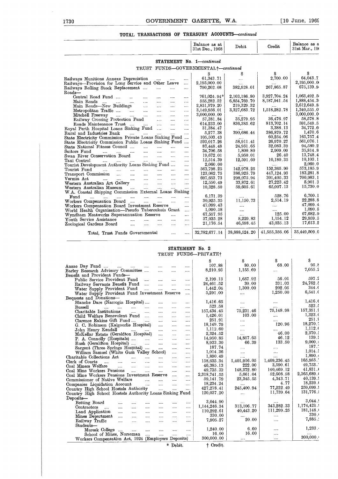#### TOTAL TRANSACTIONS OF TREASURY ACCOUNTS-continued

|                                                                                                                                                                                          |                                                                                                                                   |          |          | Balance as at<br>31st Dec., 1968    | Debit         | Credit        | Balance as a<br>31st Mar., 19 |
|------------------------------------------------------------------------------------------------------------------------------------------------------------------------------------------|-----------------------------------------------------------------------------------------------------------------------------------|----------|----------|-------------------------------------|---------------|---------------|-------------------------------|
|                                                                                                                                                                                          |                                                                                                                                   |          |          | STATEMENT No. 1-continued           |               |               |                               |
|                                                                                                                                                                                          |                                                                                                                                   |          |          | TRUST FUNDS-GOVERNMENTALT-continued |               |               |                               |
|                                                                                                                                                                                          |                                                                                                                                   |          |          | s                                   | S             | S             | S                             |
| Railways Munitions Annexe Depreciation                                                                                                                                                   | $\cdots$                                                                                                                          | $\cdots$ | $\cdots$ | 61,343.71                           | $\cdots$      | 2,700.00      | 64,043.7                      |
| Railways-Provision for Long Service and Other Leave                                                                                                                                      |                                                                                                                                   |          | $\cdots$ | 2,195,000.00                        | 1.111         |               | 2,195,000.0                   |
| Railways Rolling Stock Replacement                                                                                                                                                       |                                                                                                                                   |          | $\cdots$ | 790,202.08                          | 382,928.01    | 267,865.87    | 675,139.9                     |
| Roads-                                                                                                                                                                                   |                                                                                                                                   |          |          |                                     |               |               |                               |
| Central Road Fund                                                                                                                                                                        | $\cdots$                                                                                                                          | $\cdots$ | $\cdots$ | 761,024.94*                         | 2,103,186.80  | 3,927,704.24  | 1,063,492.5                   |
| Main Roads<br>and the state of the state of the<br><b>Castle Committee</b><br>$\cdots$                                                                                                   | $\sim 100$                                                                                                                        | $\cdots$ |          | 555,282.52                          | 6,854,769.70  | 8,187,941.54  | 1,888,454.3                   |
| Main Roads-New Buildings                                                                                                                                                                 |                                                                                                                                   | $\cdots$ |          | 2,831,979.20                        | 219,329.32    |               | 2,612,649.8                   |
| Metropolitan Traffic                                                                                                                                                                     |                                                                                                                                   | $\cdots$ |          | 3,149,956.01                        | 3,327,683.72  | 1,518,282.78  | 1,340,555.0                   |
| المتداح المتداح المتداح المتداح<br>Mitchell Freeway                                                                                                                                      |                                                                                                                                   | $\cdots$ |          | 3,000,000.00                        |               |               | 3,000,000.0                   |
| Railway Crossing Protection Fund                                                                                                                                                         |                                                                                                                                   | $\cdots$ | $\cdots$ | 57,381.84                           | 35,279.95     | 36,476.97     | 58,578.8                      |
| Roads Maintenance Trust                                                                                                                                                                  |                                                                                                                                   |          | $\cdots$ | 614,233.00                          | 836, 385.62   | 813,702.14    | 591,549.5                     |
| Royal Perth Hospital Loans Sinking Fund                                                                                                                                                  |                                                                                                                                   | $\cdots$ | $\cdots$ | 31,384.47                           | $\cdots$      | 3,388.13      | 34,772.6                      |
| Rural and Industries Bank<br>$\cdots$<br>$\sim$ 0.000 $\sim$                                                                                                                             | <b>Contract Contract</b>                                                                                                          | $\cdots$ | $\cdots$ | 5,277.38                            | 390,686.44    | 386,879.72    | 1,470.6                       |
| State Electricity Commission Private Loans Sinking Fund                                                                                                                                  |                                                                                                                                   |          |          | 105,503.43                          |               | 60,254.06     | 165,757.4                     |
| State Electricity Commission Public Loans Sinking Fund                                                                                                                                   |                                                                                                                                   |          |          | 593,017.26                          | 58,911.41     | 26,970.27     | 561,076.1                     |
| State National Fitness Council<br><b>Contract</b>                                                                                                                                        | and the                                                                                                                           | $\cdots$ |          | 87,448.48                           | 24,951.65     | 32,083.39     | 94,580.2                      |
| Suitors Fund<br>and the same control of the same<br>$\cdots$                                                                                                                             | $\sim$                                                                                                                            | $\cdots$ |          | 34,706.58                           | 1,800.80      | 2,909.09      | 35,814.8                      |
| Swan River Conservation Board<br><b>Sales Control</b>                                                                                                                                    | <b>Section</b>                                                                                                                    | $\cdots$ | $\cdots$ | 19,672.01                           | 5,950.01      | 26.40         | 13,748.4                      |
| Taxi Control<br><b>Second</b><br><b>Second</b><br>and the state of                                                                                                                       | $\mathbf{1}_{\mathbf{1}_{\mathbf{2}}\mathbf{1}_{\mathbf{3}}\mathbf{2}_{\mathbf{4}}\mathbf{3}_{\mathbf{5}}\mathbf{4}_{\mathbf{6}}$ | $\cdots$ | $\cdots$ | 12,514.39                           | 12,591.60     | 10,180.35     | 10, 103.1                     |
| Tourist Development Authority Loans Sinking Fund                                                                                                                                         |                                                                                                                                   |          | $\cdots$ | 2,060.00                            |               |               | 2,060.0                       |
| Tourist Fund<br>and the state<br>المستناد المقداد المقدا                                                                                                                                 | $\cdots$                                                                                                                          |          | $\cdots$ | 563,798.25                          | 142,978.25    | 152,365.90    | 573,185.9                     |
| Transport Commission                                                                                                                                                                     | $\mathbf{r}_i$ , $\mathbf{r}_i$ , $\mathbf{r}_i$ , $\mathbf{r}_i$                                                                 | $\cdots$ | $\cdots$ | 123,082.75                          | 386,925.79    | 447, 124. 93  | 183,281.8                     |
| Vermin Act<br>$\frac{1}{2}$ . The contract of $\frac{1}{2}$ is the contract of $\frac{1}{2}$<br>$\mathbf{1}_{\mathbf{2},\mathbf{3},\mathbf{4}}$ and $\mathbf{1}_{\mathbf{3},\mathbf{4}}$ | <b>Service</b>                                                                                                                    | $\cdots$ | $\cdots$ | 697, 653.73                         | 298,075.94    | 301,405.33    | 700,983.1                     |
| Western Australian Art Gallery                                                                                                                                                           |                                                                                                                                   | $\cdots$ | $\cdots$ | 12,550.49                           | 33,872.61     | 27,223.42     | 5,901.3                       |
| Western Australian Museum<br><b>Contract Contract</b><br><b>Contractor</b>                                                                                                               | $\sim$                                                                                                                            | $\cdots$ | $\cdots$ | 10,328.50                           | 59,605.61     | 65,007.13     | 15,730.0                      |
| W.A. Coastal Shipping Commission External Loans Sinking                                                                                                                                  |                                                                                                                                   |          |          |                                     |               |               |                               |
| Fund<br>$\cdots$<br>$\sim 10^{-11}$<br>.<br>$\cdots$<br>$\sim$                                                                                                                           | $\cdots$                                                                                                                          | $\cdots$ | $\cdots$ | 6,171.39                            |               | 528.76        | 6,700.1                       |
| Workers Compensation Board<br><b>Section</b>                                                                                                                                             | $\sim 10^{-10}$                                                                                                                   | $\cdots$ | $\cdots$ | 30,925.35                           | 11,150.73     | 2,514.19      | 22,288.8                      |
| Workers Compensation Board Investment Reserve                                                                                                                                            |                                                                                                                                   |          | $\cdots$ | 47,099.43                           |               | $\ldots$ .    | 47,099.4                      |
| World Health Organisation-Pseudo Tuberculosis Grant                                                                                                                                      |                                                                                                                                   |          | $\cdots$ | 1,090.58                            | $\cdots$      |               | 1,090.5                       |
| Wyndham Meatworks Superannuation Reserve                                                                                                                                                 |                                                                                                                                   | $\sim$   | $\cdots$ | 67,557.95                           | $\cdots$      | 125.00        | 67,682.9                      |
| Youth Service Assistance<br>and the<br><b>Sales Control</b>                                                                                                                              | $\cdots$                                                                                                                          | $\cdots$ | $\cdots$ | 37,035.28                           | 8,229.83      | 1,154.12      | 29,959.5                      |
| Zoological Gardens Board<br><b>Service</b><br><b>Service</b>                                                                                                                             | $\sim$ . $\sim$                                                                                                                   | $\cdots$ | $\cdots$ | 21,176.54                           | 46,598.45     | 43,035.13     | 17,613.2                      |
|                                                                                                                                                                                          |                                                                                                                                   |          |          |                                     |               |               |                               |
| Total, Trust Funds Governmental                                                                                                                                                          |                                                                                                                                   | $\cdots$ | $\cdots$ | 32,782,677.14                       | 38,888,524.20 | 41,555,356.06 | 35,449,509.0                  |
|                                                                                                                                                                                          |                                                                                                                                   |          |          |                                     |               |               |                               |

#### STATEMENT No. 2 TRUST FUNDS-PRIVATE

|                                                                 |          |                      |          |          | S            | S            | s            | s          |
|-----------------------------------------------------------------|----------|----------------------|----------|----------|--------------|--------------|--------------|------------|
| Anzae Day Fund                                                  | $\cdots$ | $\cdots$             |          | $\cdots$ | 107.88       | 80.00        | 68.00        | 95.8       |
| Barley Research Advisory Committee                              |          | $\sim$ $\sim$ $\sim$ | $\cdots$ | $\cdots$ | 8,210.93     | 1,155.69     | .            | 7,055.2    |
| Benefit and Provident Funds-                                    |          |                      |          |          |              |              |              |            |
| Public Service Provident Fund                                   | $\cdots$ | $\cdots$             | $\cdots$ |          | 2,199.13     | 1,657.92     | 56.01        | 597.2      |
| Railway Servants Benefit Fund                                   |          | $\sim$               | $\cdots$ | $\cdots$ | 24,461.52    | 30.00        | 331.03       | 24,762.5   |
| Water Supply Provident Fund                                     |          | $\cdots$             | $\cdots$ |          | 1,442.04     | 1,300.00     | 202.05       | 344 (      |
| Water Supply Provident Fund Investment Reserve                  |          |                      |          | $\cdots$ | 5,291.00     |              | 1,250.00     | 6,541.     |
| Bequests and Donations-                                         |          |                      |          |          |              |              |              |            |
| Blanche Dare (Narrogin Hospital)                                |          |                      |          | $\cdots$ | 1,416.65     | $\cdots$     | $\cdots$     | 1,416.6    |
| Bussell<br>and the man of the state of the                      |          | $\cdots$             |          | $\cdots$ | 523.58       | $\cdots$     | $\cdots$     | 523.5      |
| Charitable Institutions<br>and the same                         |          | $\cdots$             |          |          | 157,434.45   | 75,231.46    | 75,148.98    | 157,351.9  |
| Child Welfare Benevolent Fund                                   |          |                      | $\cdots$ | $\cdots$ | 1,426.01     | 103.00       | $\cdots$     | 1,323.0    |
| Clarence Eakins Gift Fund                                       |          | $\sim$ $\sim$ $\sim$ |          | $\cdots$ | 251.91       | .            |              | 251.9      |
| G. C. Robinson (Kalgoorlie Hospital)                            |          |                      | $\cdots$ |          | 18,149.79    | $\cdots$     | 120.96       | 18,270.5   |
| John Henry Kendall                                              |          |                      | $\cdots$ |          | 1,112.60     | $\cdots$     |              | 1,112.6    |
| McKellar Estate (Geraldton Hospital)                            |          |                      | $\cdots$ | $\cdots$ | 2.324 52     | $\sim 100$   | 46.00        | 2,370.8    |
| P. A. Connolly (Hospitals)                                      |          |                      | $\cdots$ | $\cdots$ | 14,950.85    | 14,857.65    | 46.12        | - 139 -    |
| Rush (Geraldton Hospital)                                       |          | $\cdots$             | $\cdots$ | $\cdots$ | 8,933.30     | 66.39        | 133.50       | 9,000.9    |
| Sargent (Three Springs Hospital)                                |          | <b>Contractor</b>    | $\cdots$ | $\cdots$ | 187.74       | 1.11         |              | 187.       |
| William Samuel (White Gum Valley School)                        |          |                      | $\cdots$ | $\cdots$ | 1,014.36     | $\cdots$     | $\cdots$     | $1,014$ .  |
| Charitable Collections Act                                      |          | $\cdots$             |          | $\cdots$ | 1,890.49     |              | $\cdots$     | 1,890.9    |
| Clerk of Courts<br>المنبار المتبرز المتبرز الهيير               |          | $\sim 100$           | $\cdots$ | $\cdots$ | 158,635.34   | 1,401,916.05 | 1,409,236.45 | 165,955.   |
| Coal Miners Welfare<br>التبيدات التبيدات البييدات               |          | <b>Service</b>       | $\cdots$ | $\cdots$ | 46,385.13    | 222.00       | 3,590.61     | 49.753.    |
| Coal Mine Workers Pensions                                      | $\cdots$ | $\cdots$             | $\cdots$ | $\cdots$ | 49,735.32    | 148,372.80   | 140,469.12   | 41,831.    |
| Coal Mine Workers Pensions Investment Reserve                   |          |                      |          | $\cdots$ | 2,318,741.55 | 5,661.04     | 52,608.58    | 2,365,689. |
| Commissioner of Native Welfare                                  |          | and the              | $\cdots$ | $\cdots$ | 59,141.79    | 23,345.55    | 4,343.71     | 40,139.1   |
| Companies Liquidation Account                                   |          | المستحدث المساحي     | $\sim$   | $\cdots$ | 18,234.24    | $\cdots$     | 4.77         | 18,239.    |
| Country High School Hostels Authority                           |          | <b>Contractor</b>    | $\cdots$ | $\cdots$ | 427,278.41   | 245,400.94   | 77,222.49    | 259,099.   |
| Country High School Hostels Authority Loans Sinking Fund        |          |                      |          |          | 120,037.20   | $\cdots$     | 11,739.64    | 131,776    |
| Deposits-                                                       |          |                      |          |          |              |              |              |            |
| Betting Board<br>$\cdots$                                       |          |                      |          |          | 3,044.90     |              |              | 3,044.     |
| Contractors<br><b>Contract Contract</b><br>$\cdots$<br>$\cdots$ | $\cdots$ | $\cdots$             |          |          | 1,144,246.34 | 313,106.77   | 343,282.33   | 1,174,421. |
| Land Application<br>$\cdots$<br>$\cdots$                        | $\cdots$ | $\cdots$             | $\cdots$ |          | 110,292.61   | 40,443.20    | 111,299.25   | 181,148.   |
| Mines Department<br>$\cdots$                                    | $\cdots$ | $\sim$               |          |          | 330.00       |              | $\cdots$     | 330.       |
| Railway Traffic<br>$\cdots$<br>$\cdots$                         | $\cdots$ | $\cdots$             | $\cdots$ | $\cdots$ | 7,905.27     | 20.00        |              | 7,885.     |
| Students-                                                       |          |                      |          |          |              |              |              |            |
| Muresk College<br><b>Seattle</b>                                | $\cdots$ | $\cdots$             |          | $\cdots$ | 1,240.00     | 6.60         |              | 1,233.     |
| School of Mines, Norseman                                       |          | $\cdots$             |          | $\cdots$ | 16.00        | 16.00        | $\cdots$     | $\cdots$   |
| Workers Compensation Act, 1924 (Employers Deposits)             |          |                      |          |          | 300,000.00   |              |              | 300,000.   |
|                                                                 |          |                      |          |          |              |              |              |            |

 $\hspace{0.1mm}^*$  Debit.

† Credit.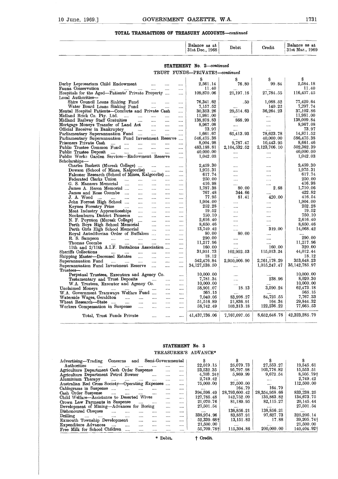#### **TOTAL TRANSACTIONS OF TREASURY ACCOUNTS--continued**

|                 |                                                   | Balance as at<br>31st Dec., 1968 | Debit | Credit | Balance as at<br>31st Mar., 1969 |
|-----------------|---------------------------------------------------|----------------------------------|-------|--------|----------------------------------|
|                 | TOTAL TRANSACTIONS OF TREASURY ACCOUNTS-continued |                                  |       |        |                                  |
| 10 June, 1969.] | GOVERNMENT GAZETTE, W.A.                          |                                  |       |        | 1731                             |
|                 |                                                   |                                  |       |        |                                  |
|                 |                                                   |                                  |       |        |                                  |
|                 |                                                   |                                  |       |        |                                  |
|                 |                                                   |                                  |       |        |                                  |
|                 |                                                   |                                  |       |        |                                  |

#### **STATEMENT** No. 2-continued TRUST FUNDS-PRIVATE<sup>+</sup>-continued

| <b>TOTAL TRANSACTIONS OF TREASURY ACCOUNTS—continued</b>                                                                |                      |                |                                  |                          |              |                                  |
|-------------------------------------------------------------------------------------------------------------------------|----------------------|----------------|----------------------------------|--------------------------|--------------|----------------------------------|
|                                                                                                                         |                      |                | Balance as at<br>31st Dec., 1968 | Debit                    | Credit       | Balance as at<br>31st Mar., 1969 |
|                                                                                                                         |                      |                | STATEMENT No. 2-continued        |                          |              |                                  |
|                                                                                                                         |                      |                |                                  |                          |              |                                  |
|                                                                                                                         |                      |                | TRUST FUNDS-PRIVATE+-continued   |                          |              |                                  |
|                                                                                                                         |                      |                | S                                | 8                        |              | S                                |
| Derby Leprosarium Child Endowment<br>                                                                                   |                      |                | 2,561.14                         | 76.80                    | 99.84        | 2,584.18                         |
| Fauna Conservation<br>$\sim 100$<br>$\cdots$<br>Hospitals for the Aged—Patients' Private Property                       |                      |                | 11.40<br>109,870.06              | 21, 197. 16              | 27,784.55    | 11.40<br>116,457.45              |
| Local Authorities-                                                                                                      |                      | $\cdots$       |                                  |                          |              |                                  |
| Shire Council Loans Sinking Fund<br>المعامد                                                                             | $\overline{a}$       | $\cdots$       | 76,341.62                        | .50                      | 1,088.52     | 77,429.64                        |
| Water Board Loans Sinking Fund<br>$\cdots$                                                                              | $\ddotsc$            |                | 7,157.52                         |                          | 140.22       | 7,297.74                         |
| Mental Hospital Patients-Comforts and Private Cash                                                                      |                      | المملاء        | 30,353.26                        | 29,514.63                | 36,264.23    | 37,102.86                        |
| Midland Brick Co. Pty. Ltd.<br>$\cdots$<br>$\cdots$                                                                     |                      |                | 11,981.00                        |                          |              | 11,981.00                        |
| Midland Railway Staff Gratuities<br>$\ddotsc$<br>$\cdots$                                                               |                      |                | 138,878.83                       | 868.99                   | المعادي      | 138,009.84<br>8,967.08           |
| Mortgage Moneys Transfer of Land Act<br>$\ddotsc$<br>Official Receiver in Bankruptcy<br>$\cdots$                        | $\cdots$<br>$\cdots$ |                | 8,967.08<br>73.97                | $\cdots$                 | $\ldots$     | 73.97                            |
| $\cdots$<br>Parliamentary Superannuation Fund<br>$\cdots$                                                               | $\ddotsc$            | <br>$\cdots$   | 1,661.67                         | <br>65,413.93            | 78,623.78    | 14,871.52                        |
| Parliamentary Superannuation Fund Investment Reserve                                                                    |                      | $\cdots$       | 546,475.38                       |                          | 40,000.00    | 586,475.38                       |
| Prisoners Private Cash<br>$\cdots$<br>$\cdots$<br>$\cdots$<br>$\cdots$                                                  | $\ddotsc$            | $\overline{1}$ | 8,004.98                         | 9,787.47                 | 10,443.95    | 8,661.46                         |
| Public Trustee Common Fund<br>$\cdots$<br>                                                                              |                      |                | 483,188.81                       | 2, 104, 532.52           | 2,123,706.10 | 502,362.39                       |
| Public Trustee Deposit<br>$\sim$<br>$\cdots$<br>$\sim$                                                                  |                      |                | 40.000.00                        | <b>Salar</b>             | $\cdots$     | 40,000.00                        |
| Public Works Garden Services-Endowment Reserve                                                                          |                      | المحدد         | 1,042.03                         | $\cdots$                 | $\cdots$     | 1,042.03                         |
| Scholarships-                                                                                                           |                      |                | 2,459.30                         |                          |              | 2,459.30                         |
| Charles Baskett (Muresk College)<br>Dowson (School of Mines, Kalgoorlie)<br>$\sim$                                      |                      | $\cdots$       | 1,975.31                         | <b>ARA</b>               | <br>$\cdots$ | 1.975.31                         |
| Falconer Research (School of Mines, Kalgoorlie)                                                                         |                      | <br>$\cdots$   | 617.74                           | $\cdots$                 | $\cdots$     | 617.74                           |
| Federated Clerks Union<br>$\sim 10^{-1}$<br>$\mathbf{r}$<br>$\cdots$                                                    |                      | $\cdots$       | 250.00                           |                          | .            | 250.00                           |
| G. S. Manners Memorial<br>$\ldots$<br>$\ddotsc$<br>$\cdots$                                                             | $\ddotsc$            | 1111           | 416.98                           | $\sim$                   |              | 416.98                           |
| James A. Heron Memorial<br>$\cdots$<br>$\cdots$                                                                         |                      | $\cdots$       | 1,787.38                         | 80.00                    | 2.68         | 1,710.06                         |
| James and Rose Coombe<br>$\sim$<br>$\cdots$                                                                             |                      | $\cdots$       | 767.48                           | 344.66                   |              | 422.82                           |
| J. A. Wood<br>John Forrest High School<br>$\cdots$<br>$\cdots$                                                          | $\cdots$             |                | 77.95                            | 81.41                    | 420.00       | 416.54                           |
| $\cdots$<br>$\cdots$                                                                                                    |                      |                | 1.904.00<br>252.28               | $\cdots$                 | .            | 1.904.00<br>252.28               |
| Keynes Forestry Prize<br><b><i>College Street</i></b><br>$\sim$<br>Meat Industry Apprenticeships<br>التبيان<br>$\cdots$ | $\cdots$<br>         | $\cdots$<br>   | 19.52                            | $\cdots$<br>             |              | 19.52                            |
| Nookenburra District Pioneers<br>$\cdots$<br>$\ddotsc$                                                                  | $\cdots$             | .              | 750.10                           | $\cdots$                 | $\cdots$     | 750.10                           |
| N. F. Poynton (Muresk College)<br>$\ddotsc$                                                                             |                      |                | 2,616.40                         |                          |              | 2.616.40                         |
| Perth Boys High School Memorial<br>$\sim$                                                                               |                      |                | 8,650.46                         |                          | .            | 8,650.46                         |
| Perth Girls High School Memorial<br>$\cdots$                                                                            | $\ddotsc$            | $\ddotsc$      | 13,749.42                        | $\cdots$                 | 319.00       | 14,068.42                        |
| Royal Antediluvian Order of Buffaloes                                                                                   |                      |                | 80.00                            | 80.00                    | $\cdots$     |                                  |
| R. S. Sampson<br>$\mathbf{r}$<br><b>Contract</b><br>$\sim$<br>$\cdots$                                                  | $\cdots$             |                | 290.00                           |                          |              | 290.00<br>11,217.96              |
| Thomas Coombe<br>$\cdots$<br>$\sim$<br>$\cdots$<br>11th and 2/11th A.I.F. Battalions Association                        |                      |                | 11,217.96<br>160.00              |                          | 160.00       | 320.00                           |
| Sheriffs Collections<br>التبيدات التبيدات التبيدات المنا                                                                |                      | <br>           | 31,951.73                        | $\cdots$<br>102,952.53   | 115,013.24   | 44,012.44                        |
| Shipping Master-Deceased Estates<br>$\sim$ $\sim$<br>$\cdots$                                                           | $\cdots$             |                | 18.12                            |                          |              | 18.12                            |
| Superannuation Fund<br>$\cdots$                                                                                         | $\ddotsc$            |                | 542,476.84                       | 2,950,006.90             | 2,761,178.29 | 353,648.23                       |
| Superannuation Fund Investment Reserve                                                                                  |                      |                | 34, 127, 538.50                  | $\cdots$                 | 1,015,247.47 | 35, 142, 785.97                  |
| Trustees-                                                                                                               |                      |                |                                  |                          |              |                                  |
| Perpetual Trustees, Executors and Agency Co.                                                                            |                      |                | 10,000.00                        |                          |              | 10,000.00                        |
| Testamentary and Trust Deposits<br>$\cdots$                                                                             |                      | $\overline{1}$ | 7,781.34<br>10,000.00            | $\overline{\phantom{a}}$ | 238.96       | 8,020.30<br>10,000.00            |
| W.A. Trustees, Executor and Agency Co.<br>Unclaimed Moneys<br>المنتقد المنتقل المنتقل المنافس                           | $\cdots$<br>$\cdots$ |                | 58,901.07                        | 18.13                    | 3,590.24     | 62,473.18                        |
| W.A. Government Tramways Welfare Fund                                                                                   | لمنابذ               | $\cdots$<br>   | 565.15                           |                          |              | 565.15                           |
| Waterside Wages, Geraldton<br>المندار المندار<br>$\cdots$                                                               |                      |                | 7,040.05                         | 83,998.27                | 84.725.55    | 7,767.33                         |
| Wheat Research—State<br>$\cdots$<br>$\cdots$<br>$\cdots$                                                                | $\cdots$             |                | 51,516.89                        | 21,836.91                | 164.34       | 29,844.32                        |
| Workers Compensation in Suspense<br>                                                                                    |                      | $\cdots$       | 58,742.49                        | 103,313.18               | 122,236.22   | 77,665.53                        |
|                                                                                                                         |                      |                |                                  |                          |              |                                  |
| Total, Trust Funds Private<br>$\cdots$                                                                                  | $\cdots$             |                | 41,437,736.06                    | 7,767,097.05             | 8,652,646.78 | 42,323,285.79                    |
|                                                                                                                         |                      |                |                                  |                          |              |                                  |

#### **STATEMENT No.** 8 TREASURER'S ADVANCE\*

| W.A. Government Tramways Welfare Fund<br>Waterside Wages, Geraldton<br>$\mathbf{u}$ |                                      |                |                   |          |                         |               |                 |                         |
|-------------------------------------------------------------------------------------|--------------------------------------|----------------|-------------------|----------|-------------------------|---------------|-----------------|-------------------------|
|                                                                                     |                                      |                | $\cdots$          |          | 565.15                  | $\cdots$      | $\cdots$        | 565.15                  |
|                                                                                     | $\cdots$                             | $\cdots$       | $\cdots$          |          | 7.040.05                | 83,998.27     | 84,725.55       | 7,767.33                |
| Wheat Research-State<br>$\cdots$                                                    | $\cdots$                             | $\cdots$       |                   |          | 51,516.89               | 21,836.91     | 164.34          | 29,844.32               |
| Workers Compensation in Suspense                                                    | $\sim$ $\sim$                        | $\cdots$       |                   |          | 58,742.49               | 103,313.18    | 122,236.22      | 77,665.53               |
| Total, Trust Funds Private                                                          |                                      |                |                   |          | 41,437,736.06           | 7,767,097.05  | 8,652,646.78    | 42,323,285.79           |
|                                                                                     |                                      |                |                   |          | STATEMENT No. 3         |               |                 |                         |
|                                                                                     |                                      |                |                   |          | TREASURER'S ADVANCE*    |               |                 |                         |
| Advertising-Trading Concerns<br>and                                                 |                                      |                | Semi-Governmental |          | S                       | s             | S               | s                       |
| Authorities<br>$\cdots$                                                             |                                      | and the        |                   |          | 22.019.15               | 25,079.73     | 27,553.27       | 19,545.61               |
| Agriculture Department Cash Order Suspense                                          |                                      |                |                   |          | 23.532.35               | 95,797.98     | 103,776.82      | 15,553.51               |
| Agriculture Department Petrol Bowser                                                |                                      |                | $\cdots$          |          | $4,703.24$ <sup>+</sup> | 5,869.99      | 9.672.54        | 8,505.79†               |
| Aluminium Therapy<br>$\cdots$<br>$\cdots$                                           | $\cdots$                             | $\cdots$       | $\cdots$          |          | 2,749.42                | $\cdots$      | $\cdots$        | 2,749.42                |
| Australian Red Cross Society-Operating Expenses                                     |                                      |                |                   | $\cdots$ | 75,000.00               | 37,500.00     | $\cdots$        | 112,500.00              |
| Cablegrams in Suspense                                                              | $\ldots$ . $\ldots$ . $\ldots$       |                | $\cdots$          | $\cdots$ |                         | 164.79        | 164.79          |                         |
| Cash Order Suspense                                                                 | $\ldots$ . The set of $\mathbb{R}^n$ |                | $\cdots$          |          | $\cdots$<br>394,596.49  | 28,793,600.42 | 28, 354, 958.66 | 833, 238, 25            |
| $\sim 100$<br>$\cdots$<br>Child Welfare—Assistance to Deserted Wives                |                                      | $\cdots$       |                   |          | 127,785.48              | 142,752.09    | 135,863.82      | 134,673.75              |
|                                                                                     |                                      |                | $\cdots$          | $\cdots$ | 21.070.76               | 81,189.95     | 82,115.27       | 20,145.44               |
|                                                                                     |                                      | <b>Section</b> | $\cdots$          |          |                         |               |                 |                         |
| Crown Law Payments in Suspense                                                      | $\cdots$                             |                |                   |          |                         |               |                 |                         |
| Development of Mining-Advances for Boring                                           |                                      |                | $\cdots$          |          | 27,501.54               | $\cdots$      | $\cdots$        | 27,501.54               |
| Dishonoured Cheques<br>$\cdots$<br>$\overline{a}$                                   | $\cdots$                             | $\cdots$       | $\cdots$          | $\cdots$ | $\cdots$                | 138,856.21    | 138,856.21      | $\cdots$                |
| Drilling<br>$\ldots$ . $\ldots$<br>$\cdots$<br>and the state                        | $\cdots$                             | $\cdots$       | $\cdots$          |          | 338,974.96              | 83,857.91     | 97,627.73       | 325, 205.14             |
| Exmouth Township Development                                                        | $\sim$ $\sim$ $\sim$                 | $\cdots$       | $\cdots$          |          | $52,339.68\dagger$      | 13, 151.82    | 17.88           |                         |
| Expenditure Advances                                                                | $\sim$ $\sim$                        | $\cdots$       | $\cdots$          |          | $21{,}500{,}00$         | $\cdots$      | $\cdots$        | 39,205.741<br>21,500.00 |
| Free Milk for School Children                                                       | $\cdots$                             | $\cdots$       | $\cdots$          |          | 55,709.78+              | 115,304.86    | 200,000.00      | 140,404.921             |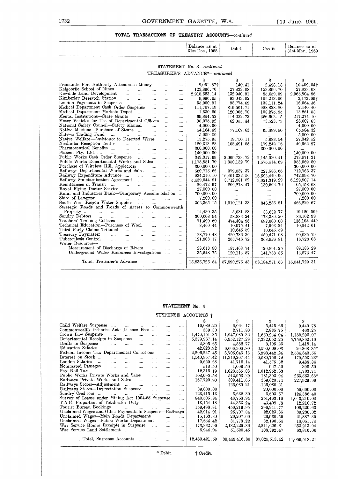#### **TOTAL TRANSACTIONS OF TREASURY ACCOUNTS-continued**

|      | Balance as at                                     | Balance as at   |
|------|---------------------------------------------------|-----------------|
|      | TOTAL TRANSACTIONS OF TREASURY ACCOUNTS-continued |                 |
| 1732 | GOVERNMENT GAZETTE, W.A.                          | [10 June, 1969. |
|      |                                                   |                 |
|      |                                                   |                 |
|      |                                                   |                 |
|      |                                                   |                 |

#### **STATEMENT No.** *3-continued*

|                                                                                                      |              |               | Balance as at<br>31st Dec., 1968 | Debit         | Credit           | Balance as at<br>31st Mar., 1969 |
|------------------------------------------------------------------------------------------------------|--------------|---------------|----------------------------------|---------------|------------------|----------------------------------|
|                                                                                                      |              |               | STATEMENT No. 3-continued        |               |                  |                                  |
|                                                                                                      |              |               | TREASURER'S ADVANCE*-continued   |               |                  |                                  |
|                                                                                                      |              |               | S                                | s             |                  | s                                |
| Fremantle Port Authority Attendance Money                                                            | $\ddotsc$    | $\cdots$      | 8.051.87                         | 140.41        | 2,498.18         | 10,409.64+                       |
| Kalgoorlie School of Mines<br>$\ldots$<br>$\cdots$<br>$\cdots$                                       |              | $\cdots$      | 123,896.70                       | 27,833.08     | 123,896.70       | 27,833.08                        |
| Kewdale Land Development<br>$\cdots$<br>$\cdots$<br>$\cdots$                                         | $\cdots$     | $\cdots$      | 2,918,523.14                     | 132,940.91    | 85,659.09        | 2,965,804.96                     |
| Kimberley Research Station<br>$\cdots$<br>$\cdots$<br>$\cdots$                                       |              |               | 9,996.05                         | 93,043.02     | 106,213.06       | 3,173.99†                        |
| London Payments in Suspense<br>$\ldots$<br>$\cdots$                                                  | $\cdots$     |               | 55,900.91                        | 98,774.69     | 138.111.24       | 16.564.36                        |
| Medical Department Cash Order Suspense<br>$\cdots$                                                   | .            |               | 111,707.49                       | 819,561.71    | 928,828.80       | 2.440.40                         |
| Medical Department Markets Depot<br>$\cdots$                                                         |              |               | 1,530.60                         | 120,006.78    | 108,275.85       | 13,261.53                        |
| Mental Institutions-State Grants<br>$\sim$<br>$\ddotsc$                                              |              |               | 469,854.52                       | 114,022.73    | 366,603.15       | 217,274.10                       |
| Motor Vehicles for Use of Departmental Officers                                                      | $\cdots$     |               | 38,075.92                        | 62,055.44     | 73,523.73        | 26,607.63                        |
| National Safety Council—Safety Manual<br>$\cdots$                                                    | $\cdots$     | $\cdots$      | 4.000.00                         |               |                  | 4.000.00                         |
| Native Missions-Purchase of Stores<br>$\cdots$                                                       | $\cdots$     | $\cdots$      | 54, 164.49                       | 77,109.63     | 65,689.80        | 65,584.32                        |
| Natives Trading Fund<br>and the man<br>$\mathbf{1}$<br>$\cdots$                                      | $\cdots$     | $\cdots$      | 5,000.00                         |               |                  | 5,000.00                         |
| Native Welfare-Assistance to Deserted Wives                                                          | $\cdots$     | $\ddots$      | 13,275.95                        | 19,750.11     | 5,683.54         | 27,342.52                        |
| Noalimba Reception Centre<br><b>Section</b><br>$\cdots$<br>$\cdots$                                  |              | $\cdots$      | 120,313.28                       | 108,491.85    | 179,242.16       | 49,562.97                        |
| Pharmaceutical Benefits<br>$\sim 100$<br>$\cdots$<br>$\cdots$                                        |              | $\cdots$      | 300,000.00                       | $\ldots$      | 300,000.00       |                                  |
| Plaican Pty. Ltd.<br>$\mathbf{r}$<br>$\dddotsc$                                                      |              |               | 140,000.00                       |               |                  | 140,000.00                       |
| Public Works Cash Order Suspense<br>$\sim 100$<br>$\sim 10^{-1}$                                     |              |               | 349,317.99                       | 2,069,733.73  | 2,145,080.41     | 273,971.31                       |
| Public Works Departmental Works and Sales                                                            | $\cdots$     | $\cdots$      | 1.178,851.70                     | 1,350,132.79  | 1,575,414.69     | 953,569.80                       |
| Purchase of Wireless Hill, Applecross<br>$\mathbf{r}$                                                | $\cdots$     | $\cdots$      | 300,000.00                       |               |                  | 300,000.00                       |
| Railways Departmental Works and Sales<br>$\sim$                                                      | $\cdots$     | $\cdots$      | 560,715.66                       | 379,637.37    | 227,586.66       | 712,766.37                       |
| Railway Expenditure Advance<br>$\sim 10^{-1}$<br>$\sim 10^{-1}$                                      |              | $\cdots$      | 934,216.10                       | 16,401.332.56 | 16,593,449.96    | 742,098.70                       |
| Railway Standardisation Agreement<br>$\mathbf{r}$<br>$\mathbf{r}$                                    | $\cdots$     | $\cdots$      | 5,439,044.81                     | 3,712,081.62  | 3.021.319.29     | 6,129,807.14                     |
| Remittances in Transit<br>$\sim$ 100 $\sim$<br>$\mathbf{r}$<br>$\mathbf{r}$<br>$\sim$                | $\cdots$     |               | 26,472.97                        | 209,278.47    | 130,592.76       | 105,158.68                       |
| Royal Flying Doctor Service<br>$\sim$ $\sim$ $\sim$<br>$\cdots$<br>$\cdots$                          | $\mathbf{r}$ | $\cdots$      | 27,500.00                        | $\cdots$      | $\cdots$         | 27,500.00                        |
| Rural and Industries Bank-Temporary Accommodation                                                    |              | $\ddotsc$     | 700,000.00                       | $\cdots$      | $\cdots$         | 700,000.00                       |
| Shire of Laverton<br>$\cdots$<br>$\cdots$<br>$\cdots$<br>$\cdots$                                    |              | $\cdots$      | 7,200.00                         |               |                  | 7,200.00                         |
| South West Region Water Supplies<br>$\cdots$<br>$\cdots$                                             | $\ddotsc$    | $\cdots$      | 302,365.15                       | 1,010,121.33  | 846,256.81       | 466,229.67                       |
| Strategic Roads and Roads of Access to Commonwealth                                                  |              |               |                                  |               |                  |                                  |
| Property<br>$\cdots$<br>$\cdots$<br>$\cdots$<br>$\cdots$<br>                                         |              |               | 14,480.35                        | 5,031.83      | 38,632.77        | $19,120.59\dagger$               |
| Sundry Debtors<br>$\sim$<br>$\cdots$<br>$\cdots$<br>$\cdots$<br>$\cdots$                             | $\cdots$     | $\cdots$      | 300,608.94                       | 58,883.24     | 173,389.20       | 186, 102.98                      |
| $\mathbf{w} = \mathbf{w} \times \mathbf{w}$<br>Teachers' Training Colleges<br>$\dddotsc$<br>$\cdots$ | $\cdots$     |               | 71,490.60                        | 474,404.96    | 682,000.00       | 136,104.447                      |
| Technical Education--Purchase of Wool<br>$\cdots$                                                    |              | $\cdots$      | 8,460.44                         | 10,075.41     | 7,993.24         | 10,542.61                        |
| Third Party Claims Tribunal<br>$\cdots$<br>$\dddotsc$<br>$\cdots$                                    | $\cdots$     | $\sim$ $\sim$ | $\cdots$                         | 10,645.59     | 10,645.59        |                                  |
| Treasury Paymaster<br>$\cdots$<br>$\cdots$<br>$\cdots$<br>$\cdots$                                   | 1.11         | $\cdots$      | 128,770.48                       | 420,736.39    | 459,471.08       | 90,035.79                        |
| Tuberculosis Control<br>$\cdots$<br>$\cdots$<br>$\cdots$<br>$\cdots$                                 | $\cdots$     | $\cdots$      | 121,903.17                       | 263,746.72    | 368,926.81       | 16,723.08                        |
| Water Resources-                                                                                     |              |               |                                  |               |                  |                                  |
| Measurement of Discharge of Rivers<br>$\cdots$                                                       | $\cdots$     | $\cdots$      | 28,613.80                        | 187,463.74    | 126,891.25       | 89,186.29                        |
| Underground Water Resources Investigations                                                           |              | $\cdots$      | 35,548.75                        | 120, 113.57   | 141,788.85       | 13,873.47                        |
|                                                                                                      |              |               |                                  |               |                  |                                  |
| Total. Treasurer's Advance                                                                           |              |               | 15,835,725.54                    | 57,890,275.43 | 58, 184, 271, 66 | 15,541,729.31                    |

#### **STATEMENT** No. 4

## SUSPENSE ACCOUNTS  $\dagger$

|                                                              |                |          |          | STATEMENT No. 4             |               |               |               |
|--------------------------------------------------------------|----------------|----------|----------|-----------------------------|---------------|---------------|---------------|
|                                                              |                |          |          |                             |               |               |               |
|                                                              |                |          |          | SUSPENSE ACCOUNTS $\dagger$ |               |               |               |
|                                                              |                |          |          | s                           | s             | S             | s             |
| Child Welfare Suspense<br>$\sim 100$<br>$\cdots$<br>$\cdots$ |                |          |          | 10,089.29                   | 6,064.17      | 5,415.66      | 9,440.78      |
| Commonwealth Fisheries Act-Licence Fees                      | $\sim$         |          | $\cdots$ | 339.30                      | 2,711.80      | 2,835.75      | 463.25        |
| Crown Law Suspense<br>$\cdots$<br>$\cdots$<br>$\cdots$       |                | .        | $\cdots$ | 1,479,151.35                | 1,947,089.32  | 1,650,234.04  | 1,182,296.07  |
| Departmental Receipts in Suspense<br>$\sim$                  | in in          | $\cdots$ | $\cdots$ | 5,379,967.14                | 6,952,127.29  | 7,332,052.25  | 5,759,892.10  |
| Drafts in Suspense<br>$\mathbf{r}$<br>$\ddotsc$<br>$\cdots$  | $\dddotsc$     |          |          | 2,895 65                    | 4,582.77      | 3,105.26      | 1,418.14      |
| Education Salaries<br>$\cdots$<br>$\cdots$<br>$\cdots$       | $\cdots$       | $\cdots$ |          | 42,828 92                   | 6,666.306.80  | 6,596,609.03  | $26,868.85*$  |
| Federal Income Tax Departmental Collections                  |                |          |          | 2,296,247.45                | 6,705,046 13  | 6,993,442.24  | 2,584,643.56  |
| Interest on Stock<br>$\cdots$<br>$\cdots$<br>$\cdots$        |                | $\cdots$ |          | 1,540,957.42                | 11,310,267.44 | 9,589,756.79  | $179,553.23*$ |
| London Salaries<br>$\cdots$<br>$\cdots$<br>$\cdots$          |                | $\cdots$ |          | 9,629.68                    | 41,716.14     | 41.575.32     | 9,488.86      |
| Nominated Passages<br>$\ddotsc$<br>$\cdots$                  |                | $\cdots$ | $\cdots$ | 519.50                      | 1,096.50      | 967.50        | 390.50        |
| Pay Roll Tax<br>$\cdots$<br>$\cdots$<br>$\cdots$             | $\cdots$       | $\cdots$ |          | 12,316.19                   | 1,023,565.08  | 1,012,952.63  | 1,703.74      |
| Public Works Private Works and Sales                         | $\cdots$       | $\cdots$ |          | 108,095.58                  | 542,953.20    | 181,303.94    | 253,553.68*   |
| Railways Private Works and Sales<br>$\dddotsc$               | $\sim 10^{-1}$ |          | $\cdots$ | 167,720.90                  | 309,411.65    | 369,620.74    | 227,929.99    |
| Railways Stores-Adjustment<br>$\sim$<br>$\cdots$             | $\ddotsc$      |          | $\cdots$ | $\cdots$                    | 126,080 21    | 126,080.21    | $\cdots$      |
| Railways Stores—Depreciation Suspense                        | $\dddotsc$     | $\cdots$ | $\cdots$ | 39,600.00                   |               | 20,000.00     | 59,600.00     |
| Sundry Creditors<br><b>Sales Contract</b>                    | $\cdots$       | $\cdots$ | $\cdots$ | 123,415.13                  | 5,632.30      | 6,603.57      | 124,386.40    |
| Survey of Leases under Mining Act 1904-65 Suspense           |                |          |          | 840,505.84                  | 48,758.94     | 251,463.18    | 1,043,210.08  |
| T.A.B. Proportion of Totalisator Duty                        | $\cdots$       | $\cdots$ | $\cdots$ | 13,154.18                   | 44, 353 24    | 43,409.78     | 12,210.72     |
| Tourist Bureau Bookings<br>$\cdots$<br>$\cdots$              | $\cdots$       | $\cdots$ | $\cdots$ | 159,498.81                  | 450,219.95    | 396,941.77    | 106,220.63    |
| Unclaimed Wages and Other Payments in Suspense—Railways      |                |          |          | 42,914.01                   | 25,707.84     | 22,023.85     | 39,230.02     |
| Unclaimed Wages-Main Roads Department                        |                |          | $\cdots$ | 15,163.80                   | 20,207.00     | 26,930.59     | 21,887.39     |
| Unclaimed Wages-Public Works Department                      |                | $\cdots$ | $\cdots$ | 17,634.42                   | 31,773.22     | 32,190.54     | 18,051.74     |
| War Service Homes Receipts in Suspense                       | $\sim$         | $\cdots$ | $\cdots$ | 173,832.99                  | 2,132,225.36  | 2,211,606 31  | 253,213.94    |
| War Service Land Settlement                                  |                |          |          | 6,944.04                    | 51,520.45     | 108,392.47    | 63,816.06     |
| Total, Suspense Accounts<br>$\sim 100$                       |                |          |          | 12,483,421.59               | 38,449,416.80 | 37,025,513.42 | 11,059,518.21 |
|                                                              |                |          |          |                             |               |               |               |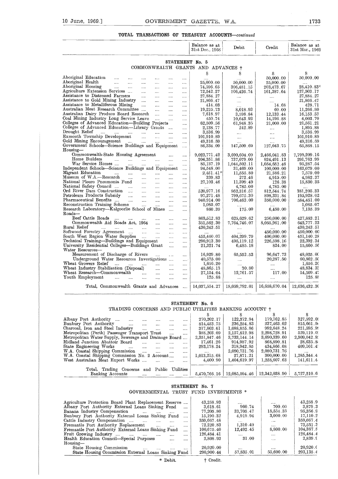#### **TOTAL TRANSACTIONS OF TREASURY ACCOUNTS-continued**

|                                                                                               |                                     |                                                           |                                                                                              |                        |                      | TOTAL TRANSACTIONS OF TREASURY ACCOUNTS—continued |                            |                            |                                  |
|-----------------------------------------------------------------------------------------------|-------------------------------------|-----------------------------------------------------------|----------------------------------------------------------------------------------------------|------------------------|----------------------|---------------------------------------------------|----------------------------|----------------------------|----------------------------------|
|                                                                                               |                                     |                                                           |                                                                                              |                        |                      | Balance as at<br>31st Dec., 1968                  | Debit                      | Credit                     | Balance as at<br>31st Mar., 1969 |
|                                                                                               |                                     |                                                           |                                                                                              |                        |                      | STATEMENT No. 5                                   |                            |                            |                                  |
|                                                                                               |                                     |                                                           |                                                                                              |                        |                      | COMMONWEALTH GRANTS AND ADVANCES +                |                            |                            |                                  |
| Aboriginal Education<br><b>Contractor</b>                                                     | $\sim$ $\sim$                       |                                                           |                                                                                              |                        |                      | S                                                 | S                          | s<br>50,000.00             | s<br>50,000.00                   |
| Aboriginal Health<br>$\sim$                                                                   | $\cdots$                            | $\cdots$<br>$\cdots$                                      | $\cdots$<br>$\cdots$                                                                         | $\cdots$<br>$\ldots$ . | $\cdots$<br>$\cdots$ | $\cdots$<br>25,000.00                             | 50,000.00                  | 25,000.00                  |                                  |
| Aboriginal Housing                                                                            | المستحدث المتناول                   | $\cdots$                                                  | $\cdots$                                                                                     | $\cdots$               | $\cdots$             | 74,596.65                                         | 306,481.15                 | 203,473.67                 | $28,\!410.83^*$                  |
| Agriculture Extension Services                                                                |                                     | $\sim$ $\sim$                                             | $\cdots$                                                                                     | $\cdots$               | $\cdots$             | 72,542.27                                         | 106,426.74                 | 161,387.64                 | 127,503.17                       |
| Assistance to Distressed Farmers<br>Assistance to Gold Mining Industry                        |                                     | $\cdots$                                                  | $\cdots$<br>$\sim$ $\sim$                                                                    | $\cdots$<br>$\cdots$   | $\cdots$<br>$\cdots$ | 27,884.27<br>21,866.47                            | $\cdots$                   |                            | 27,884.27<br>21,866.47           |
| Assistance to Metalliferous Mining                                                            |                                     | $\sim$                                                    | $\cdots$                                                                                     | $\cdots$               | $\cdots$             | 414.03                                            | $\cdots$<br>$\cdots$       | $\cdots$<br>14.68          | 428.71                           |
| Australian Meat Research Committee                                                            |                                     |                                                           | $\mathbf{1}$                                                                                 | $\cdots$               |                      | 19,225.73                                         | 8,018.93                   | 60.00                      | 11,266.80                        |
| Australian Dairy Produce Board Research<br>Coal Mining Industry Long Service Leave            |                                     |                                                           | $\sim$ 100 $\sim$<br>$\sim$                                                                  | $\cdots$               | $\cdots$             | 7,618.97<br>450.74                                | 3,598.84                   | 12,133.44<br>14,196.88     | 16,153.57                        |
| Colleges of Advanced Education-Building Projects                                              |                                     |                                                           |                                                                                              | $\cdots$               | $\cdots$<br>$\cdots$ | 62,509.56                                         | 10,643.92<br>61,948.35     | 21,000.00                  | 4,003.70<br>21,561.21            |
| Colleges of Advanced Education-Library Grants                                                 |                                     |                                                           |                                                                                              |                        | $\ldots$             | 2,138.77                                          | 242.89                     | $\cdots$                   | 1,895.88                         |
| Drought Rehef<br>$\cdots$<br>Exmouth Township Development                                     | $\cdots$                            | and the main                                              | <b>September</b>                                                                             | $\cdots$               | $\cdots$             | 3,536.99                                          | $\cdots$                   | $\cdots$                   | 3,536.99                         |
| Gold Mining Encouragement                                                                     |                                     | المنتاب المتاري                                           | $\mathcal{L}_{\mathcal{F}}$ .<br>$\mathcal{L}_{\mathcal{F}}$ and $\mathcal{L}_{\mathcal{F}}$ | $\cdots$<br>$\cdots$   | $\cdots$<br>         | 101,910.89<br>49,316.59                           | $\cdots$<br>               | $\cdots$<br>               | 101,910.89<br>49,316.59          |
| Government Schools-Science Buildings and Equipment                                            |                                     |                                                           |                                                                                              |                        | $\cdots$             | 86,334.09                                         | 147,509.69                 | 127,043.75                 | 65,868.15                        |
| Housing-<br>Commonwealth-State Housing Agreement                                              |                                     |                                                           |                                                                                              |                        |                      |                                                   |                            |                            |                                  |
| Home Builders                                                                                 | $\cdots$                            | $\mathbf{r}$ and $\mathbf{r}$ are the set of $\mathbf{r}$ | $\sim$                                                                                       | $\sim 100$<br>$\ldots$ | $\ldots$ .<br>       | 9,023,771.42<br>204,351.86                        | 3,690,604.09<br>737,079.00 | 2,466,041.83<br>824,491.13 | 7,799,209.16<br>291,763.99       |
| War Service Homes                                                                             | $\sim$                              | <b>Second</b>                                             | $\cdots$                                                                                     | $\cdots$               | $\cdots$             | 85,137.19                                         | 1,044,502.11               | 1,054,652.46               | 95,287.54                        |
| Independent Schools-Science Buildings and Equipment                                           |                                     |                                                           |                                                                                              |                        | $\sim$ . $\sim$      | 94,548.00                                         | 31,469.00                  | 100,000.00                 | 163,079.00                       |
| Migrant Education<br>$\sim$ $\sim$<br>Museum of W.A.—Research                                 |                                     | and the state of the                                      |                                                                                              | and the angle          | $\cdots$             | $2.451.41*$<br>339.83                             | 11,555.80<br>272.46        | 21.586.21                  | 7,579.00                         |
| National Pleuro Pneumonia Fund                                                                | $\sim$ 1000 $\sim$ 1000 $\sim$      | <b>Second</b><br>$\sim$ $\sim$ $\sim$                     | <b>Service</b> Control<br><b>Sales Control</b>                                               | $\sim 100$<br>$\cdots$ | $\cdots$<br>$\cdots$ | 27,103.46                                         | 11,399.49                  | 4,915.00<br>126.38         | 4,982.37<br>15,830.35            |
| National Safety Council                                                                       | $\sim$ 100 $\sim$ 100 $\sim$        | $\sim$ 100 $\mu$                                          | $\ldots$                                                                                     | $\ldots$ .             | $\cdots$             |                                                   | 4,785.00                   | 4,785.00                   |                                  |
| Ord River Dam Construction                                                                    |                                     |                                                           |                                                                                              |                        |                      | 520,977.16                                        | 952,316.57                 | 812,544.74                 | 381,205.33                       |
| Petroleum Products Subsidy<br>Pharmaceutical Benefits                                         | $\sim$<br>$\sim 100$                | $\cdots$<br>$\cdots$                                      | <br>                                                                                         | <br>                   |                      | 97,271.48<br>940,914.00                           | 799,675.30<br>706,463.00   | 898, 331.84<br>350,000.00  | 195,928.02<br>584,451.00         |
| Reconstruction Training Scheme                                                                |                                     | $\cdots$                                                  | $\cdots$                                                                                     | $\cdots$               | <br>                 | 1,085.07                                          |                            |                            | 1,085.07                         |
| Research Laboratory-Kalgoorlie School of Mines                                                |                                     |                                                           |                                                                                              | $\cdots$               |                      | 860.39                                            | 175.00                     | 6,450.00                   | 7,135.39                         |
| Roads—                                                                                        |                                     |                                                           |                                                                                              |                        |                      |                                                   |                            |                            |                                  |
| Beef Cattle Roads<br>$\ldots$<br>Commonwealth Aid Roads Act, 1964                             | $\cdots$                            | $\ldots$                                                  | $\cdots$<br>$\cdots$                                                                         | <br>$\cdots$           | <br>                 | 803,512.83<br>351,562.30                          | 625,629.62<br>7,764,746.07 | 250,000.00<br>8,055,961.00 | $427,\!883.21$<br>642,777.23     |
| Rural Relief<br>$\cdots$                                                                      | $\cdots$                            | $\sim 10^{-10}$ .                                         | $\cdots$                                                                                     | $\cdots$               |                      | 430,243.51                                        |                            |                            | $430,243$ . $51$                 |
| Softwood Forestry Agreement                                                                   |                                     | $\sim 100$                                                | $\ldots$                                                                                     | $\cdots$               |                      | $\cdots$                                          |                            | 450,000.00                 | 450,000.00                       |
| South West Region Water Supplies                                                              |                                     |                                                           | $\cdots$                                                                                     | $\cdots$               | $\cdots$             | 455,440.07                                        | 404,299.79                 | 400,000.00                 | 451,140.28                       |
| Technical Training-Buildings and Equipment<br>University Residential Colleges-Buildings Grant |                                     |                                                           |                                                                                              | $\cdots$<br>$\ddotsc$  |                      | 290,913.30<br>21,321.74                           | 495,119.12<br>6,485.18     | 226,598.16<br>824.00       | 22,392.34<br>15,660.56           |
| Water Resources---                                                                            |                                     |                                                           |                                                                                              |                        |                      |                                                   |                            |                            |                                  |
| Measurement of Discharge of Rivers                                                            |                                     |                                                           | $\cdots$                                                                                     | $\sim$                 | $\ldots$             | 16,929.80                                         | 65,552.53                  | 96,647.73                  | 48,025.00                        |
| Underground Water Resources Investigations                                                    |                                     |                                                           |                                                                                              |                        | $\cdots$             | 40,575.00                                         | $\cdots$                   | 20,287.50                  | 60,862.50                        |
| Wheat Growers Relief<br>Wheat Industry Stabilisation (Disposal)                               | $\cdots$<br>$\sim 100$ km s $^{-1}$ | <b>Continued</b>                                          | $\cdots$<br>$\cdots$                                                                         | $\cdots$<br>$\cdots$   | $\cdots$             | 1,656.20<br>48,865.13                             | 30.80                      | <br>                       | 1,656.20<br>48,834 35            |
| Wheat Research—Commonwealth                                                                   |                                     | <b>Contract</b>                                           | $\cdots$                                                                                     | $\cdots$               | <br>$\cdots$         | 27,154.04                                         | 12,761.57                  | 117.00                     | 14,509 47                        |
|                                                                                               | $\cdots$                            |                                                           | $\ldots$                                                                                     |                        |                      |                                                   |                            | $\ldots$                   | 125.88                           |
| Youth Employment                                                                              | $\cdots$                            | $\ldots$                                                  |                                                                                              | $\cdots$               | $\cdots$             | 125.88                                            | $\cdots$                   |                            |                                  |

#### **STATEMENT** No. 6

#### TRADING CONCERNS AND PUBLIC UTILITIES BANKING ACCOUNT t

| Underground Water Resources Investigations<br>Wheat Growers Relief<br>$\cdots$<br>$\cdots$<br><br>$\cdots$<br><br>Wheat Industry Stabilisation (Disposal)<br><br><br>Wheat Research--Commonwealth<br><br><br><br><br>Youth Employment<br><br><br><br><br><br>Total, Commonwealth Grants and Advances<br>$\cdots$ | 40,575.00<br>1,656.20<br>48,865.13<br>27,154.04<br>125.88<br>14,037,554.27 | <br>$\cdots$<br>30.80<br>12,761.57<br><br>18,059,792.01 | 20,287.50<br><br>$\cdots$<br>117.00<br>$\cdots$<br>16,658,670.04 | 60,862.50<br>1,656.20<br>48,834.33<br>14,509.47<br>125.88<br>12,636,432.30 |
|------------------------------------------------------------------------------------------------------------------------------------------------------------------------------------------------------------------------------------------------------------------------------------------------------------------|----------------------------------------------------------------------------|---------------------------------------------------------|------------------------------------------------------------------|----------------------------------------------------------------------------|
| STATEMENT No. 6                                                                                                                                                                                                                                                                                                  |                                                                            |                                                         |                                                                  |                                                                            |
| TRADING CONCERNS AND PUBLIC UTILITIES BANKING ACCOUNT †                                                                                                                                                                                                                                                          |                                                                            |                                                         |                                                                  |                                                                            |
|                                                                                                                                                                                                                                                                                                                  | S                                                                          | S                                                       | s                                                                | s                                                                          |
| Albany Port Authority<br>$\cdots$<br>                                                                                                                                                                                                                                                                            | 270,202.17                                                                 | 122,372.94                                              | 179,762.85                                                       | 327,592.08                                                                 |
| Bunbury Port Authority<br><br>$\cdots$<br>                                                                                                                                                                                                                                                                       | 814,453.75                                                                 | 236,254.83                                              | 237,463.02                                                       | 815,661.96                                                                 |
| Charcoal, Iron and Steel Industry<br>$\cdots$<br>$\cdots$<br><br>                                                                                                                                                                                                                                                | 317,803.61                                                                 | 1,088,855.86                                            | 992,648.24                                                       | 221,595.99                                                                 |
| Metropolitan (Perth) Passenger Transport Trust<br><br>                                                                                                                                                                                                                                                           | 388,203.09                                                                 | 2,157,812.98                                            | 2,298,728.91                                                     | 529,119.0.                                                                 |
| Metropohtan Water Supply, Sewerage and Drainage Board                                                                                                                                                                                                                                                            | 2,351,847.46                                                               | 3,733,144.14                                            | 3,690,339.60                                                     | 2,309,042.9.                                                               |
| Midland Junction Abattoir Board<br>$\cdots$<br>                                                                                                                                                                                                                                                                  | 17,461.26                                                                  | 914,987.92                                              | 868,890.81                                                       | 28,635.8                                                                   |
| State Engineering Works<br>$\cdots$<br><br>$\cdots$<br>$\cdots$<br>                                                                                                                                                                                                                                              | 293,178.24                                                                 | 318,942.85                                              | 434,866.08                                                       | 409,101.4                                                                  |
| W.A. Coastal Shipping Commission<br>$\cdots$<br>$\cdots$<br><br>                                                                                                                                                                                                                                                 | $\cdots$                                                                   | 2,080,731.76                                            | 2,080,731.76                                                     |                                                                            |
| W.A. Coastal Shipping Commission No. 2 Account                                                                                                                                                                                                                                                                   | 1,013,215.68                                                               | 27,871.21                                               | 300,000.00                                                       | 1,285,344.4                                                                |
| West Australian Meat Export Works<br><br>                                                                                                                                                                                                                                                                        | 4.400.90                                                                   | 1,404,619.97                                            | 1,258,607.63                                                     | 141,611.4                                                                  |
| Utilities<br>Total, Trading Concerns<br>Public<br>and                                                                                                                                                                                                                                                            |                                                                            |                                                         |                                                                  |                                                                            |
| Banking Accounts<br><br><br>                                                                                                                                                                                                                                                                                     | 5,470,766.16                                                               |                                                         | $12,085,594.46$   $12,342,038.90$                                | 5,727,210.6                                                                |

#### **STATEMENT** No. 7

#### GOVERNMENTAL TRUST FUND INVESTMENTS \*

| West Australian Meat Export Works                                                                                                                                                                                                                                                                                                                                                                                                                                                                                                                                                                               | 4.400.90                                                                                                                        | 1,404,619.97                                                                                 | 1,258,607.63                                                         | 141,611.4                                                                                                                |
|-----------------------------------------------------------------------------------------------------------------------------------------------------------------------------------------------------------------------------------------------------------------------------------------------------------------------------------------------------------------------------------------------------------------------------------------------------------------------------------------------------------------------------------------------------------------------------------------------------------------|---------------------------------------------------------------------------------------------------------------------------------|----------------------------------------------------------------------------------------------|----------------------------------------------------------------------|--------------------------------------------------------------------------------------------------------------------------|
| Total, Trading Concerns<br>Public<br>Utilities<br>and<br>Banking Accounts<br><br>                                                                                                                                                                                                                                                                                                                                                                                                                                                                                                                               | 5,470,766,16                                                                                                                    |                                                                                              | $12,085,594.46 \mid 12,342,038.90$                                   | 5,727,210.6                                                                                                              |
| GOVERNMENTAL                                                                                                                                                                                                                                                                                                                                                                                                                                                                                                                                                                                                    | STATEMENT No. 7<br>TRUST FUND INVESTMENTS *                                                                                     |                                                                                              |                                                                      |                                                                                                                          |
| Agriculture Protection Board Plant Replacement Reserve<br>Albany Port Authority External Loans Sinking Fund<br><br>Banana Industry Compensation<br>$\cdots$<br><br><br><br>Bunbury Port Authority External Loans Sinking Fund<br>.<br>Cattle Industry Compensation<br>$\cdots$<br>$\cdots$<br>$\cdots$<br><br>Fremantle Port Authority Replacement<br><br><br>Fremantle Port Authority External Loans Sinking Fund<br><br>Fruit Growing Industry<br>$\cdots$<br>$\cdots$<br>$\cdots$<br>$\cdots$<br><br>Health Education Council—Special Purposes<br><br><br>$Housing-$<br>State Housing Commission<br>$\cdots$ | 43,258.93<br>3,618.61<br>77,205.80<br>15,190.32<br>359,667.48<br>72.220.83<br>100,675.40<br>126,484.41<br>2,808.93<br>20.920.00 | .<br>960.74<br>33,705.47<br>4,919.94<br>1.171<br>1,310.49<br>12,492.45<br>31.00<br>$- - - -$ | 700.00<br>15,554.35<br>3,000.00<br>.<br><br>8,800.00<br><br>1.11<br> | 43,258.9<br>3,879.3<br>95,356.9<br>17,110.2<br>359,667.4<br>73,531.3<br>104,367.8<br>126,484.4<br>2,839.9<br>$20.920.$ C |
| State Housing Commission External Loans Sinking Fund                                                                                                                                                                                                                                                                                                                                                                                                                                                                                                                                                            | 290,900.44                                                                                                                      | 57,835.01                                                                                    | 55,600.00                                                            | 293,135.4                                                                                                                |
|                                                                                                                                                                                                                                                                                                                                                                                                                                                                                                                                                                                                                 | .                                                                                                                               |                                                                                              |                                                                      |                                                                                                                          |

\* Debit.  $\dagger$  Credit.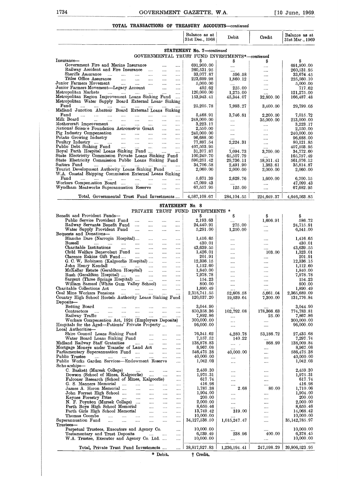#### **TOTAL TRANSACTIONS OF TREASURY ACCOUNTS—continued**

|                                                                                                                                                                                               | GOVERNMENT GAZETTE, W.A.         |                                    |                       | [10 June, 1969.                  |
|-----------------------------------------------------------------------------------------------------------------------------------------------------------------------------------------------|----------------------------------|------------------------------------|-----------------------|----------------------------------|
| <b>TOTAL TRANSACTIONS OF TREASURY ACCOUNTS</b> —continued                                                                                                                                     | Balance as at<br>31st Dec., 1968 | Debit                              | Credit                | Balance as at<br>31st Mar., 1969 |
| GOVERNMENTAL TRUST FUND INVESTMENTS*-continued                                                                                                                                                | STATEMENT No. 7-continued        |                                    |                       |                                  |
| Insurance-<br>Government Fire and Marine Insurance<br>$\cdots$                                                                                                                                | 691,900.00                       | s<br>                              | S<br>                 | S<br>691,900.00                  |
| Railway Accident and Fire Insurance<br>$\cdots$<br>Sheriffs Assurance<br>$\cdots$                                                                                                             | 260,531.95<br>33,077.87          | 596.58                             |                       | 260,531.95<br>33,674.45          |
| Titles Office Assurance<br>$\cdots$<br>Junior Farmers Movement<br>$\ldots$<br><b>Sales Control</b>                                                                                            | 223,699.98<br>5,000.00           | 1,860.12                           |                       | 225,560.10<br>5,000.00           |
| $\cdots$<br>Junior Farmers Movement-Legacy Account<br>$\cdots$                                                                                                                                | 492.62                           | 225.00                             | <br>$\cdots$          | 717.62                           |
| Metropolitan Markets<br>$\cdots$<br>Metropolitan Region Improvement Loans Sinking Fund<br>$\sim$                                                                                              | 120,000.00<br>153,943.41         | 1,275.00<br>45, 344.07             | <br>32,800.00         | 121,275.00<br>166,487.48         |
| Metropolitan Water Supply Board External Loans Sinking<br>Fund<br><b>Service Contract</b><br>$\dots$ .<br>$\cdots$                                                                            | $25{,}205{.}78$                  | 7,993.27                           | 3,400.00              | 29,799.05                        |
| Midland Junction Abattoir Board External Loans Sinking<br>Fund<br>$\ldots$ . $\ldots$<br>$\cdots$<br>$\sim$ $\sim$ $\sim$ $\sim$<br>$\cdots$<br>$\cdots$<br>$\cdots$<br>$\cdots$              | 5,468.91                         | 3,746.81                           | 2,200.00              | 7,015.72                         |
| Milk Board<br>$\mathbf{r}$ , and $\mathbf{r}$<br>$\cdots$<br>Mothereraft Improvement<br>$\sim 10^{-10}$<br>$\sim$<br>$\cdots$                                                                 | 248,000.00<br>3,223.17           | $\cdots$<br>$\cdots$               | 35,000.00<br>$\cdots$ | 213,000.00<br>3,223.17           |
| National Science Foundation Astrometric Grant<br>$\sim 100$ and $\sim 100$<br>$\cdots$<br>Pig Industry Compensation<br>$\cdots$                                                               | 2,550.00<br>240,000.00           | <br>$\cdots$                       | $\ldots$<br>          | 2,550.00<br>240,000.00           |
| Potato Growing Industry<br>$\sim$<br>$\cdots$<br>Poultry Industry<br>$\cdots$                                                                                                                 | 96,688.00<br>77,897.54           | $\cdots$<br>2,224.31               |                       | 96,688.00<br>80,121.85           |
| Public Debt Sinking Fund<br>التبين المتبرات المتناد<br>$\sim$<br>$\cdots$<br>Royal Perth Hospital Loans Sinking Fund<br>$\cdots$                                                              | 407,503.95<br>31,377.87          | 7,094.73                           | $\cdots$<br>3,700.00  | 407,503.95<br>34,772.60          |
| State Electricity Commission Private Loans Sinking Fund<br>State Electricity Commission Public Loans Sinking Fund                                                                             | 100,249.70<br>590,251.42         | 65,507.79<br>29,736.11             | <br>58,911.41         | 165,757.49<br>561,076.12         |
| Suitors Fund<br>$\cdots$<br>$\sim$<br>$\cdots$<br>$\cdots$<br>Tourist Development Authority Loans Sinking Fund<br>$\ldots$                                                                    | 34,706.58<br>2,060.00            | 2,491.90<br>2,000.00               | 1,383.61<br>2,000.00  | 35,814.87<br>2,060.00            |
| W.A. Coastal Shipping Commission External Loans Sinking<br>Fund<br>and the company of the company<br>and the same of<br>$\cdots$<br>$\cdots$                                                  | 5,671.39                         | 2,628.76                           | 1,600.00              | 6,700.15                         |
| Workers Compensation Board<br>$\cdots$<br>$\cdots$<br>Wyndham Meatworks Superannuation Reserve<br>$\cdots$<br>$\cdots$                                                                        | 47,099.43<br>67,557.95           | <br>125.00                         | <br>                  | 47,099.43<br>67,682.95           |
| Total, Governmental Trust Fund Investments                                                                                                                                                    | $4,587,108.67$                   | 284,104.55                         | 224.649.37            | 4,646,563.85                     |
| STATEMENT No. 8                                                                                                                                                                               |                                  |                                    |                       |                                  |
| PRIVATE TRUST FUND INVESTMENTS *<br>Benefit and Provident Funds-                                                                                                                              | S                                | \$                                 | \$                    | \$                               |
| Public Service Provident Fund<br>$\cdots$<br>$\cdots$<br><br>$\ldots$<br>Railway Servants Benefit Fund<br>$\cdots$<br>$\cdots$<br>$\cdots$                                                    | 2,193.63<br>24,440.91            | <br>275.00                         | 1,606.91<br>          | 586.72<br>24,715.91              |
| Water Supply Provident Fund<br>$\cdots$<br>$\cdots$<br><br><br>Bequests and Donations-                                                                                                        | 5,291.00                         | 1,250.00                           |                       | 6,541.00                         |
| Blanche Dare (Narrogin Hospital)<br>$\sim 100$ and $\sim 100$<br>$\cdots$<br>$\cdots$<br>Bussell<br>$\ldots$ . $\ldots$ . $\ldots$<br>$\sim$ $\sim$<br>$\cdots$<br>$\cdots$                   | 1,416.65<br>430.01               | $\cdots$<br>                       | <br>                  | 1,416.65<br>430.01               |
| Charitable Institutions<br>$\mathbf{r}$ and $\mathbf{r}$<br>$\sim$<br>$\cdots$<br><br>Child Welfare Benevolent Fund<br>$\cdots$<br>$\cdots$<br>$\cdots$                                       | 43,639.55<br>1,426.01            | $\cdots$<br>$\cdots$               | <br>103.00            | 43,639.55<br>1,323.01            |
| Clarence Eakins Gift Fund<br>$\cdots$<br>$\cdots$<br>G. C. W. Robinson (Kalgoorlie Hospital)<br>$\cdots$                                                                                      | 201.91<br>12,336.15              | <br>$\cdots$                       | <br>                  | 201.91<br>12,336.15              |
| John Henry Kendall<br>السناد الشارات السادات<br>$\sim$<br>$\cdots$<br>McKellar Estate (Geraldton Hospital)<br>$\cdots$                                                                        | 1,112.60<br>1,840.00             | <br>$\cdots$                       |                       | 1,112.60<br>1,840.00             |
| Rush (Geraldton Hospital)<br>المنتار المتناور<br>$\ldots$<br>$\cdots$<br>Sargent (Three Springs Hospital)<br>$\cdots$                                                                         | 7,978.78<br>154.23               | $\cdots$<br>                       | $\cdots$<br>$\cdots$  | 7,978.78<br>154.23               |
| William Samuel (White Gum Valley School)<br>$\cdots$<br>Charitable Collections Act<br>المستحدث التبيت المتنادي<br>$\cdots$<br>$\cdots$                                                        | 800.00<br>1,890.49               |                                    |                       | 800.00<br>1,890.49               |
| Coal Mine Workers Pensions<br>المنبات المنبات<br>$\cdots$<br>$\cdots$<br>$\cdots$<br>Country High School Hostels Authority Loans Sinking Fund                                                 | 2,318,741.55<br>120,037.20       | $\cdots$<br>52,608.58<br>19,039.64 | 5,661.04<br>7,300.00  | 2,365,689.09<br>131,776.84       |
| Deposits-<br>Betting Board<br>$\cdots$ .<br><br><br><br><br><br><br><br><br><br><br>                                                                                                          | 3,044.90                         |                                    |                       | 3,044.90                         |
| $\cdots$<br>Contractors<br>التبيد المتبدأ التبيد المبيدا<br>$\cdots$<br>$\cdots$<br>$\cdots$<br>Railway Traffic<br>and the same                                                               | 850,358.36<br>7,892.86           | 102,792.08                         | 178,366.63<br>25.00   | 774,783.81<br>7,867.86           |
| $\cdots$<br>$\cdots$<br>$\cdots$<br>Workers Compensation Act, 1924 (Employers Deposits)<br>Hospitals for the Aged—Patients' Private Property                                                  | 300,000.00<br>96,000.00          | $\cdots$<br>$\cdots$               | $\cdots$              | 300,000.00<br>96,000.00          |
| $\cdots$<br>Local Authorities-                                                                                                                                                                | 76, 341.62                       |                                    |                       |                                  |
| Shire Council Loans Sinking Fund<br>$\sim$<br>$\cdots$<br>Water Board Loans Sinking Fund<br>land Railway Staff Gratuities<br>$\cdots$<br>$\cdots$                                             | 7,157.52                         | 4,280.78<br>140.22                 | 53,186.72<br>         | 27,435.68<br>7,297.74            |
| Midland Railway Staff Gratuities<br>$\cdots$<br>$\cdots$<br>Mortgage Moneys under Transfer of Land Act<br>$\cdots$                                                                            | 138,878.83<br>8,967.08           | $\cdots$<br>$\cdots$               | 868.99<br>$\cdots$    | 138,009.84<br>8,967.08           |
| Parliamentary Superannuation Fund<br>$\cdots$<br>Public Trustee<br>$\cdots$<br>$\cdots$<br>التبيان البينيا<br>and the<br>$\cdots$                                                             | 546,475.38<br>40,000.00          | 40,000.00<br>                      | $\cdots$<br>          | 586,475.38<br>40,000.00          |
| Public Works Garden Services-Endowment Reserve<br>$\cdots$<br>Scho arships-                                                                                                                   | 1,042.03                         |                                    |                       | 1,042.03                         |
| C. Baskett (Muresk College)<br>$\cdots$<br><b>Castle Committee</b><br>$\cdots$<br><br>Dowson (School of Mines, Kalgoorlie)<br>$\cdots$<br>$\cdots$                                            | 2,459.30<br>1,975.31             | <br>                               | <br>$\cdots$          | 2,459.30<br>1,975.31             |
| Falconer Research (School of Mines, Kalgoorlie)<br>$\cdots$<br>G. S. Manners Memorial<br>$\sim$ $\sim$ $\sim$<br>$\ldots$ . $\ldots$<br>$\cdots$<br>$\cdots$                                  | 617.74<br>416.98                 | <br>                               |                       | 617.74<br>416.98                 |
| James A. Heron Memorial<br><b>Second Contract</b><br>$\cdots$<br>$\cdots$<br>$\cdots$<br>John Forrest High School<br>$\cdots$<br>$\cdots$                                                     | 1,787.38<br>1,904.00             | 2.68<br>                           | 80.00<br>$\cdots$     | 1,710.06<br>1,904.00             |
| Keynes Forestry Prize<br>التبيدات التبيدات التبيدات<br>$\cdots$<br><br>N. F. Poynton (Muresk College)<br>$\cdots$<br>$\cdots$                                                                 | 200.00<br>2,000.00               | <br>                               | <br>                  | 200.00<br>2,000.00               |
| Perth Boys High School Memorial<br>$\cdots$<br>$\cdots$<br>Perth Girls High School Memorial<br>$\cdots$<br>$\cdots$<br>$\cdots$                                                               | 8,650.46<br>13,749.42            | $\cdots$<br>319.00                 | $\cdots$<br>$\cdots$  | 8,650.46<br>14,068.42            |
| Thomas Coombe<br><b>Contract Contract</b><br>$\cdots$<br>$\cdots$<br>$\cdots$<br><br>$\cdots$<br>Superannuation Fund<br>$\cdots$<br>$\ddotsc$<br>$\cdots$<br>$\cdots$<br>$\cdots$<br>$\cdots$ | 10,000.00<br>34,127,538.50       | 1,015,247.47                       | <br>                  | 10,000.00<br>35, 142, 785. 97    |
| Trustees-<br>Perpetual Trustees, Executors and Agency Co.<br>$\cdots$                                                                                                                         | 10,000.00                        |                                    |                       | 10,000.00                        |
| Testamentary and Trust Deposits<br>$\cdots$<br>W.A. Trustee, Executor and Agency Co. Ltd.                                                                                                     | 6,539.49<br>10,000.00            | 238.96<br>$\cdots$                 | 400.00<br>$\cdots$    | 6,378.45<br>10,000.00            |
| Total, Private Trust Fund Investments                                                                                                                                                         | 38,817,927.83                    | 1,236,194.41                       | 247,598.29            | 39,806,523.95                    |
|                                                                                                                                                                                               |                                  |                                    |                       |                                  |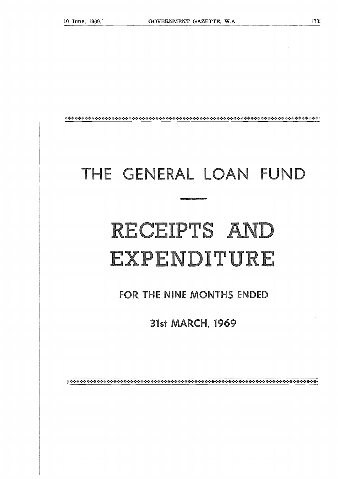# THE GENERAL LOAN FUND

# RECEIPTS AND EXPENDITURE

## FOR THE NINE MONTHS ENDED

# **31st MARCH, 1969**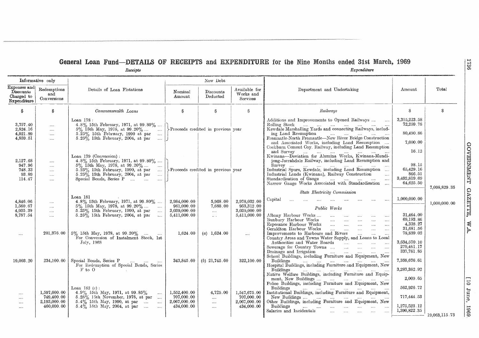#### **General Loan Fund—DETAILS OF RECEIPTS and EXPENDITURE for the Nine Months ended 31st March, 1969**

|                                                        | Informative only                                         | Receipts                                                                                                                                                                                                                                                                                                                                  |                                                            | New Debt                                          |                                                            | Expenditure                                                                                                                                                                                                                                                                                                                                                                       |                                                                      |               |
|--------------------------------------------------------|----------------------------------------------------------|-------------------------------------------------------------------------------------------------------------------------------------------------------------------------------------------------------------------------------------------------------------------------------------------------------------------------------------------|------------------------------------------------------------|---------------------------------------------------|------------------------------------------------------------|-----------------------------------------------------------------------------------------------------------------------------------------------------------------------------------------------------------------------------------------------------------------------------------------------------------------------------------------------------------------------------------|----------------------------------------------------------------------|---------------|
| Expenses and<br>Discounts<br>Charged to<br>Expenditure | Redemptions<br>and<br>Conversions                        | Details of Loan Flotations                                                                                                                                                                                                                                                                                                                | $\operatorname{Nominal}$<br>Amount                         | Discounts<br>Deducted                             | Available for<br>Works and<br>Services                     | Department and Undertaking                                                                                                                                                                                                                                                                                                                                                        | Amount                                                               | Total         |
| S                                                      | \$.                                                      | Commonwealth Loans                                                                                                                                                                                                                                                                                                                        | \$                                                         | S                                                 | S.                                                         | Railways                                                                                                                                                                                                                                                                                                                                                                          | S.                                                                   | S             |
| 3,757.40<br>2,824.16<br>4,921.89<br>4,859.51           | $\ldots$ .<br>$\sim 100$<br>$\sim$ $\sim$<br>$\cdots$    | Loan $178:$<br>$\begin{array}{l} 4.8\% \text{ } 15\text{th} \text{ } \text{February, } 1971, \text{ at } 99.80\% \; \ldots \\ 5\% \text{ } 15\text{th} \text{ } \text{May, } 1978, \text{ at } 99.20\% \; \ldots \end{array}$<br>5.25% 15th February, 1990 at par<br>$\sim$<br>$5.25\%$ 15th February, 2004, at par<br>$\sim$ 1000 $\sim$ |                                                            | >Proceeds credited in previous year               |                                                            | Additions and Improvements to Opened Railways<br>$\cdots$<br>ing Land Resumption<br>Fremantle-North Fremantle-New River Bridge Construction<br>and Associated Works, including Land Resumption<br>Cockburn Cement Coy. Railway, including Land Resumption<br>and Survey                                                                                                           | 3,315,223.58<br>72,259.78<br>80,490.86<br>7,000.00<br>16.12          |               |
| 2,127.68<br>947.96<br>748.33<br>93.89<br>114.47        | $\cdots$<br>$\cdots$<br>$\cdots$<br>$\cdots$<br>$\cdots$ | Loan 179 (Conversion):<br>4.8% 15th February, 1971, at 99.80%<br>5% 15th May, 1978, at 99.20%<br>5.25% 15th February, 1990, at par<br>$5.25\%$ 15th February, 2004, at par<br>$\cdots$<br>Special Bonds, Series P                                                                                                                         |                                                            | >Proceeds credited in previous year               |                                                            | المستحدث المساحي المساحي المساح<br>Kwinana-Deviation for Alumina Works, Kwinana-Mundi-<br>jong-Jarrahdale Railway, including Land Resumption and<br>$Suvev$<br>Industrial Spurs, Kewdale, including Land Resumption<br>Industrial Lands (Kwinana), Railway Construction<br>$\cdots$<br>Standardisation of Gauge<br>$\cdots$<br>Narrow Gauge Works Associated with Standardisation | 98 15<br>65,429.16<br>866.51<br>3,492,819.69<br>64,625.50            | 7,098,829.35  |
| 4,846.06<br>1,560.67<br>4,935.39<br>8,787.54           | $\cdots$<br>$\cdots$<br>$\cdots$<br>$\cdots$             | Loan 181<br>4.8% 15th February, 1971, at 99.80%<br>$5.25\%$ 15th February, 2004, at par<br>$\ddotsc$                                                                                                                                                                                                                                      | 2,984,000.00<br>961,000.00<br>3,039,000.00<br>5,411,000.00 | 5,968 00<br>7,688.00<br>$\cdots$<br>$\sim$ $\sim$ | 2,978,032.00<br>953,312.00<br>3,039,000.00<br>5,411,000.00 | State Electricity Commission<br>Capital<br>$\sim 100$<br>Public Works<br>Albany Harbour Works<br>$\cdots$<br>Bunbury Harbour Works<br>$\cdots$<br>$\cdots$<br>Esperance Harbour Works<br>$\cdots$<br>$\cdots$                                                                                                                                                                     | 1,000,000.00<br>31,464.00<br>69,193.86<br>4,338.27                   | 1,000,000.00  |
| $\ldots$ .                                             | 201,376.00                                               | $5\%$ 15th May, 1978, at $99.20\%$ For Conversion of Instalment Stock, 1st<br>July, 1968                                                                                                                                                                                                                                                  | 1,624.00                                                   | (a) 1,624.00                                      | $\cdots$                                                   | Geraldton Harbour Works<br>التبيدات التبيدات التبيدات<br>$\ldots$<br>$\cdots$<br>Improvements to Harbours and Rivers<br>$\sim 100$<br>$\cdots$<br>$\cdots$<br>Country Areas and Towns Water Supply, and Loans to Local<br>Authorities and Water Boards<br>$\cdots$<br>Sewerage for Country Towns<br>$\cdots$                                                                      | 31,681.56<br>78,839 02<br>3,634,570.10<br>279,461.17                 |               |
| 19,003.20                                              | 234,100.00                                               | Special Bonds, Series P<br><b>The Committee Committee Committee</b><br>For Redemption of Special Bonds, Series<br>$F$ to $O$                                                                                                                                                                                                              | 343,845.60                                                 | $(b)$ 21,745.60                                   | 322,100.00                                                 | Drainage and Irrigation<br>المتناد التبيدات البيدات البيداني<br>$\ldots$<br>School Buildings, including Furniture and Equipment, New<br>Buildings<br>المتقدم المتقدم المتقدم المتقدم المقفار المتقدم<br>$\cdots$                                                                                                                                                                  | 337,781.85<br>7,359,676.61<br>3,287,382.92                           |               |
| $\cdots$<br>$\cdots$<br>$\cdots$<br>$\ldots$           | 1,597,600.00<br>749,400.00<br>2,193,000.00<br>460,000.00 | Loan 182 $(c)$ :<br>4.9% 15th May, 1971, at 99.85%<br>$\sim 100$<br>$5.25\%$ 15th November, 1978, at par<br>$\sim$<br>$5.4\%$ 15th May, 1990, at par<br>$\sim$<br>$5.4\%$ 15th May, 2004, at par<br>$\sim 100$                                                                                                                            | 1,552,400.00<br>707,000.00<br>2,067,000.00<br>434,000.00   | 4.725.00<br>$\cdots$<br>$\cdots$<br>$\cdots$      | 1,547,675.00<br>707,000.00<br>2,067,000.00<br>434,000.00   | ment, New Buildings<br>Police Buildings, including Furniture and Equipment, New<br>Buildings        Institutional Buildings, including Furniture and Equipment,<br>New Buildings<br>Other Buildings, including Furniture and Equipment, New<br>Buildings<br>المتناد المتناد المتناد المتناد المتواد المتوادي<br>$\cdots$<br>Salaries and Incidentals<br>$\sim$                    | 2,009.65<br>562,926.72<br>717,444.53<br>1,275,523 12<br>1,390,822.35 | 19,063,115.73 |

GOVERNMENT GAZETTE,